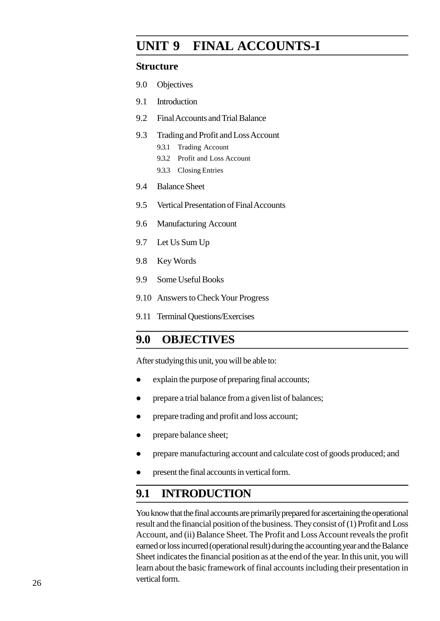# **UNIT 1 FINAL ACCOUNTS-I**

#### **Structure**

- 1.0 Objectives
- 1.1 Introduction
- 1.2 Final Accounts and Trial Balance
- 1.3 Trading and Profit and Loss Account
	- 1.3.1 Trading Account
	- 1.3.2 Profit and Loss Account
	- 1.3.3 Closing Entries
- 1.4 Balance Sheet
- 1.5 Vertical Presentation of Final Accounts
- 1.6 Manufacturing Account
- 1.7 Let Us Sum Up
- 1.8 Key Words
- 1.9 Some Useful Books
- 1.10 Answers to Check Your Progress
- 1.11 Terminal Questions/Exercises

## **1.0 OBJECTIVES**

After studying this unit, you will be able to:

- explain the purpose of preparing final accounts;
- prepare a trial balance from a given list of balances;
- prepare trading and profit and loss account;
- prepare balance sheet;
- prepare manufacturing account and calculate cost of goods produced; and
- present the final accounts in vertical form.

# **1.1 INTRODUCTION**

You know that the final accounts are primarily prepared for ascertaining the operational result and the financial position of the business. They consist of (1) Profit and Loss Account, and (ii) Balance Sheet. The Profit and Loss Account reveals the profit earned or loss incurred (operational result) during the accounting year and the Balance Sheet indicates the financial position as at the end of the year. In this unit, you will learn about the basic framework of final accounts including their presentation in vertical form.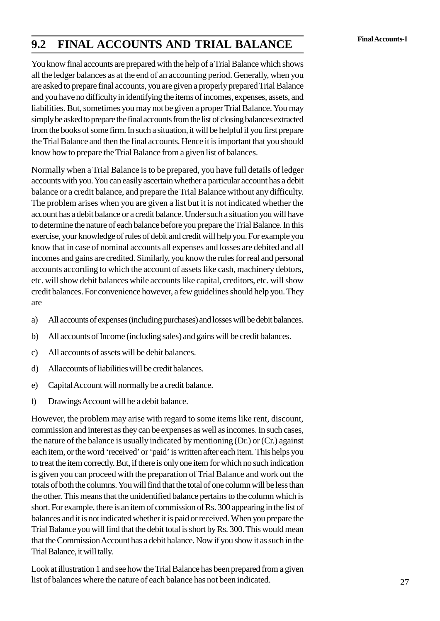# **Final Accounts-I 1.2 FINAL ACCOUNTS AND TRIAL BALANCE**

You know final accounts are prepared with the help of a Trial Balance which shows all the ledger balances as at the end of an accounting period. Generally, when you are asked to prepare final accounts, you are given a properly prepared Trial Balance and you have no difficulty in identifying the items of incomes, expenses, assets, and liabilities. But, sometimes you may not be given a proper Trial Balance. You may simply be asked to prepare the final accounts from the list of closing balances extracted from the books of some firm. In such a situation, it will be helpful if you first prepare the Trial Balance and then the final accounts. Hence it is important that you should know how to prepare the Trial Balance from a given list of balances.

Normally when a Trial Balance is to be prepared, you have full details of ledger accounts with you. You can easily ascertain whether a particular account has a debit balance or a credit balance, and prepare the Trial Balance without any difficulty. The problem arises when you are given a list but it is not indicated whether the account has a debit balance or a credit balance. Under such a situation you will have to determine the nature of each balance before you prepare the Trial Balance. In this exercise, your knowledge of rules of debit and credit will help you. For example you know that in case of nominal accounts all expenses and losses are debited and all incomes and gains are credited. Similarly, you know the rules for real and personal accounts according to which the account of assets like cash, machinery debtors, etc. will show debit balances while accounts like capital, creditors, etc. will show credit balances. For convenience however, a few guidelines should help you. They are accounts according to which the account of assets like cash, machinery debtors,<br>etc. will show debit balances while accounts like capital, creditors, etc. will show<br>credit balances. For convenience however, a few guideline b) All accounts of expenses (including purchases) and losses will be debit balances.<br>
All accounts of expenses (including purchases) and losses will be debit balances.<br>
All accounts of Income (including sales) and gains wi

- 
- and<br>
and All accounts of expenses (including purchases) and<br>
b) All accounts of Income (including sales) and gains<br>
c) All accounts of assets will be debit balances.<br>
d) Allaccounts of liabilities will be credit balances. (including purchases) and lost<br>
b) All accounts of Income (including sales) and gains w<br>
c) All accounts of assets will be debit balances.<br>
d) Allaccounts of liabilities will be credit balances.<br>
e) Capital Account will no b) All accounts of Income (including sales) and gains will be credit balances.<br>
c) All accounts of assets will be debit balances.<br>
d) Allaccounts of liabilities will be credit balance.<br>
e) Capital Account will normally be
- 
- 
- Capital Account will normally be a credit balance.
- 

However, the problem may arise with regard to some items like rent, discount, commission and interest as they can be expenses as well as incomes. In such cases, the nature of the balance is usually indicated by mentioning (Dr.) or (Cr.) against each item, or the word 'received' or 'paid' is written after each item. This helps you to treat the item correctly. But, if there is only one item for which no such indication is given you can proceed with the preparation of Trial Balance and work out the totals of both the columns. You will find that the total of one column will be less than the other. This means that the unidentified balance pertains to the column which is short. For example, there is an item of commission of Rs. 300 appearing in the list of balances and it is not indicated whether it is paid or received. When you prepare the Trial Balance you will find that the debit total is short by Rs. 300. This would mean that the Commission Account has a debit balance. Now if you show it as such in the Trial Balance, it will tally.

Look at illustration 1 and see how the Trial Balance has been prepared from a given list of balances where the nature of each balance has not been indicated.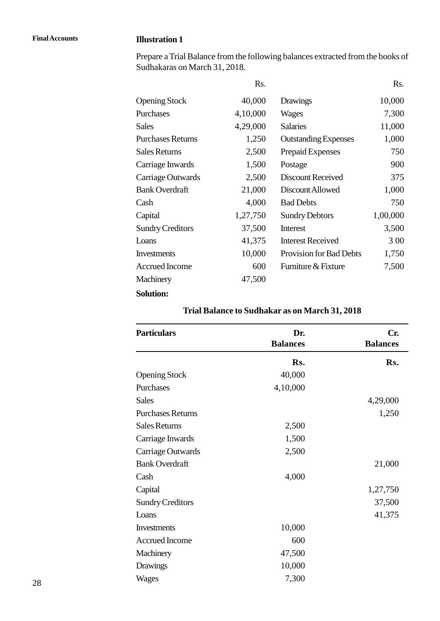#### **Final Accounts Illustration 1**

| Sudhakaras on March 31, 2018. |          | Prepare a Trial Balance from the following balances extracted from the books of |          |
|-------------------------------|----------|---------------------------------------------------------------------------------|----------|
|                               | Rs.      |                                                                                 | Rs.      |
| <b>Opening Stock</b>          | 40,000   | Drawings                                                                        | 10,000   |
| Purchases                     | 4,10,000 | Wages                                                                           | 7,300    |
| <b>Sales</b>                  | 4,29,000 | <b>Salaries</b>                                                                 | 11,000   |
| <b>Purchases Returns</b>      | 1,250    | <b>Outstanding Expenses</b>                                                     | 1,000    |
| <b>Sales Returns</b>          | 2,500    | Prepaid Expenses                                                                | 750      |
| Carriage Inwards              | 1,500    | Postage                                                                         | 900      |
| Carriage Outwards             | 2,500    | <b>Discount Received</b>                                                        | 375      |
| <b>Bank Overdraft</b>         | 21,000   | Discount Allowed                                                                | 1,000    |
| Cash                          | 4,000    | <b>Bad Debts</b>                                                                | 750      |
| Capital                       | 1,27,750 | <b>Sundry Debtors</b>                                                           | 1,00,000 |
| <b>Sundry Creditors</b>       | 37,500   | Interest                                                                        | 3,500    |
| Loans                         | 41,375   | <b>Interest Received</b>                                                        | 3 0 0    |
| Investments                   | 10,000   | <b>Provision for Bad Debts</b>                                                  | 1,750    |
| <b>Accrued Income</b>         | 600      | Furniture & Fixture                                                             | 7,500    |
| Machinery                     | 47,500   |                                                                                 |          |
| <b>Solution:</b>              |          |                                                                                 |          |

#### **Trial Balance to Sudhakar as on March 31, 2018**

| <b>Particulars</b>       | Dr.<br><b>Balances</b> | Cr.<br><b>Balances</b> |
|--------------------------|------------------------|------------------------|
|                          |                        |                        |
|                          | Rs.                    | Rs.                    |
| <b>Opening Stock</b>     | 40,000                 |                        |
| Purchases                | 4,10,000               |                        |
| <b>Sales</b>             |                        | 4,29,000               |
| <b>Purchases Returns</b> |                        | 1,250                  |
| <b>Sales Returns</b>     | 2,500                  |                        |
| Carriage Inwards         | 1,500                  |                        |
| Carriage Outwards        | 2,500                  |                        |
| <b>Bank Overdraft</b>    |                        | 21,000                 |
| Cash                     | 4,000                  |                        |
| Capital                  |                        | 1,27,750               |
| <b>Sundry Creditors</b>  |                        | 37,500                 |
| Loans                    |                        | 41,375                 |
| Investments              | 10,000                 |                        |
| <b>Accrued Income</b>    | 600                    |                        |
| Machinery                | 47,500                 |                        |
| Drawings                 | 10,000                 |                        |
| Wages                    | 7,300                  |                        |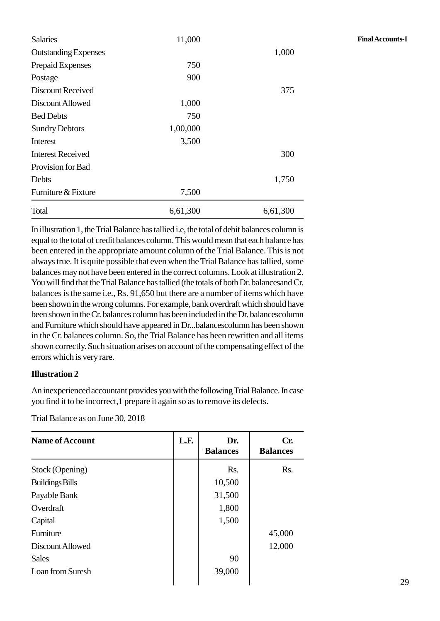| <b>Salaries</b>             | 11,000   |          | <b>Final Accounts-I</b> |
|-----------------------------|----------|----------|-------------------------|
| <b>Outstanding Expenses</b> |          | 1,000    |                         |
| Prepaid Expenses            | 750      |          |                         |
| Postage                     | 900      |          |                         |
| Discount Received           |          | 375      |                         |
| Discount Allowed            | 1,000    |          |                         |
| <b>Bed Debts</b>            | 750      |          |                         |
| <b>Sundry Debtors</b>       | 1,00,000 |          |                         |
| Interest                    | 3,500    |          |                         |
| <b>Interest Received</b>    |          | 300      |                         |
| Provision for Bad           |          |          |                         |
| Debts                       |          | 1,750    |                         |
| Furniture & Fixture         | 7,500    |          |                         |
| Total                       | 6,61,300 | 6,61,300 |                         |

In illustration 1, the Trial Balance has tallied i.e, the total of debit balances column is equal to the total of credit balances column. This would mean that each balance has been entered in the appropriate amount column of the Trial Balance. This is not always true. It is quite possible that even when the Trial Balance has tallied, some balances may not have been entered in the correct columns. Look at illustration 2. You will find that the Trial Balance has tallied (the totals of both Dr. balancesand Cr. balances is the same i.e., Rs. 91,650 but there are a number of items which have been shown in the wrong columns. For example, bank overdraft which should have been shown in the Cr. balances column has been included in the Dr. balancescolumn and Furniture which should have appeared in Dr...balancescolumn has been shown in the Cr. balances column. So, the Trial Balance has been rewritten and all items shown correctly. Such situation arises on account of the compensating effect of the errors which is very rare.

#### **Illustration 2**

| Trial Balance as on June 30, 2018 |      |                        |                        |  |  |
|-----------------------------------|------|------------------------|------------------------|--|--|
| <b>Name of Account</b>            | L.F. | Dr.<br><b>Balances</b> | Cr.<br><b>Balances</b> |  |  |
| Stock (Opening)                   |      | Rs.                    | R <sub>s</sub> .       |  |  |
| <b>Buildings Bills</b>            |      | 10,500                 |                        |  |  |
| Payable Bank                      |      | 31,500                 |                        |  |  |
| Overdraft                         |      | 1,800                  |                        |  |  |
| Capital                           |      | 1,500                  |                        |  |  |
| Furniture                         |      |                        | 45,000                 |  |  |
| Discount Allowed                  |      |                        | 12,000                 |  |  |
| <b>Sales</b>                      |      | 90                     |                        |  |  |
| Loan from Suresh                  |      | 39,000                 |                        |  |  |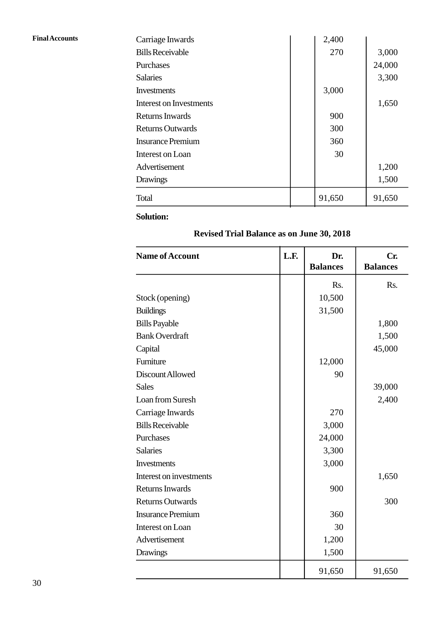| <b>Final Accounts</b> | Carriage Inwards               | 2,400  |        |
|-----------------------|--------------------------------|--------|--------|
|                       | <b>Bills Receivable</b>        | 270    | 3,000  |
|                       | Purchases                      |        | 24,000 |
|                       | <b>Salaries</b>                |        | 3,300  |
|                       | Investments                    | 3,000  |        |
|                       | <b>Interest on Investments</b> |        | 1,650  |
|                       | Returns Inwards                | 900    |        |
|                       | <b>Returns Outwards</b>        | 300    |        |
|                       | <b>Insurance Premium</b>       | 360    |        |
|                       | Interest on Loan               | 30     |        |
|                       | Advertisement                  |        | 1,200  |
|                       | Drawings                       |        | 1,500  |
|                       | Total                          | 91,650 | 91,650 |

**Revised Trial Balance as on June 30, 2018**

| <b>Name of Account</b>   | L.F. | Dr.             | Cr.             |
|--------------------------|------|-----------------|-----------------|
|                          |      | <b>Balances</b> | <b>Balances</b> |
|                          |      | Rs.             | Rs.             |
| Stock (opening)          |      | 10,500          |                 |
| <b>Buildings</b>         |      | 31,500          |                 |
| <b>Bills Payable</b>     |      |                 | 1,800           |
| <b>Bank Overdraft</b>    |      |                 | 1,500           |
| Capital                  |      |                 | 45,000          |
| Furniture                |      | 12,000          |                 |
| Discount Allowed         |      | 90              |                 |
| <b>Sales</b>             |      |                 | 39,000          |
| Loan from Suresh         |      |                 | 2,400           |
| Carriage Inwards         |      | 270             |                 |
| <b>Bills Receivable</b>  |      | 3,000           |                 |
| Purchases                |      | 24,000          |                 |
| <b>Salaries</b>          |      | 3,300           |                 |
| Investments              |      | 3,000           |                 |
| Interest on investments  |      |                 | 1,650           |
| <b>Returns Inwards</b>   |      | 900             |                 |
| <b>Returns Outwards</b>  |      |                 | 300             |
| <b>Insurance Premium</b> |      | 360             |                 |
| Interest on Loan         |      | 30              |                 |
| Advertisement            |      | 1,200           |                 |
| Drawings                 |      | 1,500           |                 |
|                          |      | 91,650          | 91,650          |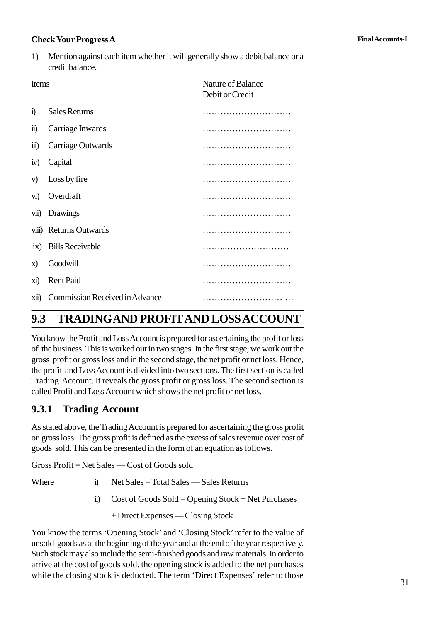#### **Check Your Progress A Final Accounts-I**

**Check Your Progress A**<br>1) Mention against each item whether it will generally show a debit balance or a<br>credit balance. credit balance.

| $\mathbf{1}$            | INCHION against each near whether it will generally show a debit balance of a<br>credit balance. |                                             |  |  |  |
|-------------------------|--------------------------------------------------------------------------------------------------|---------------------------------------------|--|--|--|
| Items                   |                                                                                                  | <b>Nature of Balance</b><br>Debit or Credit |  |  |  |
| $\ddot{1}$              | <b>Sales Returns</b>                                                                             |                                             |  |  |  |
| $\ddot{\mathbf{n}}$     | Carriage Inwards                                                                                 |                                             |  |  |  |
| $\overline{111}$ )      | Carriage Outwards                                                                                |                                             |  |  |  |
| iv)                     | Capital                                                                                          |                                             |  |  |  |
| V)                      | Loss by fire                                                                                     |                                             |  |  |  |
| $\overline{\mathbf{v}}$ | Overdraft                                                                                        |                                             |  |  |  |
| vii)                    | Drawings                                                                                         |                                             |  |  |  |
|                         | viii) Returns Outwards                                                                           |                                             |  |  |  |
|                         | ix) Bills Receivable                                                                             |                                             |  |  |  |
| X)                      | Goodwill                                                                                         |                                             |  |  |  |
| $\overline{X1}$         | <b>Rent Paid</b>                                                                                 |                                             |  |  |  |
| xii)                    | Commission Received in Advance                                                                   |                                             |  |  |  |

# **1.3 TRADINGAND PROFITAND LOSSACCOUNT**

You know the Profit and Loss Account is prepared for ascertaining the profit or loss of the business. This is worked out in two stages. In the first stage, we work out the gross profit or gross loss and in the second stage, the net profit or net loss. Hence, the profit and Loss Account is divided into two sections. The first section is called Trading Account. It reveals the gross profit or gross loss. The second section is called Profit and Loss Account which shows the net profit or net loss.

## **1.3.1 Trading Account**

As stated above, the Trading Account is prepared for ascertaining the gross profit or gross loss. The gross profit is defined as the excess of sales revenue over cost of goods sold. This can be presented in the form of an equation as follows. As stated above, the Trading Account is prepared for ascertaining the groot gross loss. The gross profit is defined as the excess of sales revenue ov goods sold. This can be presented in the form of an equation as follows

Gross Profit = Net Sales — Cost of Goods sold

- 
- is an be presented in the form of an equation as follows.<br>
iii) Cost of Goods Sold = Opening Stock + Net Purchases<br>
iii) Cost of Goods Sold = Opening Stock + Net Purchases<br>
+ Direct Expenses Closing Stock

+ Direct Expenses — Closing Stock

You know the terms 'Opening Stock' and 'Closing Stock' refer to the value of unsold goods as at the beginning of the year and at the end of the year respectively. Such stock may also include the semi-finished goods and raw materials. In order to arrive at the cost of goods sold. the opening stock is added to the net purchases while the closing stock is deducted. The term 'Direct Expenses' refer to those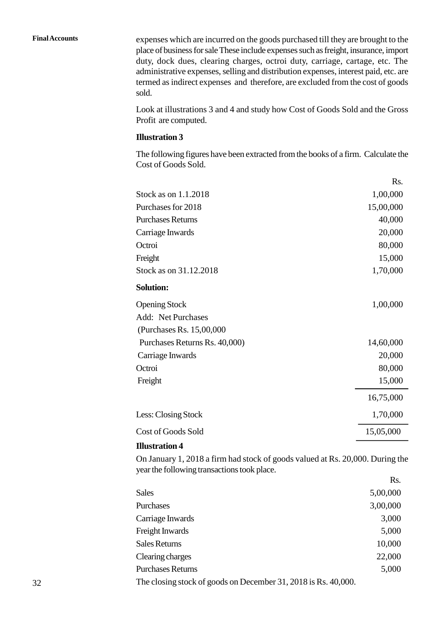**Final Accounts** expenses which are incurred on the goods purchased till they are brought to the place of business for sale These include expenses such as freight, insurance, import duty, dock dues, clearing charges, octroi duty, carriage, cartage, etc. The administrative expenses, selling and distribution expenses, interest paid, etc. are termed as indirect expenses and therefore, are excluded from the cost of goods sold.

> Look at illustrations 3 and 4 and study how Cost of Goods Sold and the Gross Profit are computed.

#### **Illustration 3**

The following figures have been extracted from the books of a firm. Calculate the Cost of Goods Sold.

|                               | Rs.       |
|-------------------------------|-----------|
| Stock as on 1.1.2018          | 1,00,000  |
| Purchases for 2018            | 15,00,000 |
| <b>Purchases Returns</b>      | 40,000    |
| Carriage Inwards              | 20,000    |
| Octroi                        | 80,000    |
| Freight                       | 15,000    |
| Stock as on 31.12.2018        | 1,70,000  |
| <b>Solution:</b>              |           |
| <b>Opening Stock</b>          | 1,00,000  |
| <b>Add: Net Purchases</b>     |           |
| (Purchases Rs. 15,00,000)     |           |
| Purchases Returns Rs. 40,000) | 14,60,000 |
| Carriage Inwards              | 20,000    |
| Octroi                        | 80,000    |
| Freight                       | 15,000    |
|                               | 16,75,000 |
| Less: Closing Stock           | 1,70,000  |
| <b>Cost of Goods Sold</b>     | 15,05,000 |
| <b>Illustration 4</b>         |           |

On January 1, 2018 a firm had stock of goods valued at Rs. 20,000. During the year the following transactions took place.

|                                                                | Rs.      |  |
|----------------------------------------------------------------|----------|--|
| <b>Sales</b>                                                   | 5,00,000 |  |
| Purchases                                                      | 3,00,000 |  |
| Carriage Inwards                                               | 3,000    |  |
| Freight Inwards                                                | 5,000    |  |
| <b>Sales Returns</b>                                           | 10,000   |  |
| Clearing charges                                               | 22,000   |  |
| <b>Purchases Returns</b>                                       | 5,000    |  |
| The closing stock of goods on December 31, 2018 is Rs. 40,000. |          |  |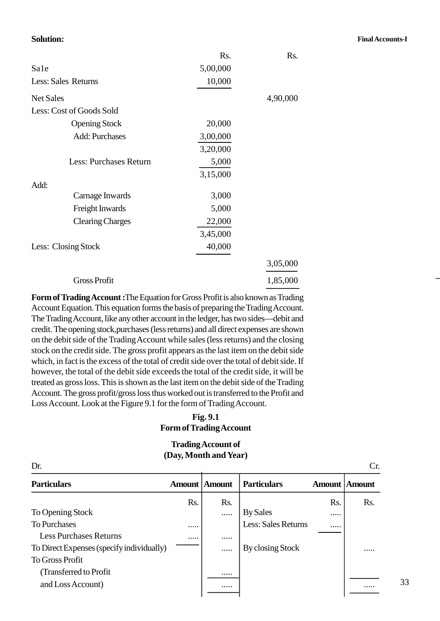#### **Solution: Final Accounts-I**

|                          | Rs.      | Rs.      |
|--------------------------|----------|----------|
| Sale                     | 5,00,000 |          |
| Less: Sales Returns      | 10,000   |          |
| <b>Net Sales</b>         |          | 4,90,000 |
| Less: Cost of Goods Sold |          |          |
| <b>Opening Stock</b>     | 20,000   |          |
| <b>Add: Purchases</b>    | 3,00,000 |          |
|                          | 3,20,000 |          |
| Less: Purchases Return   | 5,000    |          |
|                          | 3,15,000 |          |
| Add:                     |          |          |
| Carnage Inwards          | 3,000    |          |
| Freight Inwards          | 5,000    |          |
| <b>Clearing Charges</b>  | 22,000   |          |
|                          | 3,45,000 |          |
| Less: Closing Stock      | 40,000   |          |
|                          |          | 3,05,000 |
| <b>Gross Profit</b>      |          | 1,85,000 |

**Form of Trading Account :**The Equation for Gross Profit is also known as Trading Account Equation. This equation forms the basis of preparing the Trading Account. The Trading Account, like any other account in the ledger, has two sides—debit and credit. The opening stock,purchases (less returns) and all direct expenses are shown on the debit side of the Trading Account while sales (less returns) and the closing stock on the credit side. The gross profit appears as the last item on the debit side which, in fact is the excess of the total of credit side over the total of debit side. If however, the total of the debit side exceeds the total of the credit side, it will be treated as gross loss. This is shown as the last item on the debit side of the Trading Account. The gross profit/gross loss thus worked out is transferred to the Profit and Loss Account. Look at the Figure 9.1 for the form of Trading Account.

#### **Fig. 1.1 Form of Trading Account**

#### **Trading Account of (Day, Month and Year)**

| <b>Trading Account of</b><br>(Day, Month and Year)<br>Dr.<br>Cr. |     |                      |     |                      |  |  |
|------------------------------------------------------------------|-----|----------------------|-----|----------------------|--|--|
|                                                                  |     | <b>Particulars</b>   |     |                      |  |  |
| Rs.                                                              | Rs. |                      | Rs. | Rs.                  |  |  |
|                                                                  |     | <b>By Sales</b>      |     |                      |  |  |
|                                                                  |     | Less: Sales Returns  |     |                      |  |  |
|                                                                  |     |                      |     |                      |  |  |
|                                                                  |     | By closing Stock     |     |                      |  |  |
|                                                                  |     |                      |     |                      |  |  |
|                                                                  | .   |                      |     |                      |  |  |
|                                                                  | .   |                      |     |                      |  |  |
|                                                                  |     | <b>Amount Amount</b> |     | <b>Amount Amount</b> |  |  |

8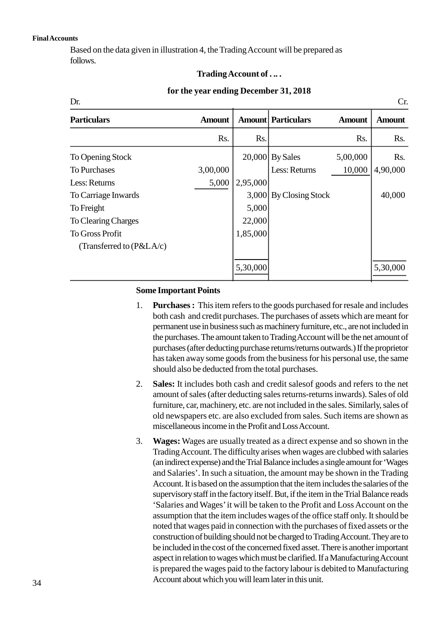#### **Final Accounts**

Based on the data given in illustration 4, the Trading Account will be prepared as follows.

#### **Trading Account of . .. .**

#### **for the year ending December 31, 2018**

| Trading Account of                                  |               |          |                           |               |               |  |  |
|-----------------------------------------------------|---------------|----------|---------------------------|---------------|---------------|--|--|
| for the year ending December 31, 2018<br>Dr.<br>Cr. |               |          |                           |               |               |  |  |
| <b>Particulars</b>                                  | <b>Amount</b> |          | <b>Amount Particulars</b> | <b>Amount</b> | <b>Amount</b> |  |  |
|                                                     | Rs.           | Rs.      |                           | Rs.           | Rs.           |  |  |
| To Opening Stock                                    |               |          | 20,000 By Sales           | 5,00,000      | Rs.           |  |  |
| <b>To Purchases</b>                                 | 3,00,000      |          | Less: Returns             | 10,000        | 4,90,000      |  |  |
| Less: Returns                                       | 5,000         | 2,95,000 |                           |               |               |  |  |
| To Carriage Inwards                                 |               |          | 3,000 By Closing Stock    |               | 40,000        |  |  |
| To Freight                                          |               | 5,000    |                           |               |               |  |  |
| To Clearing Charges                                 |               | 22,000   |                           |               |               |  |  |
| <b>To Gross Profit</b>                              |               | 1,85,000 |                           |               |               |  |  |
| (Transferred to $(P&LA/c)$                          |               |          |                           |               |               |  |  |
|                                                     |               | 5,30,000 |                           |               | 5,30,000      |  |  |

#### **Some Important Points**

- 1. **Purchases :** This item refers to the goods purchased for resale and includes both cash and credit purchases. The purchases of assets which are meant for permanent use in business such as machinery furniture, etc., are not included in the purchases. The amount taken to Trading Account will be the net amount of purchases (after deducting purchase returns/returns outwards.) If the proprietor has taken away some goods from the business for his personal use, the same should also be deducted from the total purchases.
- 2. **Sales:** It includes both cash and credit salesof goods and refers to the net amount of sales (after deducting sales returns-returns inwards). Sales of old furniture, car, machinery, etc. are not included in the sales. Similarly, sales of old newspapers etc. are also excluded from sales. Such items are shown as miscellaneous income in the Profit and Loss Account.
- 3. **Wages:** Wages are usually treated as a direct expense and so shown in the Trading Account. The difficulty arises when wages are clubbed with salaries (an indirect expense) and the Trial Balance includes a single amount for 'Wages and Salaries'. In such a situation, the amount may be shown in the Trading Account. It is based on the assumption that the item includes the salaries of the supervisory staff in the factory itself. But, if the item in the Trial Balance reads 'Salaries and Wages' it will be taken to the Profit and Loss Account on the assumption that the item includes wages of the office staff only. It should be noted that wages paid in connection with the purchases of fixed assets or the construction of building should not be charged to Trading Account. They are to be included in the cost of the concerned fixed asset. There is another important aspect in relation to wages which must be clarified. If a Manufacturing Account is prepared the wages paid to the factory labour is debited to Manufacturing Account about which you will learn later in this unit.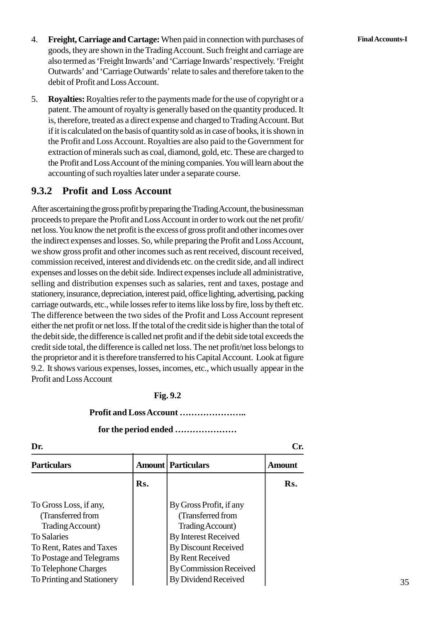- 4. **Freight, Carriage and Cartage:** When paid in connection with purchases of **Final Accounts-I** goods, they are shown in the Trading Account. Such freight and carriage are also termed as 'Freight Inwards' and 'Carriage Inwards' respectively. 'Freight Outwards' and 'Carriage Outwards' relate to sales and therefore taken to the debit of Profit and Loss Account.
- 5. **Royalties:** Royalties refer to the payments made for the use of copyright or a patent. The amount of royalty is generally based on the quantity produced. It is, therefore, treated as a direct expense and charged to Trading Account. But if it is calculated on the basis of quantity sold as in case of books, it is shown in the Profit and Loss Account. Royalties are also paid to the Government for extraction of minerals such as coal, diamond, gold, etc. These are charged to the Profit and Loss Account of the mining companies. You will learn about the accounting of such royalties later under a separate course.

#### **1.3.2 Profit and Loss Account**

After ascertaining the gross profit by preparing the Trading Account, the businessman proceeds to prepare the Profit and Loss Account in order to work out the net profit/ net loss. You know the net profit is the excess of gross profit and other incomes over the indirect expenses and losses. So, while preparing the Profit and Loss Account, we show gross profit and other incomes such as rent received, discount received, commission received, interest and dividends etc. on the credit side, and all indirect expenses and losses on the debit side. Indirect expenses include all administrative, selling and distribution expenses such as salaries, rent and taxes, postage and stationery, insurance, depreciation, interest paid, office lighting, advertising, packing carriage outwards, etc., while losses refer to items like loss by fire, loss by theft etc. The difference between the two sides of the Profit and Loss Account represent either the net profit or net loss. If the total of the credit side is higher than the total of the debit side, the difference is called net profit and if the debit side total exceeds the credit side total, the difference is called net loss. The net profit/net loss belongs to the proprietor and it is therefore transferred to his Capital Account. Look at figure 9.2. It shows various expenses, losses, incomes, etc., which usually appear in the Profit and Loss Account

#### **Fig. 1.2**

#### **Profit and Loss Account …………………..**

#### **for the period ended …………………**

|                                                                                                                                                                                                     |     | Profit and Loss Account                                                                                                                                                                                     |        |
|-----------------------------------------------------------------------------------------------------------------------------------------------------------------------------------------------------|-----|-------------------------------------------------------------------------------------------------------------------------------------------------------------------------------------------------------------|--------|
|                                                                                                                                                                                                     |     | for the period ended                                                                                                                                                                                        |        |
| Dr.                                                                                                                                                                                                 |     |                                                                                                                                                                                                             | Cr.    |
| <b>Particulars</b>                                                                                                                                                                                  |     | <b>Amount   Particulars</b>                                                                                                                                                                                 | Amount |
|                                                                                                                                                                                                     | Rs. |                                                                                                                                                                                                             | Rs.    |
| To Gross Loss, if any,<br>(Transferred from<br>Trading Account)<br><b>To Salaries</b><br>To Rent, Rates and Taxes<br>To Postage and Telegrams<br>To Telephone Charges<br>To Printing and Stationery |     | By Gross Profit, if any<br>(Transferred from<br>Trading Account)<br>By Interest Received<br><b>By Discount Received</b><br>By Rent Received<br><b>By Commission Received</b><br><b>By Dividend Received</b> |        |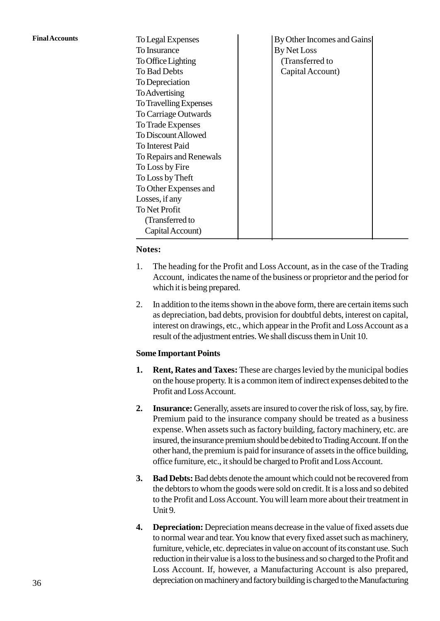| <b>Final Accounts</b> | To Legal Expenses       | By Other Incomes and Gains                                                   |
|-----------------------|-------------------------|------------------------------------------------------------------------------|
|                       | To Insurance            | By Net Loss                                                                  |
|                       | To Office Lighting      | (Transferred to                                                              |
|                       | To Bad Debts            | Capital Account)                                                             |
|                       | To Depreciation         |                                                                              |
|                       | <b>To Advertising</b>   |                                                                              |
|                       | To Travelling Expenses  |                                                                              |
|                       | To Carriage Outwards    |                                                                              |
|                       | To Trade Expenses       |                                                                              |
|                       | To Discount Allowed     |                                                                              |
|                       | To Interest Paid        |                                                                              |
|                       | To Repairs and Renewals |                                                                              |
|                       | To Loss by Fire         |                                                                              |
|                       | To Loss by Theft        |                                                                              |
|                       | To Other Expenses and   |                                                                              |
|                       | Losses, if any          |                                                                              |
|                       | To Net Profit           |                                                                              |
|                       | (Transferred to         |                                                                              |
|                       | Capital Account)        |                                                                              |
|                       | Notes:                  |                                                                              |
|                       |                         |                                                                              |
|                       | 1.                      | The heading for the Profit and Loss Account, as in the case of the Trading   |
|                       |                         | Account, indicates the name of the business or proprietor and the period for |

#### **Notes:**

- Account, indicates the name of the business or proprietor and the period for which it is being prepared. 2. In addition to the items shown in the above form, there are certain items such as depreciation, bad debts, provision for doubtful debts, interest on capital,
- as depreciation, bad debts, provision for doubtful debts, interest on capital, interest on drawings, etc., which appear in the Profit and Loss Account as a result of the adjustment entries. We shall discuss them in Unit 10. I. Rent, Rates and Taxes: These are charges levied by the municipal bodies<br>on the house property. It is a common item of indirect expenses debited to the<br>and the house property. It is a common item of indirect expenses deb

#### **Some Important Points**

- Profit and Loss Account. **2. 2. Insurance:** Generally, assets are insured to cover the risk of loss, say, by fire.<br>Premium paid to the insurance company should be treated as a business
- Premium paid to the insurance company should be treated as a business expense. When assets such as factory building, factory machinery, etc. are insured, the insurance premium should be debited to Trading Account. If on the other hand, the premium is paid for insurance of assets in the office building, office furniture, etc., it should be charged to Profit and Loss Account. Expense. When assets such as factory building, factory machinery, etc. are<br>insured, the insurance premium should be debited to Trading Account. If on the<br>other hand, the premium is paid for insurance of assets in the offic
- the debtors to whom the goods were sold on credit. It is a loss and so debited to the Profit and Loss Account. You will learn more about their treatment in Unit 9. 1. **4. Bad Debts:** Bad debts denote the amount which could not be recovered from the debtors to whom the goods were sold on credit. It is a loss and so debited to the Profit and Loss Account. You will learn more about th
- to normal wear and tear. You know that every fixed asset such as machinery, furniture, vehicle, etc. depreciates in value on account of its constant use. Such reduction in their value is a loss to the business and so charged to the Profit and Loss Account. If, however, a Manufacturing Account is also prepared, depreciation on machinery and factory building is charged to the Manufacturing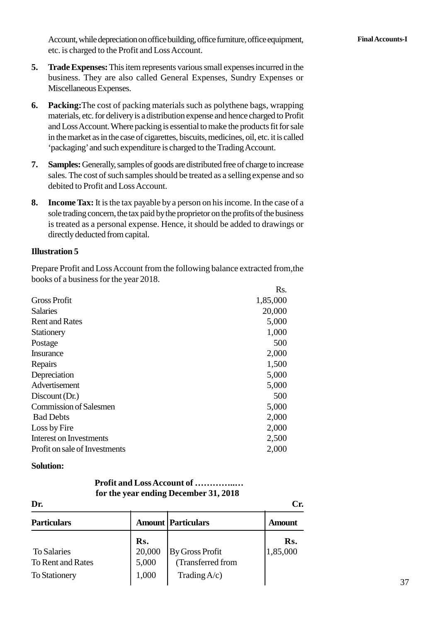Account, while depreciation on office building, office furniture, office equipment, **Final Accounts-I** etc. is charged to the Profit and Loss Account.

- Account, while depreciation on office building, office furniture, office equipment, etc. is charged to the Profit and Loss Account.<br>**5. Trade Expenses:** This item represents various small expenses incurred in the busines Miscellaneous Expenses. **5. Trade Expenses:** This item represents various small expenses incurred in the business. They are also called General Expenses, Sundry Expenses or Miscellaneous Expenses.<br> **6.** Packing: The cost of packing materials such
- and Loss Account. Where packing is essential to make the products fit for sale in the market as in the case of cigarettes, biscuits, medicines, oil, etc. it is called 'packaging' and such expenditure is charged to the Trading Account. materials, etc. for delivery is a distribution expense and hence charged to Profit<br>and Loss Account. Where packing is essential to make the products fit for sale<br>in the market as in the case of cigarettes, biscuits, medici
- sales. The cost of such samples should be treated as a selling expense and so debited to Profit and Loss Account. **1. Samples:** Generally, samples of goods are distributed free of charge to increase sales. The cost of such samples should be treated as a selling expense and so debited to Profit and Loss Account.<br>**8.** Income Tax: It is
- sole trading concern, the tax paid by the proprietor on the profits of the business is treated as a personal expense. Hence, it should be added to drawings or directly deducted from capital.

#### **Illustration 5**

Prepare Profit and Loss Account from the following balance extracted from,the books of a business for the year 2018.

|                                | Rs.      |
|--------------------------------|----------|
| <b>Gross Profit</b>            | 1,85,000 |
| <b>Salaries</b>                | 20,000   |
| <b>Rent and Rates</b>          | 5,000    |
| Stationery                     | 1,000    |
| Postage                        | 500      |
| Insurance                      | 2,000    |
| Repairs                        | 1,500    |
| Depreciation                   | 5,000    |
| Advertisement                  | 5,000    |
| Discount (Dr.)                 | 500      |
| <b>Commission of Salesmen</b>  | 5,000    |
| <b>Bad Debts</b>               | 2,000    |
| Loss by Fire                   | 2,000    |
| <b>Interest on Investments</b> | 2,500    |
| Profit on sale of Investments  | 2,000    |

#### **Solution:**

#### **Profit and Loss Account of …………..… for the year ending December 31, 2018**

| Dr.                  |        | <b>Profit and Loss Account of </b><br>for the year ending December 31, 2018 | Cr.           |
|----------------------|--------|-----------------------------------------------------------------------------|---------------|
| <b>Particulars</b>   |        | <b>Amount   Particulars</b>                                                 | <b>Amount</b> |
|                      | Rs.    |                                                                             | Rs.           |
| <b>To Salaries</b>   | 20,000 | <b>By Gross Profit</b>                                                      | 1,85,000      |
| To Rent and Rates    | 5,000  | (Transferred from                                                           |               |
| <b>To Stationery</b> | 1,000  | Trading $A/c$ )                                                             |               |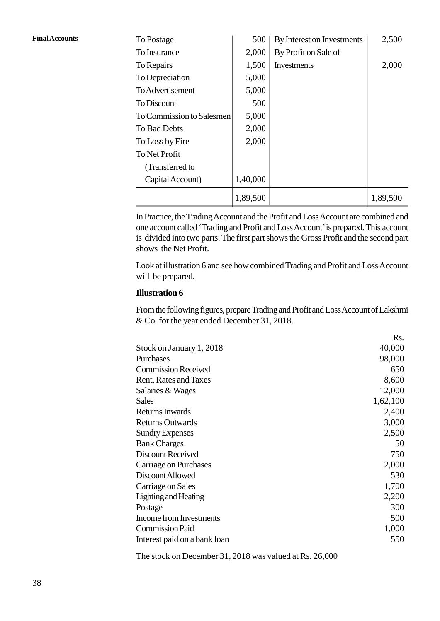| <b>Final Accounts</b> | To Postage                | 500      | By Interest on Investments | 2,500    |
|-----------------------|---------------------------|----------|----------------------------|----------|
|                       | To Insurance              | 2,000    | By Profit on Sale of       |          |
|                       | To Repairs                | 1,500    | Investments                | 2,000    |
|                       | To Depreciation           | 5,000    |                            |          |
|                       | To Advertisement          | 5,000    |                            |          |
|                       | To Discount               | 500      |                            |          |
|                       | To Commission to Salesmen | 5,000    |                            |          |
|                       | To Bad Debts              | 2,000    |                            |          |
|                       | To Loss by Fire           | 2,000    |                            |          |
|                       | To Net Profit             |          |                            |          |
|                       | (Transferred to           |          |                            |          |
|                       | Capital Account)          | 1,40,000 |                            |          |
|                       |                           | 1,89,500 |                            | 1,89,500 |

In Practice, the Trading Account and the Profit and Loss Account are combined and one account called 'Trading and Profit and Loss Account' is prepared. This account is divided into two parts. The first part shows the Gross Profit and the second part shows the Net Profit.

Look at illustration 6 and see how combined Trading and Profit and Loss Account will be prepared.

#### **Illustration 6**

From the following figures, prepare Trading and Profit and Loss Account of Lakshmi & Co. for the year ended December 31, 2018.

|                              | Rs.      |  |
|------------------------------|----------|--|
| Stock on January 1, 2018     | 40,000   |  |
| Purchases                    | 98,000   |  |
| <b>Commission Received</b>   | 650      |  |
| Rent, Rates and Taxes        | 8,600    |  |
| Salaries & Wages             | 12,000   |  |
| <b>Sales</b>                 | 1,62,100 |  |
| Returns Inwards              | 2,400    |  |
| <b>Returns Outwards</b>      | 3,000    |  |
| <b>Sundry Expenses</b>       | 2,500    |  |
| <b>Bank Charges</b>          | 50       |  |
| <b>Discount Received</b>     | 750      |  |
| Carriage on Purchases        | 2,000    |  |
| Discount Allowed             | 530      |  |
| Carriage on Sales            | 1,700    |  |
| <b>Lighting and Heating</b>  | 2,200    |  |
| Postage                      | 300      |  |
| Income from Investments      | 500      |  |
| <b>Commission Paid</b>       | 1,000    |  |
| Interest paid on a bank loan | 550      |  |

The stock on December 31, 2018 was valued at Rs. 26,000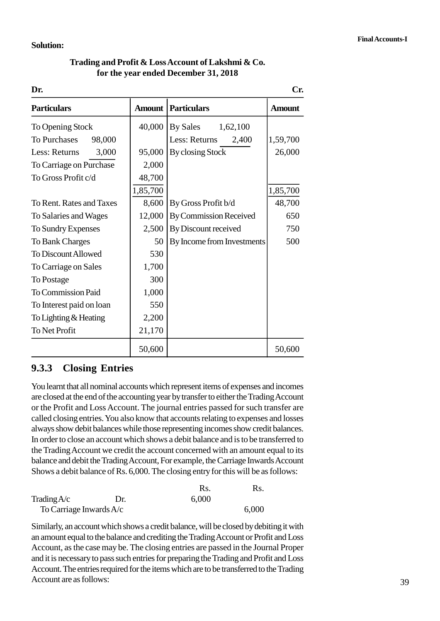#### **Solution:**

| Trading and Profit & Loss Account of Lakshmi & Co. |  |
|----------------------------------------------------|--|
| for the year ended December 31, 2018               |  |

|                               |               | Trading and Profit & Loss Account of Lakshmi & Co.<br>for the year ended December 31, 2018 |               |
|-------------------------------|---------------|--------------------------------------------------------------------------------------------|---------------|
| Dr.                           |               |                                                                                            | Cr.           |
| <b>Particulars</b>            | <b>Amount</b> | <b>Particulars</b>                                                                         | <b>Amount</b> |
| To Opening Stock              | 40,000        | By Sales<br>1,62,100                                                                       |               |
| <b>To Purchases</b><br>98,000 |               | Less: Returns<br>2,400                                                                     | 1,59,700      |
| Less: Returns<br>3,000        | 95,000        | By closing Stock                                                                           | 26,000        |
| To Carriage on Purchase       | 2,000         |                                                                                            |               |
| To Gross Profit c/d           | 48,700        |                                                                                            |               |
|                               | 1,85,700      |                                                                                            | 1,85,700      |
| To Rent. Rates and Taxes      | 8,600         | By Gross Profit b/d                                                                        | 48,700        |
| To Salaries and Wages         | 12,000        | <b>By Commission Received</b>                                                              | 650           |
| To Sundry Expenses            | 2,500         | By Discount received                                                                       | 750           |
| <b>To Bank Charges</b>        | 50            | By Income from Investments                                                                 | 500           |
| <b>To Discount Allowed</b>    | 530           |                                                                                            |               |
| To Carriage on Sales          | 1,700         |                                                                                            |               |
| To Postage                    | 300           |                                                                                            |               |
| <b>To Commission Paid</b>     | 1,000         |                                                                                            |               |
| To Interest paid on loan      | 550           |                                                                                            |               |
| To Lighting & Heating         | 2,200         |                                                                                            |               |
| <b>To Net Profit</b>          | 21,170        |                                                                                            |               |
|                               | 50,600        |                                                                                            | 50,600        |

#### **1.3.3 Closing Entries**

You learnt that all nominal accounts which represent items of expenses and incomes are closed at the end of the accounting year by transfer to either the Trading Account or the Profit and Loss Account. The journal entries passed for such transfer are called closing entries. You also know that accounts relating to expenses and losses always show debit balances while those representing incomes show credit balances. In order to close an account which shows a debit balance and is to be transferred to<br>
the Trading Account we credit the account concerned with an amount equal to its<br>
balance and debit the Trading Account, For example, the the Trading Account we credit the account concerned with an amount equal to its balance and debit the Trading Account, For example, the Carriage Inwards Account Shows a debit balance of Rs. 6,000. The closing entry for this will be as follows: the Trading Account we credit the account concerned with an a<br>balance and debit the Trading Account, For example, the Carriage<br>Shows a debit balance of Rs. 6,000. The closing entry for this w<br>Rs.<br>Trading A/c Dr. 6,000<br>To C

|                         |     | Rs.   | Rs.   |  |
|-------------------------|-----|-------|-------|--|
| Trading $A/c$           | Dr. | 6,000 |       |  |
| To Carriage Inwards A/c |     |       | 6,000 |  |

Similarly, an account which shows a credit balance, will be closed by debiting it with an amount equal to the balance and crediting the Trading Account or Profit and Loss Account, as the case may be. The closing entries are passed in the Journal Proper and it is necessary to pass such entries for preparing the Trading and Profit and Loss Account. The entries required for the items which are to be transferred to the Trading Account are as follows: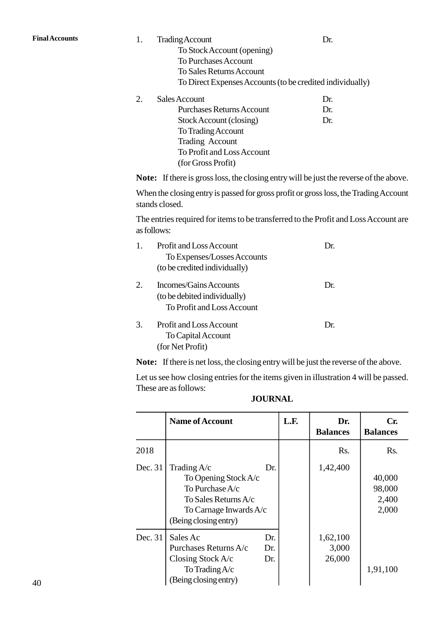Final Accounts 1. Trading Account 1. Trading Account 1. Trading Account 1. Dr. To Stock Account (opening) To Purchases Account To Sales Returns Account To Direct Expenses Accounts (to be credited individually) To Stock Account (opening)<br>
To Purchases Account<br>
To Sales Returns Account<br>
To Direct Expenses Accounts (to be credited individend<br>
2. Sales Account<br>
Dr. Purchases Returns Account<br>
Dr.

| енся жилин                 | LA. |
|----------------------------|-----|
| Purchases Returns Account  | Dr. |
| Stock Account (closing)    | Dr. |
| To Trading Account         |     |
| Trading Account            |     |
| To Profit and Loss Account |     |
| (for Gross Profit)         |     |
|                            |     |

**Note:** If there is gross loss, the closing entry will be just the reverse of the above.

When the closing entry is passed for gross profit or gross loss, the Trading Account stands closed.

The entries required for items to be transferred to the Profit and Loss Account are as follows:

|                | When the closing entry is passed for gross profit or gross loss, the<br>stands closed. |     |
|----------------|----------------------------------------------------------------------------------------|-----|
|                | The entries required for items to be transferred to the Profit and 1<br>as follows:    |     |
| $\mathbf{1}$ . | Profit and Loss Account                                                                | Dr. |
|                | To Expenses/Losses Accounts                                                            |     |
|                | (to be credited individually)                                                          |     |
| 2.             | Incomes/Gains Accounts                                                                 | Dr. |
|                | (to be debited individually)                                                           |     |
|                | To Profit and Loss Account                                                             |     |
| 3.             | <b>Profit and Loss Account</b>                                                         | Dr. |
|                | To Capital Account                                                                     |     |
|                | (for Net Profit)                                                                       |     |

**Note:** If there is net loss, the closing entry will be just the reverse of the above.

| <b>JOURNAL</b> |
|----------------|
|                |

|         | Let us see how closing entries for the items given in illustration 4 will be passed.<br>These are as follows:<br><b>JOURNAL</b>            |      |                             |                                    |
|---------|--------------------------------------------------------------------------------------------------------------------------------------------|------|-----------------------------|------------------------------------|
|         | <b>Name of Account</b>                                                                                                                     | L.F. | Dr.<br><b>Balances</b>      | Cr.<br><b>Balances</b>             |
| 2018    |                                                                                                                                            |      | Rs.                         | Rs.                                |
| Dec. 31 | Trading $A/c$<br>Dr.<br>To Opening Stock A/c<br>To Purchase A/c<br>To Sales Returns A/c<br>To Carnage Inwards A/c<br>(Being closing entry) |      | 1,42,400                    | 40,000<br>98,000<br>2,400<br>2,000 |
| Dec. 31 | Sales Ac<br>Dr.<br>Purchases Returns A/c<br>Dr.<br>Dr.<br>Closing Stock $A/c$<br>To Trading $A/c$<br>(Being closing entry)                 |      | 1,62,100<br>3,000<br>26,000 | 1,91,100                           |

15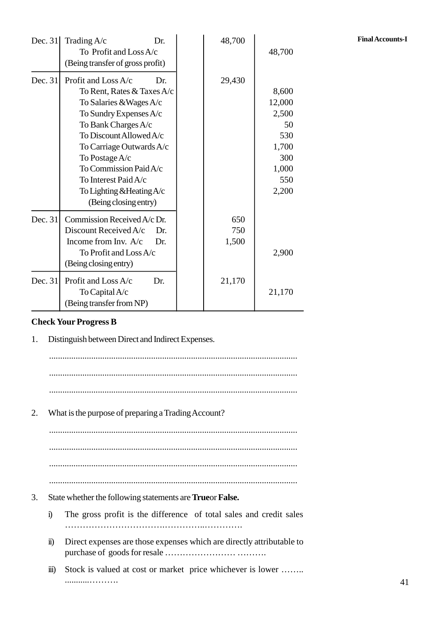| Dec. 31   | Trading A/c<br>Dr.               | 48,700 |        | <b>Final Accounts-I</b> |
|-----------|----------------------------------|--------|--------|-------------------------|
|           | To Profit and Loss A/c           |        | 48,700 |                         |
|           | (Being transfer of gross profit) |        |        |                         |
| Dec. $31$ | Profit and Loss A/c<br>Dr.       | 29,430 |        |                         |
|           | To Rent, Rates & Taxes A/c       |        | 8,600  |                         |
|           | To Salaries & Wages A/c          |        | 12,000 |                         |
|           | To Sundry Expenses A/c           |        | 2,500  |                         |
|           | To Bank Charges A/c              |        | 50     |                         |
|           | To Discount Allowed A/c          |        | 530    |                         |
|           | To Carriage Outwards A/c         |        | 1,700  |                         |
|           | To Postage A/c                   |        | 300    |                         |
|           | To Commission Paid A/c           |        | 1,000  |                         |
|           | To Interest Paid A/c             |        | 550    |                         |
|           | To Lighting & Heating A/c        |        | 2,200  |                         |
|           | (Being closing entry)            |        |        |                         |
| Dec. 31   | Commission Received A/c Dr.      | 650    |        |                         |
|           | Discount Received A/c<br>Dr.     | 750    |        |                         |
|           | Income from Inv. A/c<br>Dr.      | 1,500  |        |                         |
|           | To Profit and Loss A/c           |        | 2,900  |                         |
|           | (Being closing entry)            |        |        |                         |
| Dec. 31   | Profit and Loss A/c<br>Dr.       | 21,170 |        |                         |
|           | To Capital A/c                   |        | 21,170 |                         |
|           | (Being transfer from NP)         |        |        |                         |

#### **Check Your Progress B**

1. Distinguish between Direct and Indirect Expenses.

................................................................................................................ ................................................................................................................ ................................................................................................................ 2. What is the purpose of preparing a Trading Account? ................................................................................................................ ................................................................................................................ ................................................................................................................ ................................................................................................................ 3. State whether the following statements are**True**or**False.** i) The gross profit is the difference of total sales and credit sales …………………………….…………..…………. State whether the following statements are **Trueor False.**<br>i) The gross profit is the difference of total sales and credit sales<br>iii) Direct expenses are those expenses which are directly attributable to purchase of goods for resale …………………… ……….

iii) Stock is valued at cost or market price whichever is lower ........ ...........……….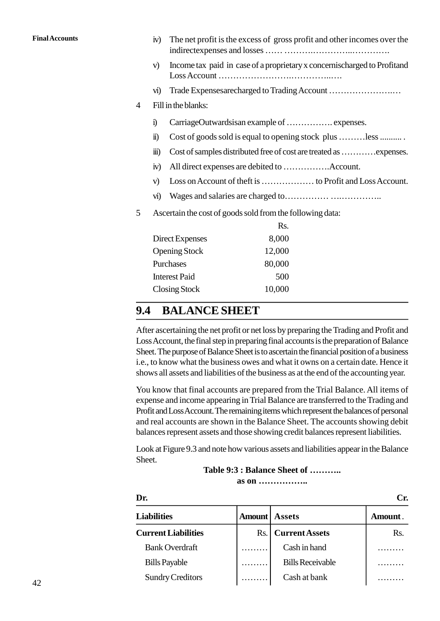| <b>Final Accounts</b> |   | iv)                  | The net profit is the excess of gross profit and other incomes over the  |
|-----------------------|---|----------------------|--------------------------------------------------------------------------|
|                       |   |                      |                                                                          |
|                       |   | V)                   | Income tax paid in case of a proprietary x concernischarged to Profitand |
|                       |   | VI)                  | Trade Expenses are charged to Trading Account                            |
|                       | 4 | Fill in the blanks:  |                                                                          |
|                       |   | $\ddot{1}$           | CarriageOutwardsisan example of  expenses.                               |
|                       |   | $\ddot{\mathbf{n}}$  | Cost of goods sold is equal to opening stock plus less                   |
|                       |   | $\ddot{\mathbf{m}}$  | Cost of samples distributed free of cost are treated as  expenses.       |
|                       |   | iv)                  |                                                                          |
|                       |   | V)                   |                                                                          |
|                       |   | $\vec{v}$            |                                                                          |
|                       | 5 |                      | Ascertain the cost of goods sold from the following data:                |
|                       |   |                      | Rs.                                                                      |
|                       |   | Direct Expenses      | 8,000                                                                    |
|                       |   | <b>Opening Stock</b> | 12,000                                                                   |
|                       |   | Purchases            | 80,000                                                                   |
|                       |   | <b>Interest Paid</b> | 500                                                                      |

#### **1.4 BALANCE SHEET**

Closing Stock 10,000

After ascertaining the net profit or net loss by preparing the Trading and Profit and Loss Account, the final step in preparing final accounts is the preparation of Balance Sheet. The purpose of Balance Sheet is to ascertain the financial position of a business i.e., to know what the business owes and what it owns on a certain date. Hence it shows all assets and liabilities of the business as at the end of the accounting year.

You know that final accounts are prepared from the Trial Balance. All items of expense and income appearing in Trial Balance are transferred to the Trading and Profit and Loss Account. The remaining items which represent the balances of personal and real accounts are shown in the Balance Sheet. The accounts showing debit balances represent assets and those showing credit balances represent liabilities.

Look at Figure 1.3 and note how various assets and liabilities appear in the Balance Sheet.

```
Table 1:3 : Balance Sheet of ………..
       as on ……………..
```

|                            |        | Table 1:3 : Balance Sheet of<br>$as \text{ on } \dots \dots \dots \dots \dots$ |         |
|----------------------------|--------|--------------------------------------------------------------------------------|---------|
| Dr.                        |        |                                                                                | Cr.     |
| <b>Liabilities</b>         | Amount | <b>Assets</b>                                                                  | Amount. |
| <b>Current Liabilities</b> | Rs.    | <b>Current Assets</b>                                                          | Rs.     |
| <b>Bank Overdraft</b>      |        | Cash in hand                                                                   |         |
| <b>Bills Payable</b>       |        | <b>Bills Receivable</b>                                                        |         |
| <b>Sundry Creditors</b>    |        | Cash at bank                                                                   |         |

17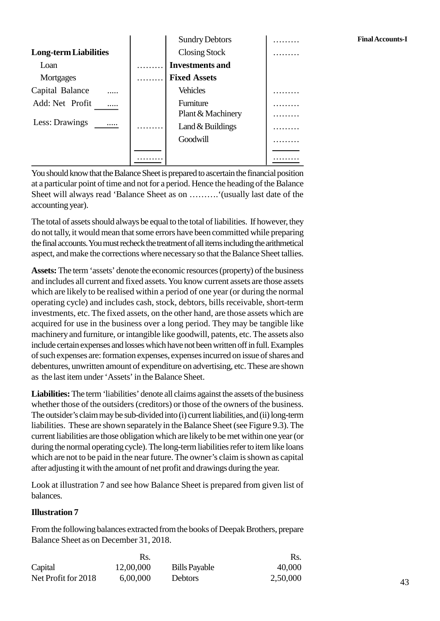|                              | <b>Sundry Debtors</b>  | Fi |
|------------------------------|------------------------|----|
| <b>Long-term Liabilities</b> | <b>Closing Stock</b>   |    |
| Loan                         | <b>Investments and</b> |    |
| Mortgages                    | <b>Fixed Assets</b>    |    |
| Capital Balance<br>          | <b>Vehicles</b>        |    |
| Add: Net Profit<br>          | Furniture              |    |
|                              | Plant & Machinery      |    |
| Less: Drawings               | Land $&$ Buildings     |    |
|                              | Goodwill               |    |
|                              |                        |    |
|                              |                        |    |

You should know that the Balance Sheet is prepared to ascertain the financial position at a particular point of time and not for a period. Hence the heading of the Balance Sheet will always read 'Balance Sheet as on ……….'(usually last date of the accounting year).

The total of assets should always be equal to the total of liabilities. If however, they do not tally, it would mean that some errors have been committed while preparing the final accounts. You must recheck the treatment of all items including the arithmetical aspect, and make the corrections where necessary so that the Balance Sheet tallies.

**Assets:** The term 'assets' denote the economic resources (property) of the business and includes all current and fixed assets. You know current assets are those assets which are likely to be realised within a period of one year (or during the normal operating cycle) and includes cash, stock, debtors, bills receivable, short-term investments, etc. The fixed assets, on the other hand, are those assets which are acquired for use in the business over a long period. They may be tangible like machinery and furniture, or intangible like goodwill, patents, etc. The assets also include certain expenses and losses which have not been written off in full. Examples of such expenses are: formation expenses, expenses incurred on issue of shares and debentures, unwritten amount of expenditure on advertising, etc. These are shown as the last item under 'Assets' in the Balance Sheet.

**Liabilities:** The term 'liabilities' denote all claims against the assets of the business whether those of the outsiders (creditors) or those of the owners of the business. The outsider's claim may be sub-divided into (i) current liabilities, and (ii) long-term liabilities. These are shown separately in the Balance Sheet (see Figure 9.3). The current liabilities are those obligation which are likely to be met within one year (or during the normal operating cycle). The long-term liabilities refer to item like loans which are not to be paid in the near future. The owner's claim is shown as capital after adjusting it with the amount of net profit and drawings during the year.

Look at illustration 7 and see how Balance Sheet is prepared from given list of balances.

#### **Illustration 7**

|                                        |           | From the following balances extracted from the books of Deepak Brothers, prepare |          |
|----------------------------------------|-----------|----------------------------------------------------------------------------------|----------|
| Balance Sheet as on December 31, 2018. |           |                                                                                  |          |
|                                        | Rs.       |                                                                                  | Rs.      |
| Capital                                | 12,00,000 | <b>Bills Payable</b>                                                             | 40,000   |
| Net Profit for 2018                    | 6,00,000  | Debtors                                                                          | 2,50,000 |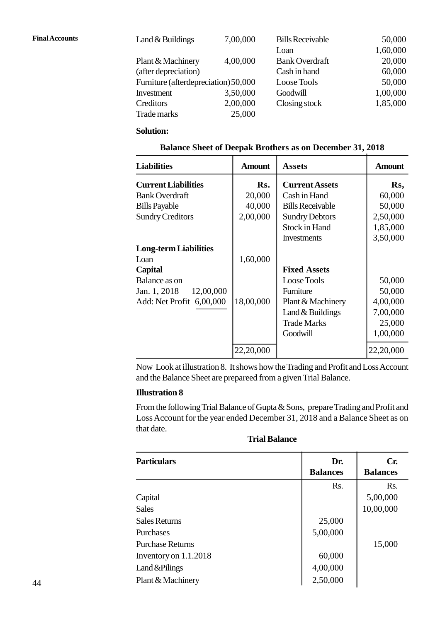| <b>Final Accounts</b> | Land $&$ Buildings                   | 7,00,000 | <b>Bills Receivable</b> | 50,000   |  |
|-----------------------|--------------------------------------|----------|-------------------------|----------|--|
|                       |                                      |          | Loan                    | 1,60,000 |  |
|                       | Plant & Machinery                    | 4,00,000 | <b>Bank Overdraft</b>   | 20,000   |  |
|                       | (after depreciation)                 |          | Cash in hand            | 60,000   |  |
|                       | Furniture (afterdepreciation) 50,000 |          | Loose Tools             | 50,000   |  |
|                       | Investment                           | 3,50,000 | Goodwill                | 1,00,000 |  |
|                       | Creditors                            | 2,00,000 | Closing stock           | 1,85,000 |  |
|                       | Trade marks                          | 25,000   |                         |          |  |
|                       |                                      |          |                         |          |  |

#### **Solution:**

| <b>Balance Sheet of Deepak Brothers as on December 31, 2018</b> |  |
|-----------------------------------------------------------------|--|
|-----------------------------------------------------------------|--|

| Trade marks                                                     | 25,000        |                         |               |  |  |
|-----------------------------------------------------------------|---------------|-------------------------|---------------|--|--|
| <b>Solution:</b>                                                |               |                         |               |  |  |
| <b>Balance Sheet of Deepak Brothers as on December 31, 2018</b> |               |                         |               |  |  |
| <b>Liabilities</b>                                              | <b>Amount</b> | <b>Assets</b>           | <b>Amount</b> |  |  |
| <b>Current Liabilities</b>                                      | Rs.           | <b>Current Assets</b>   | Rs,           |  |  |
| <b>Bank Overdraft</b>                                           | 20,000        | Cash in Hand            | 60,000        |  |  |
| <b>Bills Payable</b>                                            | 40,000        | <b>Bills Receivable</b> | 50,000        |  |  |
| <b>Sundry Creditors</b>                                         | 2,00,000      | <b>Sundry Debtors</b>   | 2,50,000      |  |  |
|                                                                 |               | Stock in Hand           | 1,85,000      |  |  |
|                                                                 |               | Investments             | 3,50,000      |  |  |
| <b>Long-term Liabilities</b>                                    |               |                         |               |  |  |
| Loan                                                            | 1,60,000      |                         |               |  |  |
| Capital                                                         |               | <b>Fixed Assets</b>     |               |  |  |
| Balance as on                                                   |               | Loose Tools             | 50,000        |  |  |
| 12,00,000<br>Jan. 1, 2018                                       |               | Furniture               | 50,000        |  |  |
| Add: Net Profit 6,00,000                                        | 18,00,000     | Plant & Machinery       | 4,00,000      |  |  |
|                                                                 |               | Land $&$ Buildings      | 7,00,000      |  |  |
|                                                                 |               | <b>Trade Marks</b>      | 25,000        |  |  |
|                                                                 |               | Goodwill                | 1,00,000      |  |  |
|                                                                 | 22,20,000     |                         | 22,20,000     |  |  |

Now Look at illustration 8. It shows how the Trading and Profit and Loss Account and the Balance Sheet are prepareed from a given Trial Balance.

#### **Illustration 8**

From the following Trial Balance of Gupta & Sons, prepare Trading and Profit and Loss Account for the year ended December 31, 2018 and a Balance Sheet as on that date.

#### **Trial Balance**

| Loss Account for the year ended December 31, 2018 and a Balance Sheet as on<br>that date.<br><b>Trial Balance</b> |                        |                        |  |  |
|-------------------------------------------------------------------------------------------------------------------|------------------------|------------------------|--|--|
| <b>Particulars</b>                                                                                                | Dr.<br><b>Balances</b> | Cr.<br><b>Balances</b> |  |  |
|                                                                                                                   | Rs.                    | R <sub>S</sub> .       |  |  |
| Capital                                                                                                           |                        | 5,00,000               |  |  |
| <b>Sales</b>                                                                                                      |                        | 10,00,000              |  |  |
| <b>Sales Returns</b>                                                                                              | 25,000                 |                        |  |  |
| <b>Purchases</b>                                                                                                  | 5,00,000               |                        |  |  |
| <b>Purchase Returns</b>                                                                                           |                        | 15,000                 |  |  |
| Inventory on $1.1.2018$                                                                                           | 60,000                 |                        |  |  |
| Land & Pilings                                                                                                    | 4,00,000               |                        |  |  |
| Plant & Machinery                                                                                                 | 2,50,000               |                        |  |  |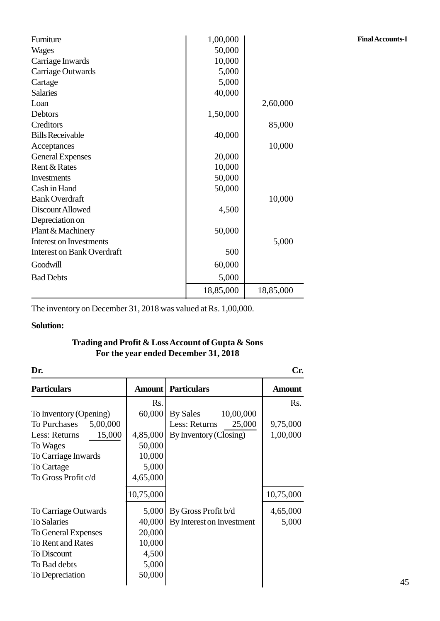| Furniture                                                             | 1,00,000  |           | <b>Final Accounts-I</b> |
|-----------------------------------------------------------------------|-----------|-----------|-------------------------|
| <b>Wages</b>                                                          | 50,000    |           |                         |
| Carriage Inwards                                                      | 10,000    |           |                         |
| Carriage Outwards                                                     | 5,000     |           |                         |
| Cartage                                                               | 5,000     |           |                         |
| <b>Salaries</b>                                                       | 40,000    |           |                         |
| Loan                                                                  |           | 2,60,000  |                         |
| Debtors                                                               | 1,50,000  |           |                         |
| Creditors                                                             |           | 85,000    |                         |
| <b>Bills Receivable</b>                                               | 40,000    |           |                         |
| Acceptances                                                           |           | 10,000    |                         |
| <b>General Expenses</b>                                               | 20,000    |           |                         |
| Rent & Rates                                                          | 10,000    |           |                         |
| <b>Investments</b>                                                    | 50,000    |           |                         |
| Cash in Hand                                                          | 50,000    |           |                         |
| <b>Bank Overdraft</b>                                                 |           | 10,000    |                         |
| Discount Allowed                                                      | 4,500     |           |                         |
| Depreciation on                                                       |           |           |                         |
| Plant & Machinery                                                     | 50,000    |           |                         |
| <b>Interest on Investments</b>                                        |           | 5,000     |                         |
| <b>Interest on Bank Overdraft</b>                                     | 500       |           |                         |
| Goodwill                                                              | 60,000    |           |                         |
| <b>Bad Debts</b>                                                      | 5,000     |           |                         |
|                                                                       | 18,85,000 | 18,85,000 |                         |
| The inventory on December $31, 2018$ was valued at $P_8$ , $1,00,000$ |           |           |                         |

The inventory on December 31, 2018 was valued at Rs. 1,00,000.

#### **Solution:**

# **For the year ended December 31, 2018**

| For the year ended December 31, 2018 |                  |                           |               |  |
|--------------------------------------|------------------|---------------------------|---------------|--|
| Dr.                                  |                  |                           | Cr.           |  |
| <b>Particulars</b>                   | Amount           | <b>Particulars</b>        | <b>Amount</b> |  |
|                                      | R <sub>S</sub> . |                           | Rs.           |  |
| To Inventory (Opening)               | 60,000           | 10,00,000<br>By Sales     |               |  |
| To Purchases<br>5,00,000             |                  | Less: Returns<br>25,000   | 9,75,000      |  |
| 15,000<br>Less: Returns              | 4,85,000         | By Inventory (Closing)    | 1,00,000      |  |
| To Wages                             | 50,000           |                           |               |  |
| To Carriage Inwards                  | 10,000           |                           |               |  |
| To Cartage                           | 5,000            |                           |               |  |
| To Gross Profit c/d                  | 4,65,000         |                           |               |  |
|                                      | 10,75,000        |                           | 10,75,000     |  |
| To Carriage Outwards                 | 5,000            | By Gross Profit b/d       | 4,65,000      |  |
| <b>To Salaries</b>                   | 40,000           | By Interest on Investment | 5,000         |  |
| To General Expenses                  | 20,000           |                           |               |  |
| To Rent and Rates                    | 10,000           |                           |               |  |
| <b>To Discount</b>                   | 4,500            |                           |               |  |
| To Bad debts                         | 5,000            |                           |               |  |
| To Depreciation                      | 50,000           |                           |               |  |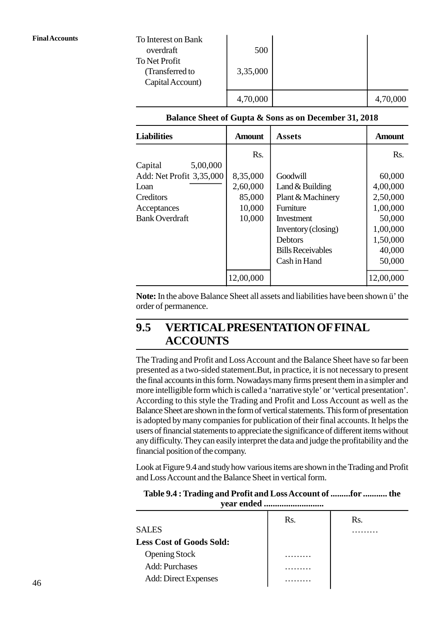| To Interest on Bank<br>overdraft                     | 500      |          |
|------------------------------------------------------|----------|----------|
| To Net Profit<br>(Transferred to<br>Capital Account) | 3,35,000 |          |
|                                                      | 4,70,000 | 4,70,000 |

| Capital Account)                                      |               |                          |               |  |  |  |
|-------------------------------------------------------|---------------|--------------------------|---------------|--|--|--|
|                                                       | 4,70,000      |                          | 4,70,000      |  |  |  |
| Balance Sheet of Gupta & Sons as on December 31, 2018 |               |                          |               |  |  |  |
| <b>Liabilities</b>                                    | <b>Amount</b> | <b>Assets</b>            | <b>Amount</b> |  |  |  |
|                                                       | Rs.           |                          | Rs.           |  |  |  |
| 5,00,000<br>Capital                                   |               |                          |               |  |  |  |
| Add: Net Profit 3,35,000                              | 8,35,000      | Goodwill                 | 60,000        |  |  |  |
| Loan                                                  | 2,60,000      | Land $&$ Building        | 4,00,000      |  |  |  |
| Creditors                                             | 85,000        | Plant & Machinery        | 2,50,000      |  |  |  |
| Acceptances                                           | 10,000        | Furniture                | 1,00,000      |  |  |  |
| <b>Bank Overdraft</b>                                 | 10,000        | Investment               | 50,000        |  |  |  |
|                                                       |               | Inventory (closing)      | 1,00,000      |  |  |  |
|                                                       |               | <b>Debtors</b>           | 1,50,000      |  |  |  |
|                                                       |               | <b>Bills Receivables</b> | 40,000        |  |  |  |
|                                                       |               | Cash in Hand             | 50,000        |  |  |  |
|                                                       | 12,00,000     |                          | 12,00,000     |  |  |  |
|                                                       |               |                          |               |  |  |  |

**Note:** In the above Balance Sheet all assets and liabilities have been shown ü' the order of permanence.

# **1.5 VERTICAL PRESENTATION OF FINAL ACCOUNTS**

The Trading and Profit and Loss Account and the Balance Sheet have so far been presented as a two-sided statement.But, in practice, it is not necessary to present the final accounts in this form. Nowadays many firms present them in a simpler and more intelligible form which is called a 'narrative style' or 'vertical presentation'. According to this style the Trading and Profit and Loss Account as well as the Balance Sheet are shown in the form of vertical statements. This form of presentation is adopted by many companies for publication of their final accounts. It helps the users of financial statements to appreciate the significance of different items without any difficulty. They can easily interpret the data and judge the profitability and the financial position of the company.

Look at Figure 1.4 and study how various items are shown in the Trading and Profit and Loss Account and the Balance Sheet in vertical form.

| Table 1.4: Trading and Profit and Loss Account of for  the |
|------------------------------------------------------------|
|                                                            |

|                                 | Rs. | Rs. |
|---------------------------------|-----|-----|
| <b>SALES</b>                    |     |     |
| <b>Less Cost of Goods Sold:</b> |     |     |
| <b>Opening Stock</b>            |     |     |
| <b>Add: Purchases</b>           |     |     |
| <b>Add: Direct Expenses</b>     |     |     |
|                                 |     |     |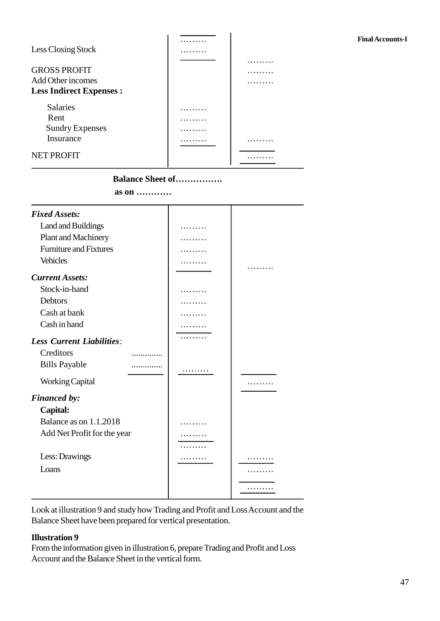## ……… **Final Accounts-I**

| Less Closing Stock                                                         | .<br>. |             |
|----------------------------------------------------------------------------|--------|-------------|
| <b>GROSS PROFIT</b><br>Add Other incomes<br><b>Less Indirect Expenses:</b> |        | .<br>.<br>. |
| <b>Salaries</b><br>Rent<br><b>Sundry Expenses</b><br>Insurance             |        |             |
| <b>NET PROFIT</b>                                                          |        |             |

#### **Balance Sheet of…………….**

|                                  | as on |   |            |
|----------------------------------|-------|---|------------|
| <b>Fixed Assets:</b>             |       |   |            |
| Land and Buildings               |       | . |            |
| Plant and Machinery              |       |   |            |
| <b>Furniture and Fixtures</b>    |       |   |            |
| <b>Vehicles</b>                  |       |   | .          |
| <b>Current Assets:</b>           |       |   |            |
| Stock-in-hand                    |       |   |            |
| <b>Debtors</b>                   |       |   |            |
| Cash at bank                     |       |   |            |
| Cash in hand                     |       |   |            |
| <b>Less Current Liabilities:</b> |       | . |            |
| Creditors                        |       |   |            |
| <b>Bills Payable</b>             |       |   |            |
| <b>Working Capital</b>           |       | . |            |
|                                  |       |   |            |
| <b>Financed by:</b>              |       |   |            |
| Capital:                         |       |   |            |
| Balance as on 1.1.2018           |       | . |            |
| Add Net Profit for the year      |       |   |            |
|                                  |       |   |            |
| Less: Drawings                   |       | . | <b>.</b> . |
| Loans                            |       |   |            |
|                                  |       |   | .          |
|                                  |       |   |            |

Look at illustration 9 and study how Trading and Profit and Loss Account and the Balance Sheet have been prepared for vertical presentation.

#### **Illustration 9**

From the information given in illustration 6, prepare Trading and Profit and Loss Account and the Balance Sheet in the vertical form.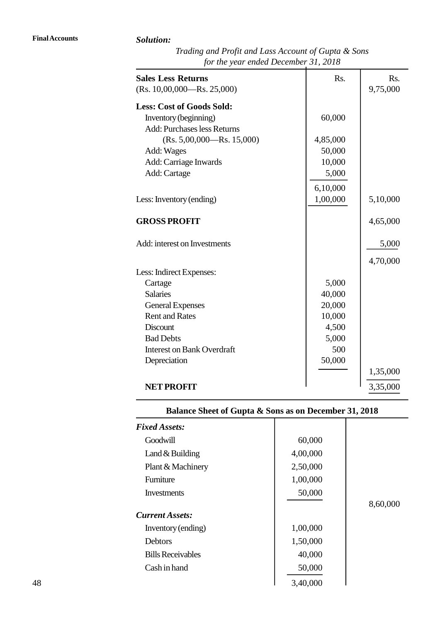| Trading and Profit and Lass Account of Gupta & Sons |  |
|-----------------------------------------------------|--|
| for the year ended December 31, 2018                |  |

| Solution:                                           |          |          |
|-----------------------------------------------------|----------|----------|
| Trading and Profit and Lass Account of Gupta & Sons |          |          |
| for the year ended December 31, 2018                |          |          |
| <b>Sales Less Returns</b>                           | Rs.      | Rs.      |
| $(Rs. 10,00,000 - Rs. 25,000)$                      |          | 9,75,000 |
| <b>Less: Cost of Goods Sold:</b>                    |          |          |
| Inventory (beginning)                               | 60,000   |          |
| <b>Add: Purchases less Returns</b>                  |          |          |
| $(Rs. 5,00,000 - Rs. 15,000)$                       | 4,85,000 |          |
| Add: Wages                                          | 50,000   |          |
| Add: Carriage Inwards                               | 10,000   |          |
| Add: Cartage                                        | 5,000    |          |
|                                                     | 6,10,000 |          |
| Less: Inventory (ending)                            | 1,00,000 | 5,10,000 |
|                                                     |          |          |
| <b>GROSS PROFIT</b>                                 |          | 4,65,000 |
| Add: interest on Investments                        |          | 5,000    |
|                                                     |          | 4,70,000 |
| Less: Indirect Expenses:                            |          |          |
| Cartage                                             | 5,000    |          |
| <b>Salaries</b>                                     | 40,000   |          |
| <b>General Expenses</b>                             | 20,000   |          |
| <b>Rent and Rates</b>                               | 10,000   |          |
| <b>Discount</b>                                     | 4,500    |          |
| <b>Bad Debts</b>                                    | 5,000    |          |
| <b>Interest on Bank Overdraft</b>                   | 500      |          |
| Depreciation                                        | 50,000   |          |
|                                                     |          | 1,35,000 |
| <b>NET PROFIT</b>                                   |          | 3,35,000 |

# **Balance Sheet of Gupta & Sons as on December 31, 2018**

| <b>Fixed Assets:</b>     |          |          |
|--------------------------|----------|----------|
| Goodwill                 | 60,000   |          |
| Land $&$ Building        | 4,00,000 |          |
| Plant & Machinery        | 2,50,000 |          |
| Furniture                | 1,00,000 |          |
| <b>Investments</b>       | 50,000   |          |
|                          |          | 8,60,000 |
| <b>Current Assets:</b>   |          |          |
| Inventory (ending)       | 1,00,000 |          |
| <b>Debtors</b>           | 1,50,000 |          |
| <b>Bills Receivables</b> | 40,000   |          |
| Cash in hand             | 50,000   |          |
|                          | 3,40,000 |          |

23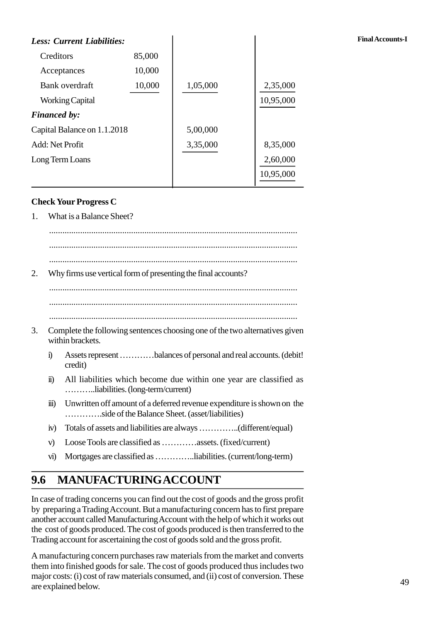| <b>Less: Current Liabilities:</b>                              |        |          |           | <b>Final Accounts-I</b> |
|----------------------------------------------------------------|--------|----------|-----------|-------------------------|
| Creditors                                                      | 85,000 |          |           |                         |
| Acceptances                                                    | 10,000 |          |           |                         |
| Bank overdraft                                                 | 10,000 | 1,05,000 | 2,35,000  |                         |
| <b>Working Capital</b>                                         |        |          | 10,95,000 |                         |
| <b>Financed by:</b>                                            |        |          |           |                         |
| Capital Balance on 1.1.2018                                    |        | 5,00,000 |           |                         |
| Add: Net Profit                                                |        | 3,35,000 | 8,35,000  |                         |
| Long Term Loans                                                |        |          | 2,60,000  |                         |
|                                                                |        |          | 10,95,000 |                         |
| <b>Check Your Progress C</b><br>What is a Balance Sheet?<br>1. |        |          |           |                         |
|                                                                |        |          |           |                         |

#### **Check Your Progress C**

................................................................................................................ ................................................................................................................ 2. Why firms use vertical form of presenting the final accounts? ................................................................................................................ ................................................................................................................ 2. And 2.1 The following sentences choosing one of the two alternatives given within brackets. within brackets. i) Assets represent …………balances of personal and real accounts. (debit! credit) Complete the following sentences choosing one of the two alternatives given<br>within brackets.<br>i) Assets represent ...........balances of personal and real accounts. (debit!<br>credit)<br>ii) All liabilities which become due withi ………..liabilities. (long-term/current) iii) Unwritten off amount of a deferred revenue expenditure is shown on the ………….side of the Balance Sheet. (asset/liabilities) iv) Totals of assets and liabilities are always …………..(different/equal)

- v) Loose Tools are classified as …………assets. (fixed/current)
- vi) Mortgages are classified as …………..liabilities. (current/long-term)

# **1.6 MANUFACTURINGACCOUNT**

In case of trading concerns you can find out the cost of goods and the gross profit by preparing a Trading Account. But a manufacturing concern has to first prepare another account called Manufacturing Account with the help of which it works out the cost of goods produced. The cost of goods produced is then transferred to the Trading account for ascertaining the cost of goods sold and the gross profit.

A manufacturing concern purchases raw materials from the market and converts them into finished goods for sale. The cost of goods produced thus includes two major costs: (i) cost of raw materials consumed, and (ii) cost of conversion. These are explained below.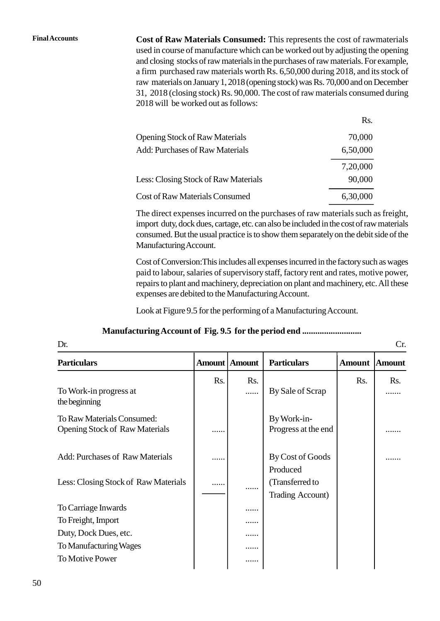**Final Accounts Cost of Raw Materials Consumed:** This represents the cost of rawmaterials used in course of manufacture which can be worked out by adjusting the opening and closing stocks of raw materials in the purchases of raw materials. For example, a firm purchased raw materials worth Rs. 6,50,000 during 2018, and its stock of raw materials on January 1, 2018 (opening stock) was Rs. 70,000 and on December 31, 2018 (closing stock) Rs. 90,000. The cost of raw materials consumed during 2018 will be worked out as follows:

|                                        | Rs.      |
|----------------------------------------|----------|
| <b>Opening Stock of Raw Materials</b>  | 70,000   |
| <b>Add: Purchases of Raw Materials</b> | 6,50,000 |
|                                        | 7,20,000 |
| Less: Closing Stock of Raw Materials   | 90,000   |
| Cost of Raw Materials Consumed         | 6,30,000 |

The direct expenses incurred on the purchases of raw materials such as freight, import duty, dock dues, cartage, etc. can also be included in the cost of raw materials consumed. But the usual practice is to show them separately on the debit side of the Manufacturing Account.

Cost of Conversion:This includes all expenses incurred in the factory such as wages paid to labour, salaries of supervisory staff, factory rent and rates, motive power, repairs to plant and machinery, depreciation on plant and machinery, etc. All these expenses are debited to the Manufacturing Account.

Look at Figure 1.5 for the performing of a Manufacturing Account.

#### **Manufacturing Account of Fig. 1.5 for the period end ...........................**

|                                                      |               |               | Look at Figure 1.5 for the performing of a Manufacturing Account. |               |               |
|------------------------------------------------------|---------------|---------------|-------------------------------------------------------------------|---------------|---------------|
| Manufacturing Account of Fig. 1.5 for the period end |               |               |                                                                   |               |               |
| Dr.                                                  |               |               |                                                                   |               | Cr.           |
| <b>Particulars</b>                                   | <b>Amount</b> | <b>Amount</b> | <b>Particulars</b>                                                | <b>Amount</b> | <b>Amount</b> |
|                                                      | Rs.           | Rs.           |                                                                   | Rs.           | Rs.           |
| To Work-in progress at<br>the beginning              |               | .             | By Sale of Scrap                                                  |               |               |
| To Raw Materials Consumed:                           |               |               | By Work-in-                                                       |               |               |
| <b>Opening Stock of Raw Materials</b>                |               |               | Progress at the end                                               |               |               |
| <b>Add: Purchases of Raw Materials</b>               |               |               | By Cost of Goods                                                  |               |               |
|                                                      |               |               | Produced                                                          |               |               |
| Less: Closing Stock of Raw Materials                 | .             | .             | (Transferred to                                                   |               |               |
|                                                      |               |               | Trading Account)                                                  |               |               |
| To Carriage Inwards                                  |               | .             |                                                                   |               |               |
| To Freight, Import                                   |               |               |                                                                   |               |               |
| Duty, Dock Dues, etc.                                |               |               |                                                                   |               |               |
| To Manufacturing Wages                               |               | .             |                                                                   |               |               |
| <b>To Motive Power</b>                               |               | .             |                                                                   |               |               |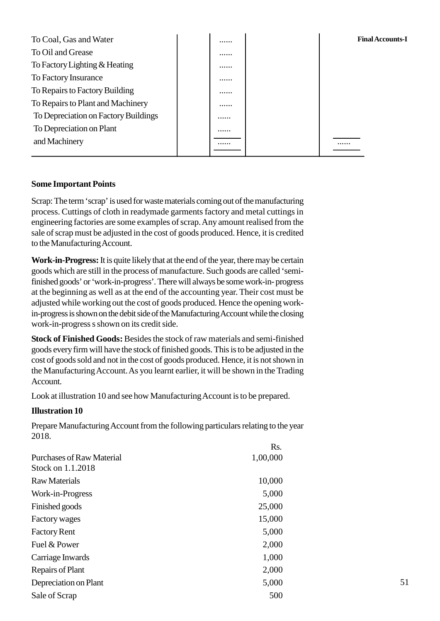| To Coal, Gas and Water               |  | <b>Final Accounts-I</b> |
|--------------------------------------|--|-------------------------|
| To Oil and Grease                    |  |                         |
| To Factory Lighting & Heating        |  |                         |
| To Factory Insurance                 |  |                         |
| To Repairs to Factory Building       |  |                         |
| To Repairs to Plant and Machinery    |  |                         |
| To Depreciation on Factory Buildings |  |                         |
| To Depreciation on Plant             |  |                         |
| and Machinery                        |  |                         |
|                                      |  |                         |

#### **Some Important Points**

Scrap: The term 'scrap' is used for waste materials coming out of the manufacturing process. Cuttings of cloth in readymade garments factory and metal cuttings in engineering factories are some examples of scrap. Any amount realised from the sale of scrap must be adjusted in the cost of goods produced. Hence, it is credited to the Manufacturing Account.

**Work-in-Progress:**It is quite likely that at the end of the year, there may be certain goods which are still in the process of manufacture. Such goods are called 'semifinished goods' or 'work-in-progress'. There will always be some work-in- progress at the beginning as well as at the end of the accounting year. Their cost must be adjusted while working out the cost of goods produced. Hence the opening workin-progress is shown on the debit side of the Manufacturing Account while the closing work-in-progress s shown on its credit side.

**Stock of Finished Goods:** Besides the stock of raw materials and semi-finished goods every firm will have the stock of finished goods. This is to be adjusted in the cost of goods sold and not in the cost of goods produced. Hence, it is not shown in the Manufacturing Account. As you learnt earlier, it will be shown in the Trading Account.

Look at illustration 10 and see how Manufacturing Account is to be prepared.

#### **Illustration 10**

Prepare Manufacturing Account from the following particulars relating to the year 2018.

|                                  | Rs.      |
|----------------------------------|----------|
| <b>Purchases of Raw Material</b> | 1,00,000 |
| Stock on 1.1.2018                |          |
| <b>Raw Materials</b>             | 10,000   |
| Work-in-Progress                 | 5,000    |
| Finished goods                   | 25,000   |
| Factory wages                    | 15,000   |
| <b>Factory Rent</b>              | 5,000    |
| Fuel & Power                     | 2,000    |
| Carriage Inwards                 | 1,000    |
| Repairs of Plant                 | 2,000    |
| Depreciation on Plant            | 5,000    |
| Sale of Scrap                    | 500      |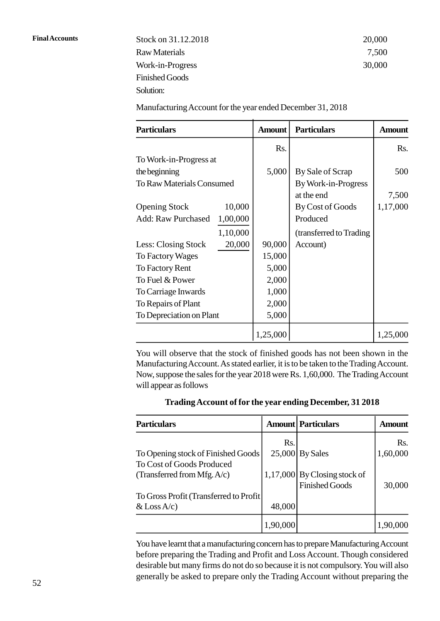**Final Accounts** Stock on 31.12.2018 20,000 Raw Materials 7,500 Work-in-Progress 30,000 Finished Goods Solution:

| <b>Particulars</b>                    | <b>Amount</b> | <b>Particulars</b>       | <b>Amount</b> |
|---------------------------------------|---------------|--------------------------|---------------|
|                                       | Rs.           |                          | Rs.           |
| To Work-in-Progress at                |               |                          |               |
| the beginning                         | 5,000         | By Sale of Scrap         | 500           |
| <b>To Raw Materials Consumed</b>      |               | By Work-in-Progress      |               |
|                                       |               | at the end               | 7,500         |
| 10,000<br><b>Opening Stock</b>        |               | By Cost of Goods         | 1,17,000      |
| 1,00,000<br><b>Add: Raw Purchased</b> |               | Produced                 |               |
| 1,10,000                              |               | (transferred to Trading) |               |
| 20,000<br>Less: Closing Stock         | 90,000        | Account)                 |               |
| To Factory Wages                      | 15,000        |                          |               |
| To Factory Rent                       | 5,000         |                          |               |
| To Fuel & Power                       | 2,000         |                          |               |
| To Carriage Inwards                   | 1,000         |                          |               |
| To Repairs of Plant                   | 2,000         |                          |               |
| To Depreciation on Plant              | 5,000         |                          |               |

You will observe that the stock of finished goods has not been shown in the Manufacturing Account. As stated earlier, it is to be taken to the Trading Account. will appear as follows

| Trading Account of for the year ending December, 31 2018 |  |
|----------------------------------------------------------|--|
|                                                          |  |

| Trading Account of for the year ending December, 31 2018        |          |                                                         |               |  |
|-----------------------------------------------------------------|----------|---------------------------------------------------------|---------------|--|
| <b>Particulars</b>                                              |          | <b>Amount Particulars</b>                               | <b>Amount</b> |  |
|                                                                 | Rs.      |                                                         | Rs.           |  |
| To Opening stock of Finished Goods<br>To Cost of Goods Produced | 25,000   | <b>By Sales</b>                                         | 1,60,000      |  |
| (Transferred from Mfg. A/c)                                     |          | $1,17,000$ By Closing stock of<br><b>Finished Goods</b> | 30,000        |  |
| To Gross Profit (Transferred to Profit)                         |          |                                                         |               |  |
| $&$ Loss A/c)                                                   | 48,000   |                                                         |               |  |
|                                                                 | 1.90.000 |                                                         | 1,90,000      |  |

You have learnt that a manufacturing concern has to prepare Manufacturing Account before preparing the Trading and Profit and Loss Account. Though considered 1,90,000<br>
You have learnt that a manufacturing concern has to prepare Manufacturing Account<br>
before preparing the Trading and Profit and Loss Account. Though considered<br>
desirable but many firms do not do so because it is generally be asked to prepare only the Trading Account without preparing the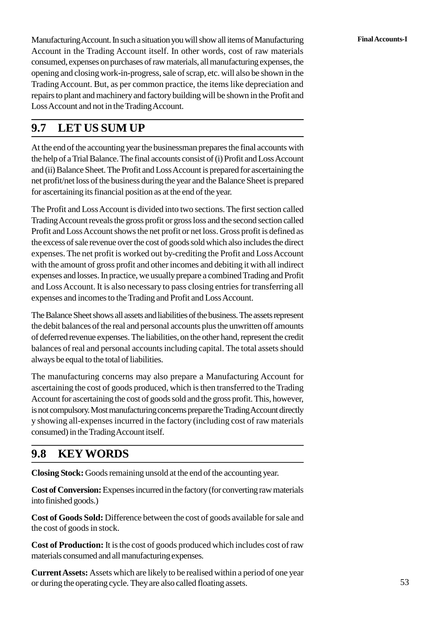Manufacturing Account. In such a situation you will show all items of Manufacturing **Final Accounts-I** Account in the Trading Account itself. In other words, cost of raw materials consumed, expenses on purchases of raw materials, all manufacturing expenses, the opening and closing work-in-progress, sale of scrap, etc. will also be shown in the Trading Account. But, as per common practice, the items like depreciation and repairs to plant and machinery and factory building will be shown in the Profit and Loss Account and not in the Trading Account.

# **1.7 LET US SUM UP**

At the end of the accounting year the businessman prepares the final accounts with the help of a Trial Balance. The final accounts consist of (i) Profit and Loss Account and (ii) Balance Sheet. The Profit and Loss Account is prepared for ascertaining the net profit/net loss of the business during the year and the Balance Sheet is prepared for ascertaining its financial position as at the end of the year.

The Profit and Loss Account is divided into two sections. The first section called Trading Account reveals the gross profit or gross loss and the second section called Profit and Loss Account shows the net profit or net loss. Gross profit is defined as the excess of sale revenue over the cost of goods sold which also includes the direct expenses. The net profit is worked out by-crediting the Profit and Loss Account with the amount of gross profit and other incomes and debiting it with all indirect expenses and losses. In practice, we usually prepare a combined Trading and Profit and Loss Account. It is also necessary to pass closing entries for transferring all expenses and incomes to the Trading and Profit and Loss Account.

The Balance Sheet shows all assets and liabilities of the business. The assets represent the debit balances of the real and personal accounts plus the unwritten off amounts of deferred revenue expenses. The liabilities, on the other hand, represent the credit balances of real and personal accounts including capital. The total assets should always be equal to the total of liabilities.

The manufacturing concerns may also prepare a Manufacturing Account for ascertaining the cost of goods produced, which is then transferred to the Trading Account for ascertaining the cost of goods sold and the gross profit. This, however, is not compulsory. Most manufacturing concerns prepare the Trading Account directly y showing all-expenses incurred in the factory (including cost of raw materials consumed) in the Trading Account itself.

# **1.8 KEYWORDS**

**Closing Stock:** Goods remaining unsold at the end of the accounting year.

**Cost of Conversion:** Expenses incurred in the factory (for converting raw materials into finished goods.)

**Cost of Goods Sold:** Difference between the cost of goods available for sale and the cost of goods in stock.

**Cost of Production:** It is the cost of goods produced which includes cost of raw materials consumed and all manufacturing expenses.

**Current Assets:** Assets which are likely to be realised within a period of one year or during the operating cycle. They are also called floating assets.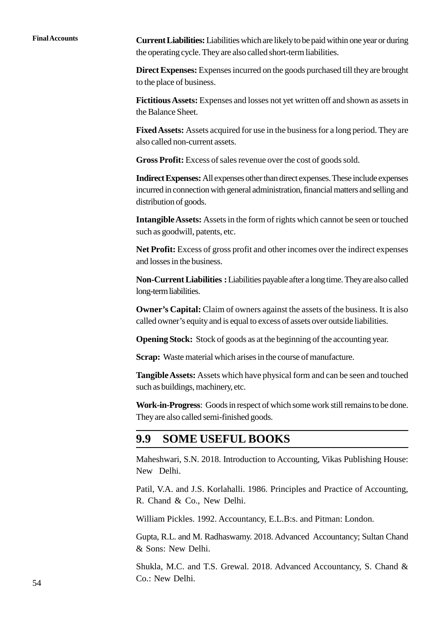**Final Accounts Current Liabilities:**Liabilities which are likely to be paid within one year or during the operating cycle. They are also called short-term liabilities.

> **Direct Expenses:** Expenses incurred on the goods purchased till they are brought to the place of business.

> **Fictitious Assets:** Expenses and losses not yet written off and shown as assets in the Balance Sheet.

> **Fixed Assets:** Assets acquired for use in the business for a long period. They are also called non-current assets.

**Gross Profit:** Excess of sales revenue over the cost of goods sold.

**Indirect Expenses:**All expenses other than direct expenses. These include expenses incurred in connection with general administration, financial matters and selling and distribution of goods.

**Intangible Assets:** Assets in the form of rights which cannot be seen or touched such as goodwill, patents, etc.

**Net Profit:** Excess of gross profit and other incomes over the indirect expenses and losses in the business.

**Non-Current Liabilities :**Liabilities payable after a long time. They are also called long-term liabilities.

**Owner's Capital:** Claim of owners against the assets of the business. It is also called owner's equity and is equal to excess of assets over outside liabilities.

**Opening Stock:** Stock of goods as at the beginning of the accounting year.

**Scrap:** Waste material which arises in the course of manufacture.

**Tangible Assets:** Assets which have physical form and can be seen and touched such as buildings, machinery, etc.

**Work-in-Progress**: Goods in respect of which some work still remains to be done. They are also called semi-finished goods.

## **1.9 SOME USEFUL BOOKS**

Maheshwari, S.N. 2018. Introduction to Accounting, Vikas Publishing House: New Delhi.

Patil, V.A. and J.S. Korlahalli. 1986. Principles and Practice of Accounting, R. Chand & Co., New Delhi.

William Pickles. 1992. Accountancy, E.L.B:s. and Pitman: London.

Gupta, R.L. and M. Radhaswamy. 2018. Advanced Accountancy; Sultan Chand & Sons: New Delhi.

Shukla, M.C. and T.S. Grewal. 2018. Advanced Accountancy, S. Chand & Co.: New Delhi.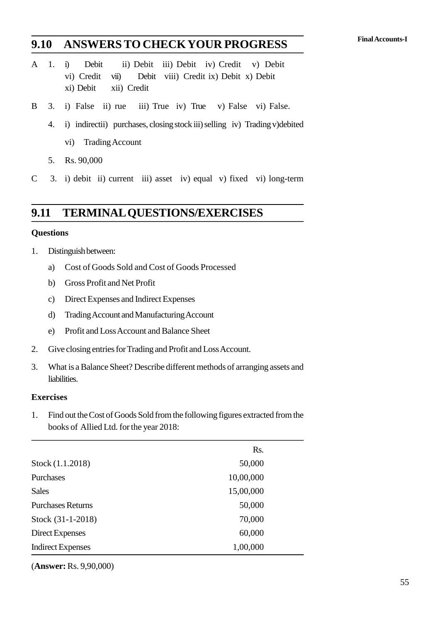# **Final Accounts-I 1.10 ANSWERSTO CHECKYOUR PROGRESS**

- 1.10 ANSWERS TO CHECKYOUR PROGRESS<br>
A 1. i) Debit ii) Debit iii) Debit iv) Credit v) Debit<br>
vi) Credit vii) Debit viii) Credit ix) Debit x) Debit **ANSWERS TO CHECKYOUR PROGRESS**<br>
(i) Debit ii) Debit iii) Debit iv) Credit v) Debit<br>
(vi) Credit viii) Debit viii) Credit ix) Debit x) Debit<br>
(xi) Debit xii) Credit **ANSWERS TO CHE**<br>
(i) Debit ii) Debit ii<br>
(vi) Credit vii) Debit v<br>
(xi) Debit xii) Credit<br>
(i) False ii) rue iii) True A 1. i) Debit ii) Debit iii) Debit iv) Credit v) Debit<br>
vi) Credit viii) Debit viii) Credit ix) Debit x) Debit<br>
xi) Debit xii) Credit<br>
B 3. i) False ii) rue iii) True iv) True v) False vi) False.<br>
4 i) indirectii) purchase vi) Credit vii) Debit viii) Credit ix) Debit x) Debit xi) Debit xii) Credit<br>
3. i) False ii) rue iii) True iv) True v) False vi) False.<br>
4. i) indirectii) purchases, closing stock iii) selling iv) Trading v)debited<br>
vi) Tr
- xi) Debit Xii) Credit<br>i) False ii) rue iii) Ti<br>i) indirectii) purchases, clo<br>vi) Trading Account<br>Rs 90.000
	- 5. 1) Faise 11) rue<br>4. i) indirectii) purcha<br>vi) Trading Accou<br>5. Rs. 90,000<br>3. i) debit, ii) current
		-
	-
- 4. i) monecur) purchases, closing stock in sening iv) frading v) debited<br>vi) Trading Account<br>5. Rs. 90,000<br>C 3. i) debit ii) current iii) asset iv) equal v) fixed vi) long-term

# **1.11 TERMINAL QUESTIONS/EXERCISES 1.11 TERMINAL (**<br>Questions<br>1. Distinguish between:<br>a) Cost of Goods Sold

#### **Questions**

- 
- FENNINAL QUESTIONS/EXERCISES<br>
stions<br>
Distinguish between:<br>
a) Cost of Goods Sold and Cost of Goods Processed<br>
b) Gross Profit and Net Profit Francesonal<br>
Sistinguish between:<br>
Sold and Cost of<br>
Gross Profit and Net Profit<br>
C) Direct Expenses and Indirect Ex Distinguish between:<br>
a) Cost of Goods Sold and Cost of Goods Proce<br>
b) Gross Profit and Net Profit<br>
c) Direct Expenses and Indirect Expenses<br>
d) Trading Account and Manufacturing Account (a) Cost of Goods Sold and Cost of Goods Processe<br>
b) Gross Profit and Net Profit<br>
c) Direct Expenses and Indirect Expenses<br>
d) Trading Account and Manufacturing Account<br>
e) Profit and Loss Account and Balance Sheet
	-
	-
	-
	- b) Gross Profit and Net Profit<br>
	c) Direct Expenses and Indirect Expenses<br>
	d) Trading Account and Manufacturing Account<br>
	e) Profit and Loss Account and Balance Sheet<br>
	Give closing entries for Trading and Profit and Loss Acc
- 2. Give closing entries for Trading and Profit and Loss Account<br>
2. Give closing entries for Trading and Profit and Loss Account.<br>
2. Give closing entries for Trading and Profit and Loss Account.<br>
2. What is a Balance Shee
- 3. Trading Account and Manufacturing Account<br>
2. Give closing entries for Trading and Profit and Loss Account.<br>
3. What is a Balance Sheet? Describe different methods of arranging assets and<br>
liabilities. liabilities.

#### **Exercises**

1. Find out the Cost of Goods Sold from the following figures extracted from the books of Allied Ltd. for the year 2018: books of Allied Ltd. for the year 2018:

|                          | Rs.       |
|--------------------------|-----------|
| Stock (1.1.2018)         | 50,000    |
| Purchases                | 10,00,000 |
| <b>Sales</b>             | 15,00,000 |
| <b>Purchases Returns</b> | 50,000    |
| Stock (31-1-2018)        | 70,000    |
| Direct Expenses          | 60,000    |
| <b>Indirect Expenses</b> | 1,00,000  |

(**Answer:** Rs. 9,90,000)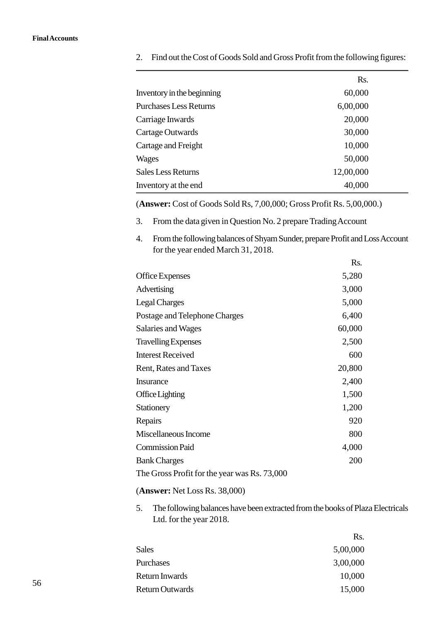|                                                                                 | Rs.       |  |
|---------------------------------------------------------------------------------|-----------|--|
| Inventory in the beginning                                                      | 60,000    |  |
| <b>Purchases Less Returns</b>                                                   | 6,00,000  |  |
| Carriage Inwards                                                                | 20,000    |  |
| Cartage Outwards                                                                | 30,000    |  |
| Cartage and Freight                                                             | 10,000    |  |
| Wages                                                                           | 50,000    |  |
| <b>Sales Less Returns</b>                                                       | 12,00,000 |  |
| Inventory at the end                                                            | 40,000    |  |
| (Answer: Cost of Goods Sold Rs, 7,00,000; Gross Profit Rs. 5,00,000.)           |           |  |
| From the data given in Question No. 2 prepare Trading Account<br>3.             |           |  |
| From the following balances of Shyam Sunder, prepare Profit and Loss Accou<br>Δ |           |  |

2. Find out the Cost of Goods Sold and Gross Profit from the following figures:

- 
- 4. From the following balances of Shyam Sunder, prepare Profit and Loss Account for the year ended March 31, 2018.

|                                              | Rs.    |  |
|----------------------------------------------|--------|--|
| Office Expenses                              | 5,280  |  |
| Advertising                                  | 3,000  |  |
| <b>Legal Charges</b>                         | 5,000  |  |
| Postage and Telephone Charges                | 6,400  |  |
| Salaries and Wages                           | 60,000 |  |
| <b>Travelling Expenses</b>                   | 2,500  |  |
| <b>Interest Received</b>                     | 600    |  |
| Rent, Rates and Taxes                        | 20,800 |  |
| <b>Insurance</b>                             | 2,400  |  |
| Office Lighting                              | 1,500  |  |
| Stationery                                   | 1,200  |  |
| Repairs                                      | 920    |  |
| Miscellaneous Income                         | 800    |  |
| <b>Commission Paid</b>                       | 4,000  |  |
| <b>Bank Charges</b>                          | 200    |  |
| The Gross Profit for the year was Rs. 73,000 |        |  |

#### (**Answer:** Net Loss Rs. 38,000)

5. The following balances have been extracted from the books of Plaza Electricals Ltd. for the year 2018.

|                 | Rs.      |
|-----------------|----------|
| <b>Sales</b>    | 5,00,000 |
| Purchases       | 3,00,000 |
| Return Inwards  | 10,000   |
| Return Outwards | 15,000   |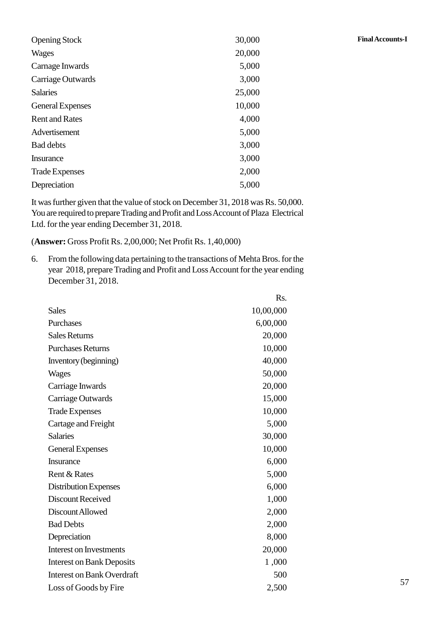| <b>Opening Stock</b>    | 30,000 | <b>Final Accounts-I</b> |
|-------------------------|--------|-------------------------|
| <b>Wages</b>            | 20,000 |                         |
| Carnage Inwards         | 5,000  |                         |
| Carriage Outwards       | 3,000  |                         |
| <b>Salaries</b>         | 25,000 |                         |
| <b>General Expenses</b> | 10,000 |                         |
| <b>Rent and Rates</b>   | 4,000  |                         |
| Advertisement           | 5,000  |                         |
| <b>Bad debts</b>        | 3,000  |                         |
| Insurance               | 3,000  |                         |
| <b>Trade Expenses</b>   | 2,000  |                         |
| Depreciation            | 5,000  |                         |

It was further given that the value of stock on December 31, 2018 was Rs. 50,000. You are required to prepare Trading and Profit and Loss Account of Plaza Electrical Ltd. for the year ending December 31, 2018.

(**Answer:** Gross Profit Rs. 2,00,000; Net Profit Rs. 1,40,000)

6. From the following data pertaining to the transactions of Mehta Bros. for the year 2018, prepare Trading and Profit and Loss Account for the year ending December 31, 2018.

|                                   | Rs.       |  |
|-----------------------------------|-----------|--|
| <b>Sales</b>                      | 10,00,000 |  |
| Purchases                         | 6,00,000  |  |
| <b>Sales Returns</b>              | 20,000    |  |
| <b>Purchases Returns</b>          | 10,000    |  |
| Inventory (beginning)             | 40,000    |  |
| Wages                             | 50,000    |  |
| Carriage Inwards                  | 20,000    |  |
| Carriage Outwards                 | 15,000    |  |
| <b>Trade Expenses</b>             | 10,000    |  |
| Cartage and Freight               | 5,000     |  |
| <b>Salaries</b>                   | 30,000    |  |
| <b>General Expenses</b>           | 10,000    |  |
| <b>Insurance</b>                  | 6,000     |  |
| Rent & Rates                      | 5,000     |  |
| Distribution Expenses             | 6,000     |  |
| <b>Discount Received</b>          | 1,000     |  |
| Discount Allowed                  | 2,000     |  |
| <b>Bad Debts</b>                  | 2,000     |  |
| Depreciation                      | 8,000     |  |
| <b>Interest on Investments</b>    | 20,000    |  |
| <b>Interest on Bank Deposits</b>  | 1,000     |  |
| <b>Interest on Bank Overdraft</b> | 500       |  |
| Loss of Goods by Fire             | 2,500     |  |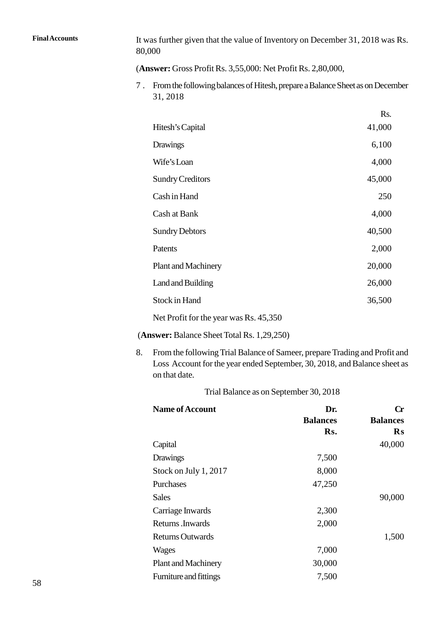Final Accounts It was further given that the value of Inventory on December 31, 2018 was Rs. 80,000

(**Answer:** Gross Profit Rs. 3,55,000: Net Profit Rs. 2,80,000,

7 . From the following balances of Hitesh, prepare a Balance Sheet as on December 31, 2018

|                                        | Rs.    |  |
|----------------------------------------|--------|--|
| Hitesh's Capital                       | 41,000 |  |
| Drawings                               | 6,100  |  |
| Wife's Loan                            | 4,000  |  |
| <b>Sundry Creditors</b>                | 45,000 |  |
| Cash in Hand                           | 250    |  |
| Cash at Bank                           | 4,000  |  |
| <b>Sundry Debtors</b>                  | 40,500 |  |
| Patents                                | 2,000  |  |
| <b>Plant and Machinery</b>             | 20,000 |  |
| Land and Building                      | 26,000 |  |
| Stock in Hand                          | 36,500 |  |
| Net Profit for the year was Rs. 45,350 |        |  |

(**Answer:** Balance Sheet Total Rs. 1,29,250)

8. From the following Trial Balance of Sameer, prepare Trading and Profit and Loss Account for the year ended September, 30, 2018, and Balance sheet as on that date.

| <b>2000 Trecount 101 the Jean Chucu Deptember, 20, 2010, and Bananec Sheet as</b><br>on that date. |                                        |                             |
|----------------------------------------------------------------------------------------------------|----------------------------------------|-----------------------------|
|                                                                                                    | Trial Balance as on September 30, 2018 |                             |
| <b>Name of Account</b>                                                                             | Dr.<br><b>Balances</b>                 | $\bf Cr$<br><b>Balances</b> |
|                                                                                                    | Rs.                                    | $\mathbf{R}$ s              |
| Capital                                                                                            |                                        | 40,000                      |
| Drawings                                                                                           | 7,500                                  |                             |
| Stock on July 1, 2017                                                                              | 8,000                                  |                             |
| Purchases                                                                                          | 47,250                                 |                             |
| <b>Sales</b>                                                                                       |                                        | 90,000                      |
| Carriage Inwards                                                                                   | 2,300                                  |                             |
| Returns.Inwards                                                                                    | 2,000                                  |                             |
| <b>Returns Outwards</b>                                                                            |                                        | 1,500                       |
| Wages                                                                                              | 7,000                                  |                             |
| <b>Plant and Machinery</b>                                                                         | 30,000                                 |                             |
| Furniture and fittings                                                                             | 7,500                                  |                             |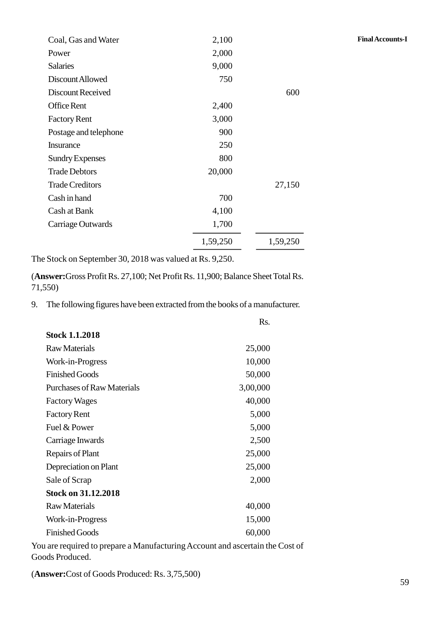| Coal, Gas and Water                                   | 2,100    |          | <b>Final Accounts-I</b> |
|-------------------------------------------------------|----------|----------|-------------------------|
| Power                                                 | 2,000    |          |                         |
| <b>Salaries</b>                                       | 9,000    |          |                         |
| Discount Allowed                                      | 750      |          |                         |
| Discount Received                                     |          | 600      |                         |
| Office Rent                                           | 2,400    |          |                         |
| <b>Factory Rent</b>                                   | 3,000    |          |                         |
| Postage and telephone                                 | 900      |          |                         |
| Insurance                                             | 250      |          |                         |
| <b>Sundry Expenses</b>                                | 800      |          |                         |
| <b>Trade Debtors</b>                                  | 20,000   |          |                         |
| <b>Trade Creditors</b>                                |          | 27,150   |                         |
| Cash in hand                                          | 700      |          |                         |
| Cash at Bank                                          | 4,100    |          |                         |
| Carriage Outwards                                     | 1,700    |          |                         |
|                                                       | 1,59,250 | 1,59,250 |                         |
| Stock on September 30, 2018 was valued at Rs. $9.250$ |          |          |                         |

The Stock on September 30, 2018 was valued at Rs. 9,250.

(**Answer:**Gross Profit Rs. 27,100; Net Profit Rs. 11,900; Balance Sheet Total Rs. 71,550) The Stock on September 30, 2018 was valued at Rs. 9,250.<br>
(Answer:Gross Profit Rs. 27,100; Net Profit Rs. 11,900; Balance Sheet Total Rs.<br>
71,550)<br>
9. The following figures have been extracted from the books of a manufactu

|                                   | Rs.      |
|-----------------------------------|----------|
| <b>Stock 1.1.2018</b>             |          |
| <b>Raw Materials</b>              | 25,000   |
| Work-in-Progress                  | 10,000   |
| <b>Finished Goods</b>             | 50,000   |
| <b>Purchases of Raw Materials</b> | 3,00,000 |
| <b>Factory Wages</b>              | 40,000   |
| <b>Factory Rent</b>               | 5,000    |
| Fuel & Power                      | 5,000    |
| Carriage Inwards                  | 2,500    |
| Repairs of Plant                  | 25,000   |
| Depreciation on Plant             | 25,000   |
| Sale of Scrap                     | 2,000    |
| <b>Stock on 31.12.2018</b>        |          |
| <b>Raw Materials</b>              | 40,000   |
| Work-in-Progress                  | 15,000   |
| <b>Finished Goods</b>             | 60,000   |
|                                   |          |

You are required to prepare a Manufacturing Account and ascertain the Cost of Goods Produced.

(**Answer:**Cost of Goods Produced: Rs. 3,75,500)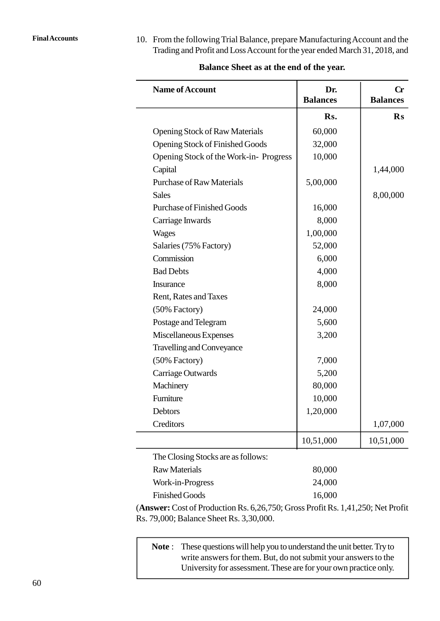Final Accounts 10. From the following Trial Balance, prepare Manufacturing Account and the<br>Trading and Profit and Loss Account for the year ended March 31, 2018, and

| <b>Name of Account</b>                 | Dr.<br><b>Balances</b> | $\bf{Cr}$<br><b>Balances</b> |
|----------------------------------------|------------------------|------------------------------|
|                                        | Rs.                    | $\mathbf{R}\mathbf{s}$       |
| <b>Opening Stock of Raw Materials</b>  | 60,000                 |                              |
| <b>Opening Stock of Finished Goods</b> | 32,000                 |                              |
| Opening Stock of the Work-in-Progress  | 10,000                 |                              |
| Capital                                |                        | 1,44,000                     |
| <b>Purchase of Raw Materials</b>       | 5,00,000               |                              |
| <b>Sales</b>                           |                        | 8,00,000                     |
| <b>Purchase of Finished Goods</b>      | 16,000                 |                              |
| Carriage Inwards                       | 8,000                  |                              |
| <b>Wages</b>                           | 1,00,000               |                              |
| Salaries (75% Factory)                 | 52,000                 |                              |
| Commission                             | 6,000                  |                              |
| <b>Bad Debts</b>                       | 4,000                  |                              |
| Insurance                              | 8,000                  |                              |
| Rent, Rates and Taxes                  |                        |                              |
| (50% Factory)                          | 24,000                 |                              |
| Postage and Telegram                   | 5,600                  |                              |
| Miscellaneous Expenses                 | 3,200                  |                              |
| <b>Travelling and Conveyance</b>       |                        |                              |
| (50% Factory)                          | 7,000                  |                              |
| Carriage Outwards                      | 5,200                  |                              |
| Machinery                              | 80,000                 |                              |
| Furniture                              | 10,000                 |                              |
| Debtors                                | 1,20,000               |                              |
| Creditors                              |                        | 1,07,000                     |
|                                        | 10,51,000              | 10,51,000                    |
| The Closing Stocks are as follows:     |                        |                              |
| <b>Raw Materials</b>                   | 80,000                 |                              |
| Work-in-Progress                       | 24,000                 |                              |

#### **Balance Sheet as at the end of the year.**

(**Answer:** Cost of Production Rs. 6,26,750; Gross Profit Rs. 1,41,250; Net Profit Rs. 79,000; Balance Sheet Rs. 3,30,000.

Finished Goods 16,000

Finished Goods<br> **Note:** Cost of Production Rs. 6,26,750; Gross Profit Rs. 1,41,250; Net Profit<br> **Note**: These questions will help you to understand the unit better. Try to<br>
write answers for them. But, do not submit your a write answers for them. But, do not submit your answers to the University for assessment. These are for your own practice only.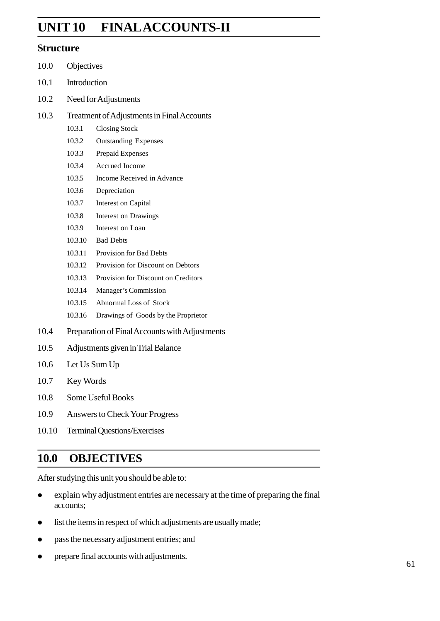# **Final Accounts-II UNIT 2 FINALACCOUNTS-II**

#### **Structure**

- .0 Objectives
- .1 Introduction
- .2 Need for Adjustments
- .3 Treatment of Adjustments in Final Accounts
	- .3.1 Closing Stock
	- .3.2 Outstanding Expenses
	- 3.3 Prepaid Expenses
	- .3.4 Accrued Income
	- .3.5 Income Received in Advance
	- .3.6 Depreciation
	- .3.7 Interest on Capital
	- .3.8 Interest on Drawings
	- .3.9 Interest on Loan
	- 2.3.10 Bad Debts
	- .3.11 Provision for Bad Debts
	- .3.12 Provision for Discount on Debtors
	- .3.13 Provision for Discount on Creditors
	- .3.14 Manager's Commission
	- .3.15 Abnormal Loss of Stock
	- .3.16 Drawings of Goods by the Proprietor
- .4 Preparation of Final Accounts with Adjustments
- .5 Adjustments given in Trial Balance
- .6 Let Us Sum Up
- .7 Key Words
- .8 Some Useful Books
- .9 Answers to Check Your Progress
- .10 Terminal Questions/Exercises

## **.0 OBJECTIVES**

After studying this unit you should be able to:

- explain why adjustment entries are necessary at the time of preparing the final accounts;
- list the items in respect of which adjustments are usually made;
- pass the necessary adjustment entries; and
- prepare final accounts with adjustments.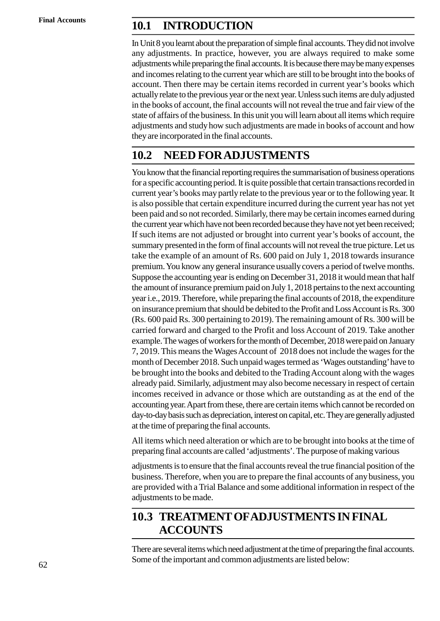# **Final Accounts 2.1 INTRODUCTION**

In Unit 8 you learnt about the preparation of simple final accounts. They did not involve any adjustments. In practice, however, you are always required to make some adjustments while preparing the final accounts. It is because there may be many expenses and incomes relating to the current year which are still to be brought into the books of account. Then there may be certain items recorded in current year's books which actually relate to the previous year or the next year. Unless such items are duly adjusted in the books of account, the final accounts will not reveal the true and fair view of the state of affairs of the business. In this unit you will learn about all items which require adjustments and study how such adjustments are made in books of account and how they are incorporated in the final accounts.

# **2.2 NEED FORADJUSTMENTS**

You know that the financial reporting requires the summarisation of business operations for a specific accounting period. It is quite possible that certain transactions recorded in current year's books may partly relate to the previous year or to the following year. It is also possible that certain expenditure incurred during the current year has not yet been paid and so not recorded. Similarly, there may be certain incomes earned during the current year which have not been recorded because they have not yet been received; If such items are not adjusted or brought into current year's books of account, the summary presented in the form of final accounts will not reveal the true picture. Let us take the example of an amount of Rs. 600 paid on July 1, 2018 towards insurance premium. You know any general insurance usually covers a period of twelve months. Suppose the accounting year is ending on December 31, 2018 it would mean that half the amount of insurance premium paid on July 1, 2018 pertains to the next accounting year i.e., 2019. Therefore, while preparing the final accounts of 2018, the expenditure on insurance premium that should be debited to the Profit and Loss Account is Rs. 300 (Rs. 600 paid Rs. 300 pertaining to 2019). The remaining amount of Rs. 300 will be carried forward and charged to the Profit and loss Account of 2019. Take another example. The wages of workers for the month of December, 2018 were paid on January 7, 2019. This means the Wages Account of 2018 does not include the wages for the month of December 2018. Such unpaid wages termed as 'Wages outstanding' have to be brought into the books and debited to the Trading Account along with the wages already paid. Similarly, adjustment may also become necessary in respect of certain incomes received in advance or those which are outstanding as at the end of the accounting year. Apart from these, there are certain items which cannot be recorded on day-to-day basis such as depreciation, interest on capital, etc. They are generally adjusted at the time of preparing the final accounts.

All items which need alteration or which are to be brought into books at the time of preparing final accounts are called 'adjustments'. The purpose of making various

adjustments is to ensure that the final accounts reveal the true financial position of the business. Therefore, when you are to prepare the final accounts of any business, you are provided with a Trial Balance and some additional information in respect of the adjustments to be made.

# **2.3 TREATMENT OF ADJUSTMENTS IN FINAL ACCOUNTS**

There are several items which need adjustment at the time of preparing the final accounts. Some of the important and common adjustments are listed below: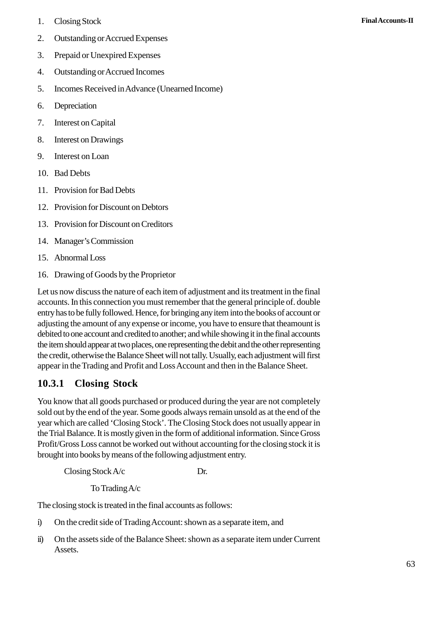- 
- 1. Closing Stock **Final Accounts-II**<br>2. Outstanding or Accrued Expenses 1. Closing Stock<br>2. Outstanding or Accrued Expenses<br>3. Prepaid or Unexpired Expenses 1. Closing Stock<br>2. Outstanding or Accrued Expenses<br>3. Prepaid or Unexpired Expenses<br>4. Outstanding or Accrued Incomes
- 
- 1. Closing Stock<br>2. Outstanding or Accrued Expenses<br>3. Prepaid or Unexpired Expenses<br>4. Outstanding or Accrued Incomes<br>5. Incomes Received in Advance (Unearney 3. Prepaid or Unexpired 1<br>4. Outstanding or Accrue<br>5. Incomes Received in A<br>6. Depreciation<br>7. Interest on Capital
- 2. Outstanding or Accrued Expenses<br>
3. Prepaid or Unexpired Expenses<br>
4. Outstanding or Accrued Incomes<br>
5. Incomes Received in Advance (Unearned Income)<br>
6. Depreciation 4. Outstanding or Accrued<br>5. Incomes Received in Ac<br>6. Depreciation<br>7. Interest on Capital<br>8. Interest on Drawings 5. Incomes Received in Advane<br>6. Depreciation<br>7. Interest on Capital<br>8. Interest on Drawings<br>9. Interest on Loan
- 
- 
- 6. Depreciation<br>7. Interest on Capital<br>8. Interest on Drawings<br>9. Interest on Loan<br>10. Bad Debts 7. Interest on Capital<br>8. Interest on Drawin<br>9. Interest on Loan<br>10. Bad Debts<br>11. Provision for Bad
- 
- 
- 8. Interest on Drawings<br>
9. Interest on Loan<br>
10. Bad Debts<br>
11. Provision for Bad Debts<br>
12. Provision for Discount on Debts
- 9. Interest on Loan<br>
10. Bad Debts<br>
11. Provision for Bad Debts<br>
12. Provision for Discount on Debtors<br>
13. Provision for Discount on Creditors
- 10. Bad Debts<br>
11. Provision for Bad Debts<br>
12. Provision for Discount on Debtors<br>
13. Provision for Discount on Creditors<br>
14 Manager's Commission 12. Provision for Discount<br>13. Provision for Discount<br>14. Manager's Commission<br>15. Abnormal Loss<br>16. Drawing of Goods by t
- 14. Manager's Commission
- 
- 13. Provision for Discount on Creditors<br>14. Manager's Commission<br>15. Abnormal Loss<br>16. Drawing of Goods by the Proprietor<br>1 et us now discuss the nature of each item of ad

Let us now discuss the nature of each item of adjustment and its treatment in the final accounts. In this connection you must remember that the general principle of. double entry has to be fully followed. Hence, for bringing any item into the books of account or adjusting the amount of any expense or income, you have to ensure that theamount is debited to one account and credited to another; and while showing it in the final accounts the item should appear at two places, one representing the debit and the other representing the credit, otherwise the Balance Sheet will not tally. Usually, each adjustment will first appear in the Trading and Profit and Loss Account and then in the Balance Sheet.

# **2.3.1 Closing Stock**

You know that all goods purchased or produced during the year are not completely sold out by the end of the year. Some goods always remain unsold as at the end of the year which are called 'Closing Stock'. The Closing Stock does not usually appear in the Trial Balance. It is mostly given in the form of additional information. Since Gross Profit/Gross Loss cannot be worked out without accounting for the closing stock it is brought into books by means of the following adjustment entry.

 $\angle$  Closing Stock A/c Dr.

To Trading A/c

The closing stock is treated in the final accounts as follows:

- Closing Stock A/c<br>
To Trading A/c<br>
The closing stock is treated in the final accounts as follows:<br>
i) On the credit side of Trading Account: shown as a separate item, and<br>
ii) On the assets side of the Balance Sheet: shown
- i) On the credit side of Trading Account: shown as a separate item, and<br>
ii) On the assets side of the Balance Sheet: shown as a separate item under Current Assets.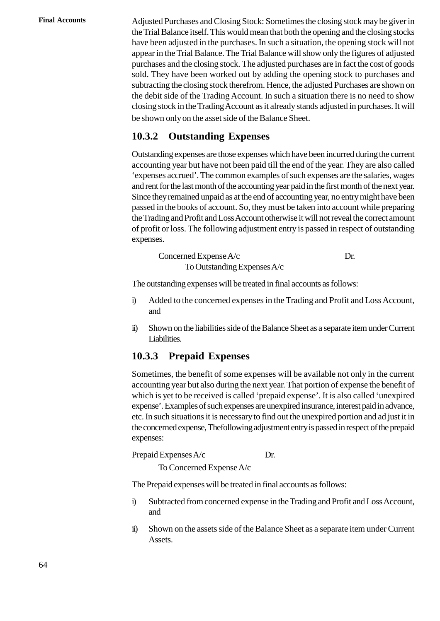**Final Accounts** Adjusted Purchases and Closing Stock: Sometimes the closing stock may be giver in the Trial Balance itself. This would mean that both the opening and the closing stocks have been adjusted in the purchases. In such a situation, the opening stock will not appear in the Trial Balance. The Trial Balance will show only the figures of adjusted purchases and the closing stock. The adjusted purchases are in fact the cost of goods sold. They have been worked out by adding the opening stock to purchases and subtracting the closing stock therefrom. Hence, the adjusted Purchases are shown on the debit side of the Trading Account. In such a situation there is no need to show closing stock in the Trading Account as it already stands adjusted in purchases. It will be shown only on the asset side of the Balance Sheet.

### **2.3.2 Outstanding Expenses**

Outstanding expenses are those expenses which have been incurred during the current accounting year but have not been paid till the end of the year. They are also called 'expenses accrued'. The common examples of such expenses are the salaries, wages and rent for the last month of the accounting year paid in the first month of the next year. Since they remained unpaid as at the end of accounting year, no entry might have been passed in the books of account. So, they must be taken into account while preparing the Trading and Profit and Loss Account otherwise it will not reveal the correct amount of profit or loss. The following adjustment entry is passed in respect of outstanding expenses.

| Concerned Expense $A/c$       | Dr. |
|-------------------------------|-----|
| To Outstanding Expenses $A/c$ |     |

The outstanding expenses will be treated in final accounts as follows:

- Concerned Expense A/c<br>
To Outstanding Expenses A/c<br>
The outstanding expenses will be treated in final accounts as follows:<br>
i) Added to the concerned expenses in the Trading and Profit and Loss Account,<br>
and and i) Added to the concerned expenses in the Trading and Profit and Loss Account,<br>and<br>ii) Shown on the liabilities side of the Balance Sheet as a separate item under Current
- Liabilities.

#### **2.3.3 Prepaid Expenses**

Sometimes, the benefit of some expenses will be available not only in the current accounting year but also during the next year. That portion of expense the benefit of which is yet to be received is called 'prepaid expense'. It is also called 'unexpired expense'. Examples of such expenses are unexpired insurance, interest paid in advance, etc. In such situations it is necessary to find out the unexpired portion and ad just it in the concerned expense, Thefollowing adjustment entry is passed in respect of the prepaid expenses:

Prepaid Expenses A/c Dr.

To Concerned Expense A/c

The Prepaid expenses will be treated in final accounts as follows:

- incept Prepaid Expenses A/c<br>
The Prepaid expenses will be treated in final accounts as follows:<br>
i) Subtracted from concerned expense in the Trading and Profit and Loss Account,<br>
and and The Prepaid expenses will be treated in final accounts as follows:<br>i) Subtracted from concerned expense in the Trading and Profit and Loss Account,<br>and<br>Shown on the assets side of the Balance Sheet as a separate item under
- Assets.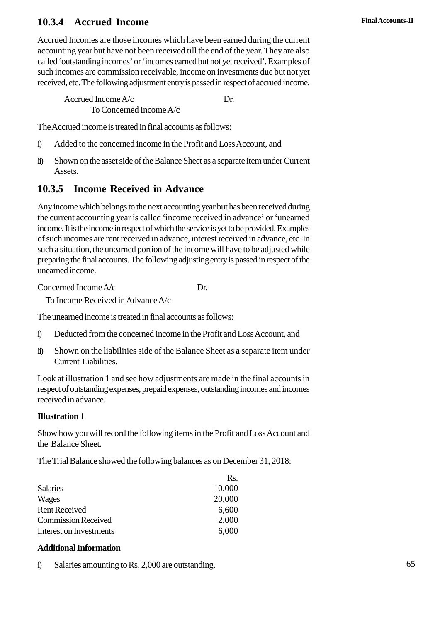#### **2 Final Accounts-II .3.4 Accrued Income**

Accrued Incomes are those incomes which have been earned during the current accounting year but have not been received till the end of the year. They are also called 'outstanding incomes' or 'incomes earned but not yet received'. Examples of such incomes are commission receivable, income on investments due but not yet received, etc. The following adjustment entry is passed in respect of accrued income.

 $\text{Accrued Income A/c}$  Dr. To Concerned Income A/c Accrued Income A/c<br>
To Concerned Income A/c<br>
The Accrued income is treated in final accounts as follows:<br>
i) Added to the concerned income in the Profit and Loss Account, and<br>
ii) Shown on the asset side of the Balance She

The Accrued income is treated in final accounts as follows:

- 
- To Concerned Income A/c<br>The Accrued income is treated in final accounts as follows:<br>i) Added to the concerned income in the Profit and Loss Account, and<br>ii) Shown on the asset side of the Balance Sheet as a separate item u Assets.

### **2.3.5 Income Received in Advance**

Any income which belongs to the next accounting year but has been received during the current accounting year is called 'income received in advance' or 'unearned income. It is the income in respect of which the service is yet to be provided. Examples of such incomes are rent received in advance, interest received in advance, etc. In such a situation, the unearned portion of the income will have to be adjusted while preparing the final accounts. The following adjusting entry is passed in respect of the unearned income.

Concerned Income A/c Dr.

To Income Received in Advance A/c

The unearned income is treated in final accounts as follows:

- Concerned Income A/c<br>
To Income Received in Advance A/c<br>
The unearned income is treated in final accounts as follows:<br>
i) Deducted from the concerned income in the Profit and Loss Account, and<br>
ii) Shown on the liabilities
- To Income Received in Advance A/c<br>The unearned income is treated in final accounts as follows:<br>i) Deducted from the concerned income in the Profit and Loss Account, and<br>ii) Shown on the liabilities side of the Balance Shee Current Liabilities.

Look at illustration 1 and see how adjustments are made in the final accounts in respect of outstanding expenses, prepaid expenses, outstanding incomes and incomes received in advance.

#### **Illustration 1**

Show how you will record the following items in the Profit and Loss Account and the Balance Sheet.

The Trial Balance showed the following balances as on December 31, 2018:

|            |                                                  | Rs.    |
|------------|--------------------------------------------------|--------|
|            | <b>Salaries</b>                                  | 10,000 |
|            | Wages                                            | 20,000 |
|            | <b>Rent Received</b>                             | 6,600  |
|            | <b>Commission Received</b>                       | 2,000  |
|            | Interest on Investments                          | 6,000  |
|            | <b>Additional Information</b>                    |        |
| $\ddot{1}$ | Salaries amounting to Rs. 2,000 are outstanding. |        |
|            |                                                  |        |

#### **Additional Information**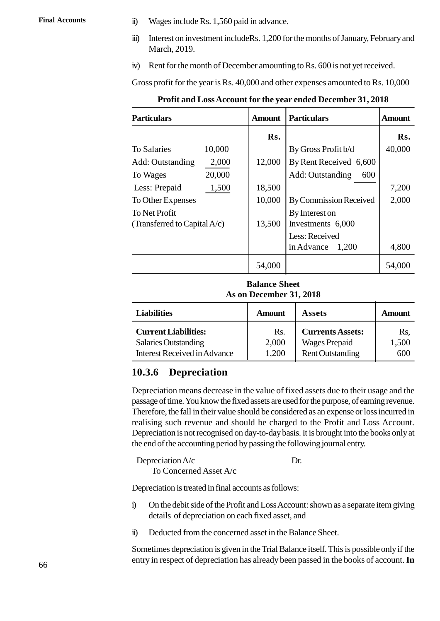- Final Accounts ii) Wages include Rs. 1,560 paid in advance.<br>
iii) Interest on investment include Rs. 1,200 for the
	- ii) Wages include Rs. 1,560 paid in advance.<br>
	iii) Interest on investment includeRs. 1,200 for the months of January, February and March, 2019. March, 2019. ii) Wages include Rs. 1,560 paid in advance.<br>
	iii) Interest on investment include Rs. 1,200 for the months of January, February and<br>
	March, 2019.<br>
	iv) Rent for the month of December amounting to Rs. 600 is not yet received
	-

|                                                           |        |        | Profit and Loss Account for the year ended December 31, 2018 |        |
|-----------------------------------------------------------|--------|--------|--------------------------------------------------------------|--------|
| <b>Particulars</b><br><b>Particulars</b><br><b>Amount</b> |        |        | <b>Amount</b>                                                |        |
|                                                           |        | Rs.    |                                                              | Rs.    |
| <b>To Salaries</b>                                        | 10,000 |        | By Gross Profit b/d                                          | 40,000 |
| Add: Outstanding                                          | 2,000  | 12,000 | By Rent Received 6,600                                       |        |
| To Wages                                                  | 20,000 |        | Add: Outstanding<br>600                                      |        |
| Less: Prepaid                                             | 1,500  | 18,500 |                                                              | 7,200  |
| To Other Expenses                                         |        | 10,000 | <b>By Commission Received</b>                                | 2,000  |
| To Net Profit                                             |        |        | By Interest on                                               |        |
| (Transferred to Capital $A/c$ )                           |        | 13,500 | Investments 6,000                                            |        |
|                                                           |        |        | Less: Received                                               |        |
|                                                           |        |        | in Advance<br>1,200                                          | 4,800  |
|                                                           |        | 54,000 |                                                              | 54,000 |

**Profit and Loss Account for the year ended December 31, 2018**

| 54,000<br>54,000<br><b>Balance Sheet</b><br>As on December 31, 2018 |               |                         |               |  |  |
|---------------------------------------------------------------------|---------------|-------------------------|---------------|--|--|
| <b>Liabilities</b>                                                  | <b>Amount</b> | <b>Assets</b>           | <b>Amount</b> |  |  |
| <b>Current Liabilities:</b>                                         | Rs.           | <b>Currents Assets:</b> | Rs,           |  |  |
| <b>Salaries Outstanding</b>                                         | 2,000         | <b>Wages Prepaid</b>    | 1,500         |  |  |
| <b>Interest Received in Advance</b>                                 | 1,200         | <b>Rent Outstanding</b> | 600           |  |  |

#### **2.3.6 Depreciation**

Depreciation means decrease in the value of fixed assets due to their usage and the passage of time. You know the fixed assets are used for the purpose, of earning revenue. Therefore, the fall in their value should be considered as an expense or loss incurred in realising such revenue and should be charged to the Profit and Loss Account. Depreciation is not recognised on day-to-day basis. It is brought into the books only at the end of the accounting period by passing the following journal entry.

Depreciation A/c Dr.

To Concerned Asset A/c

Depreciation is treated in final accounts as follows:

- Depreciation A/c<br>
To Concerned Asset A/c<br>
Depreciation is treated in final accounts as follows:<br>
i) On the debit side of the Profit and Loss Account: shown as a separate item giving<br>
details of depreciation on each fixed a details of depreciation on each fixed asset, and i) On the debit side of the Profit and Loss Account: shown as a separate item giving<br>details of depreciation on each fixed asset, and<br>ii) Deducted from the concerned asset in the Balance Sheet.
- 

Sometimes depreciation is given in the Trial Balance itself. This is possible only if the entry in respect of depreciation has already been passed in the books of account.**In**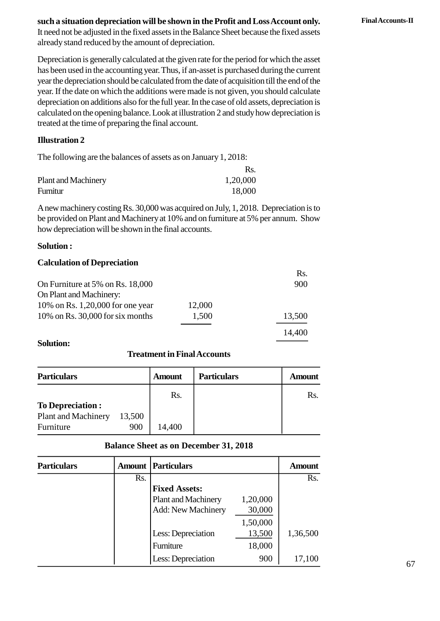#### **such a situation depreciation will be shown in the Profit and Loss Account only. Final Accounts-II**

It need not be adjusted in the fixed assets in the Balance Sheet because the fixed assets already stand reduced by the amount of depreciation.

Depreciation is generally calculated at the given rate for the period for which the asset has been used in the accounting year. Thus, if an-asset is purchased during the current year the depreciation should be calculated from the date of acquisition till the end of the year. If the date on which the additions were made is not given, you should calculate depreciation on additions also for the full year. In the case of old assets, depreciation is calculated on the opening balance. Look at illustration 2 and study how depreciation is treated at the time of preparing the final account.

#### **Illustration 2**

The following are the balances of assets as on January 1, 2018:

|                            | Rs.      |
|----------------------------|----------|
| <b>Plant and Machinery</b> | 1,20,000 |
| Furnitur                   | 18,000   |

A new machinery costing Rs. 30,000 was acquired on July, 1, 2018. Depreciation is to be provided on Plant and Machinery at 10% and on furniture at 5% per annum. Show how depreciation will be shown in the final accounts.

#### **Solution :**

#### **Calculation of Depreciation**

| <b>Calculation of Depreciation</b> |        |        |
|------------------------------------|--------|--------|
|                                    |        | Rs.    |
| On Furniture at 5% on Rs. 18,000   |        | 900    |
| On Plant and Machinery:            |        |        |
| 10% on Rs. 1,20,000 for one year   | 12,000 |        |
| 10% on Rs. $30,000$ for six months | 1,500  | 13,500 |
|                                    |        | 14,400 |

#### **Solution:**

#### **Treatment in Final Accounts**

| 14,400<br><b>Solution:</b><br><b>Treatment in Final Accounts</b> |        |               |                    |               |
|------------------------------------------------------------------|--------|---------------|--------------------|---------------|
| <b>Particulars</b>                                               |        | <b>Amount</b> | <b>Particulars</b> | <b>Amount</b> |
|                                                                  |        | Rs.           |                    | Rs.           |
| <b>To Depreciation:</b>                                          |        |               |                    |               |
| <b>Plant and Machinery</b>                                       | 13,500 |               |                    |               |
| Furniture                                                        | 900    | 14,400        |                    |               |

#### **Balance Sheet as on December 31, 2018**

| <b>Plant and Machinery</b><br>Furniture | 13,500<br>900 | 14,400                                       |          |               |
|-----------------------------------------|---------------|----------------------------------------------|----------|---------------|
|                                         |               | <b>Balance Sheet as on December 31, 2018</b> |          |               |
| <b>Particulars</b>                      | Amount        | <b>Particulars</b>                           |          | <b>Amount</b> |
|                                         | Rs.           |                                              |          | Rs.           |
|                                         |               | <b>Fixed Assets:</b>                         |          |               |
|                                         |               | <b>Plant and Machinery</b>                   | 1,20,000 |               |
|                                         |               | Add: New Machinery                           | 30,000   |               |
|                                         |               |                                              | 1,50,000 |               |
|                                         |               | Less: Depreciation                           | 13,500   | 1,36,500      |
|                                         |               | Furniture                                    | 18,000   |               |
|                                         |               | Less: Depreciation                           | 900      | 17,100        |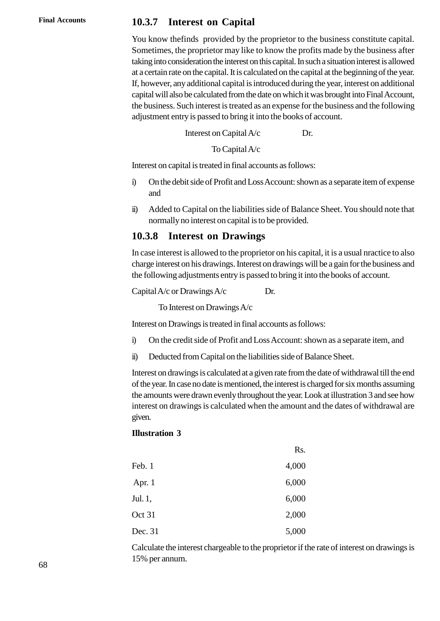#### **Final Accounts 2.3.7 Interest on Capital**

You know thefinds provided by the proprietor to the business constitute capital. Sometimes, the proprietor may like to know the profits made by the business after taking into consideration the interest on this capital. In such a situation interest is allowed at a certain rate on the capital. It is calculated on the capital at the beginning of the year. If, however, any additional capital is introduced during the year, interest on additional capital will also be calculated from the date on which it was brought into Final Account, the business. Such interest is treated as an expense for the business and the following adjustment entry is passed to bring it into the books of account. Interest on Capital is introduced during the year alcohological and the calculated from the date on which it was b continuent is treated as an expense for the b y is passed to bring it into the books of accontinuent on Ca

To Capital A/c

Interest on capital is treated in final accounts as follows:

- Interest on Capital A/c<br>
To Capital A/c<br>
Interest on capital is treated in final accounts as follows:<br>
i) On the debit side of Profit and Loss Account: shown as a separate item of expense<br>
and and i) On the debit side of Profit and Loss Account: shown as a separate item of expense<br>and<br>ii) Added to Capital on the liabilities side of Balance Sheet. You should note that
- normally no interest on capital is to be provided.

#### **2.3.8 Interest on Drawings**

In case interest is allowed to the proprietor on his capital, it is a usual nractice to also charge interest on his drawings. Interest on drawings will be a gain for the business and the following adjustments entry is passed to bring it into the books of account. 2.3.6 Interest on Drawings<br>In case interest is allowed to the proprietor on h<br>charge interest on his drawings. Interest on drawi<br>the following adjustments entry is passed to brin<br>Capital A/c or Drawings A/c Dr.<br>To Interes

To Interest on Drawings A/c

Interest on Drawings is treated in final accounts as follows:

- Capital A/c or Drawings A/c<br>
Interest on Drawings A/c<br>
Interest on Drawings is treated in final accounts as follows:<br>
i) On the credit side of Profit and Loss Account: shown as a separate item, and<br>
ii) Deducted from Capi i) On the credit side of Profit and Loss Account: shown as a separate item, and<br>ii) Deducted from Capital on the liabilities side of Balance Sheet.
- 

Interest on drawings is calculated at a given rate from the date of withdrawal till the end of the year. In case no date is mentioned, the interest is charged for six months assuming the amounts were drawn evenly throughout the year. Look at illustration 3 and see how interest on drawings is calculated when the amount and the dates of withdrawal are given.

#### **Illustration 3**

|          | Rs.   |
|----------|-------|
| Feb. 1   | 4,000 |
| Apr. $1$ | 6,000 |
| Jul. 1,  | 6,000 |
| Oct 31   | 2,000 |
| Dec. 31  | 5,000 |

Calculate the interest chargeable to the proprietor if the rate of interest on drawings is 15% per annum.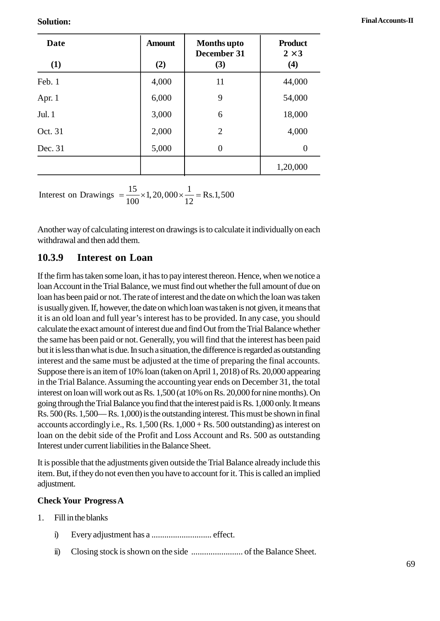| <b>Solution:</b>                                                                                                         |                      |                                          |                                      | Final Accounts-II |
|--------------------------------------------------------------------------------------------------------------------------|----------------------|------------------------------------------|--------------------------------------|-------------------|
| <b>Date</b><br>(1)                                                                                                       | <b>Amount</b><br>(2) | <b>Months</b> upto<br>December 31<br>(3) | <b>Product</b><br>$2\hat{1}3$<br>(4) |                   |
| Feb. 1                                                                                                                   | 4,000                | 11                                       | 44,000                               |                   |
| Apr. 1                                                                                                                   | 6,000                | 9                                        | 54,000                               |                   |
| Jul. 1                                                                                                                   | 3,000                | 6                                        | 18,000                               |                   |
| Oct. 31                                                                                                                  | 2,000                | $\overline{2}$                           | 4,000                                |                   |
| Dec. 31                                                                                                                  | 5,000                | $\overline{0}$                           | $\boldsymbol{0}$                     |                   |
|                                                                                                                          |                      |                                          | 1,20,000                             |                   |
| Interest on Drawings = $\frac{15}{100} \times 1,20,000 \times \frac{1}{12}$ = Rs.1,500                                   |                      |                                          |                                      |                   |
| Another way of calculating interest on drawings is to calculate it individually on each<br>withdrawal and then add them. |                      |                                          |                                      |                   |
| 2.3.9<br>Interest on Loan                                                                                                |                      |                                          |                                      |                   |

#### **2.3.9 Interest on Loan**

If the firm has taken some loan, it has to pay interest thereon. Hence, when we notice a loan Account in the Trial Balance, we must find out whether the full amount of due on loan has been paid or not. The rate of interest and the date on which the loan was taken is usually given. If, however, the date on which loan was taken is not given, it means that it is an old loan and full year's interest has to be provided. In any case, you should calculate the exact amount of interest due and find Out from the Trial Balance whether the same has been paid or not. Generally, you will find that the interest has been paid but it is less than what is due. In such a situation, the difference is regarded as outstanding interest and the same must be adjusted at the time of preparing the final accounts. Suppose there is an item of 10% loan (taken on April 1, 2018) of Rs. 20,000 appearing in the Trial Balance. Assuming the accounting year ends on December 31, the total interest on loan will work out as Rs. 1,500 (at 10% on Rs. 20,000 for nine months). On going through the Trial Balance you find that the interest paid is Rs. 1,000 only. It means Rs. 500 (Rs. 1,500— Rs. 1,000) is the outstanding interest. This must be shown in final accounts accordingly i.e., Rs. 1,500 (Rs. 1,000 + Rs. 500 outstanding) as interest on loan on the debit side of the Profit and Loss Account and Rs. 500 as outstanding Interest under current liabilities in the Balance Sheet.

It is possible that the adjustments given outside the Trial Balance already include this item. But, if they do not even then you have to account for it. This is called an implied adjustment. It is possible that the adjustment<br>
item. But, if they do not even<br>
adjustment.<br> **Check Your Progress A**<br>
1. Fill in the blanks<br>
i) Every adjustment

#### **Check Your Progress A**

- 
- i) Every adjustment has a ............................ effect.
	- ii) Closing stock is shown on the side ........................ of the Balance Sheet.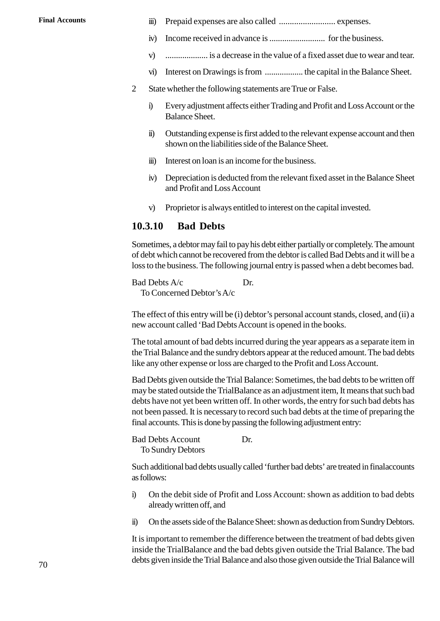- **Final Accounts** iii) Prepaid expenses are also called .......................... expenses.
	- iv) Income received in advance is .......................... for the business.
	- v) .................... is a decrease in the value of a fixed asset due to wear and tear. vi) Interest on Drawings is from .................. the capital in the Balance Sheet.
	- 2 State whether the following statements are True or False.
	-
- i) Every adjustment affects either Trading and Profit and Loss Account or the Balance Sheet.<br>
State whether the following statements are True or False.<br>
State whether the following statements are True or False.<br>
State Shee Balance Sheet.
- State whether the following statements are True or False.<br>
i) Every adjustment affects either Trading and Profit and Loss Account or the Balance Sheet.<br>
ii) Outstanding expense is first added to the relevant expense accoun shown on the liabilities side of the Balance Sheet. iii) Interest on loan is an income for the business.
	-
	- iv) Unustanding expense is first added to the relevant expense account and then<br>shown on the liabilities side of the Balance Sheet.<br>iii) Interest on loan is an income for the business.<br>iv) Depreciation is deducted from the and Profit and Loss Account ii) Interest on loan is an income for the business.<br>
	iv) Depreciation is deducted from the relevant fixed asset in the Balan<br>
	and Profit and Loss Account<br>
	v) Proprietor is always entitled to interest on the capital investe
	-

#### **2.3.10 Bad Debts**

Sometimes, a debtor may fail to pay his debt either partially or completely. The amount of debt which cannot be recovered from the debtor is called Bad Debts and it will be a loss to the business. The following journal entry is passed when a debt becomes bad.

Bad Debts A/c Dr. To Concerned Debtor'sA/c

The effect of this entry will be (i) debtor's personal account stands, closed, and (ii) a new account called 'Bad Debts Account is opened in the books.

The total amount of bad debts incurred during the year appears as a separate item in the Trial Balance and the sundry debtors appear at the reduced amount. The bad debts like any other expense or loss are charged to the Profit and Loss Account.

Bad Debts given outside the Trial Balance: Sometimes, the bad debts to be written off may be stated outside the TrialBalance as an adjustment item, It means that such bad debts have not yet been written off. In other words, the entry for such bad debts has not been passed. It is necessary to record such bad debts at the time of preparing the final accounts. This is done by passing the following adjustment entry:

Bad Debts Account Dr. To Sundry Debtors

Such additional bad debts usually called 'further bad debts' are treated in finalaccounts as follows:

- For Sundry Debtors<br>Such additional bad debts usually called 'further bad debts' are treated in final<br>accounts as follows:<br>i) On the debit side of Profit and Loss Account: shown as addition to bad debts<br>already written off, already written off, and i) On the debit side of Profit and Loss Account: shown as addition to bad debts already written off, and<br>ii) On the assets side of the Balance Sheet: shown as deduction from Sundry Debtors.
- 

It is important to remember the difference between the treatment of bad debts given inside the TrialBalance and the bad debts given outside the Trial Balance. The bad debts given inside the Trial Balance and also those given outside the Trial Balance will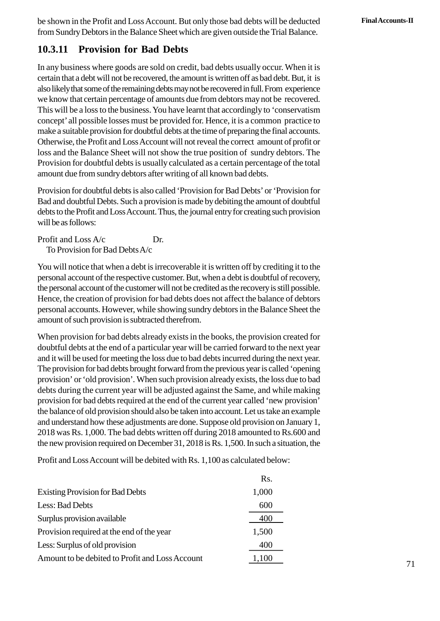be shown in the Profit and Loss Account. But only those bad debts will be deducted **Final Accounts-II** from Sundry Debtors in the Balance Sheet which are given outside the Trial Balance.

#### **2.3.11 Provision for Bad Debts**

In any business where goods are sold on credit, bad debts usually occur. When it is certain that a debt will not be recovered, the amount is written off as bad debt. But, it is also likely that some of the remaining debts may not be recovered in full. From experience we know that certain percentage of amounts due from debtors may not be recovered. This will be a loss to the business. You have learnt that accordingly to 'conservatism concept' all possible losses must be provided for. Hence, it is a common practice to make a suitable provision for doubtful debts at the time of preparing the final accounts. Otherwise, the Profit and Loss Account will not reveal the correct amount of profit or loss and the Balance Sheet will not show the true position of sundry debtors. The Provision for doubtful debts is usually calculated as a certain percentage of the total amount due from sundry debtors after writing of all known bad debts.

Provision for doubtful debts is also called 'Provision for Bad Debts' or 'Provision for Bad and doubtful Debts. Such a provision is made by debiting the amount of doubtful debts to the Profit and Loss Account. Thus, the journal entry for creating such provision will be as follows:

Profit and Loss A/c Dr. To Provision for Bad DebtsA/c

You will notice that when a debt is irrecoverable it is written off by crediting it to the personal account of the respective customer. But, when a debt is doubtful of recovery, the personal account of the customer will not be credited as the recovery is still possible. Hence, the creation of provision for bad debts does not affect the balance of debtors personal accounts. However, while showing sundry debtors in the Balance Sheet the amount of such provision is subtracted therefrom.

When provision for bad debts already exists in the books, the provision created for doubtful debts at the end of a particular year will be carried forward to the next year and it will be used for meeting the loss due to bad debts incurred during the next year. The provision for bad debts brought forward from the previous year is called 'opening provision' or 'old provision'. When such provision already exists, the loss due to bad debts during the current year will be adjusted against the Same, and while making provision for bad debts required at the end of the current year called 'new provision' the balance of old provision should also be taken into account. Let us take an example and understand how these adjustments are done. Suppose old provision on January 1, 2018 was Rs. 1,000. The bad debts written off during 2018 amounted to Rs.600 and the new provision required on December 31, 2018 is Rs. 1,500. In such a situation, the

Profit and Loss Account will be debited with Rs. 1,100 as calculated below:

|                                                 | Rs.   |
|-------------------------------------------------|-------|
| <b>Existing Provision for Bad Debts</b>         | 1,000 |
| Less: Bad Debts                                 | 600   |
| Surplus provision available                     | 400   |
| Provision required at the end of the year       | 1,500 |
| Less: Surplus of old provision                  | 400   |
| Amount to be debited to Profit and Loss Account | ,100  |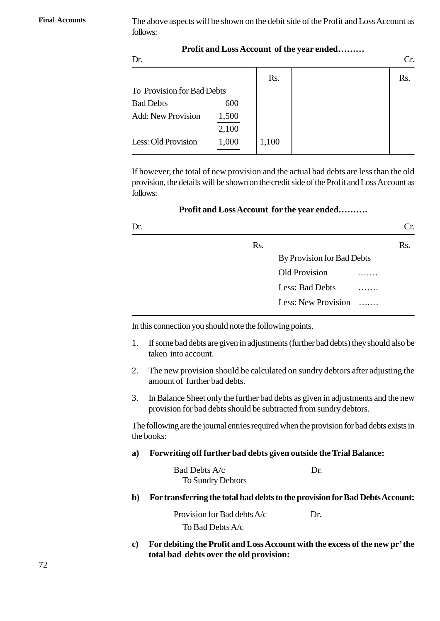**Final Accounts** The above aspects will be shown on the debit side of the Profit and Loss Account as follows:

**Profit and Loss Account of the year ended………**

| Dr.                        |       |       | Сr. |
|----------------------------|-------|-------|-----|
|                            |       | Rs.   | Rs. |
| To Provision for Bad Debts |       |       |     |
| <b>Bad Debts</b>           | 600   |       |     |
| <b>Add: New Provision</b>  | 1,500 |       |     |
|                            | 2,100 |       |     |
| Less: Old Provision        | 1,000 | 1,100 |     |
|                            |       |       |     |

If however, the total of new provision and the actual bad debts are less than the old provision, the details will be shown on the credit side of the Profit and Loss Account as follows:

**Profit and Loss Account for the year ended……….**

| Dr. |                  |                            | Cr. |
|-----|------------------|----------------------------|-----|
|     | R <sub>S</sub> . |                            | Rs. |
|     |                  | By Provision for Bad Debts |     |
|     |                  | Old Provision              |     |
|     |                  | Less: Bad Debts            |     |
|     |                  | Less: New Provision        |     |

- taken into account.
- 2. In this connection you should note the following points.<br>
1. If some bad debts are given in adjustments (further bad debts) they should also be taken into account.<br>
2. The new provision should be calculated on sundry de amount of further bad debts. 3. In Balance Sheet only the further bad debts as given in adjustments (further bad debts) they should also be taken into account.<br>
2. The new provision should be calculated on sundry debtors after adjusting the amount of
- provision for bad debts should be subtracted from sundry debtors.

The following are the journal entries required when the provision for bad debts exists in the books: Forwriting off further bad debts given outside the Trial Balance:<br>
Reflowing are the journal entries required when the provision for bad debts exists<br>
the books:<br> **a)** Forwriting off further bad debts given outside the Tri

| a) | Forwriting off further bad debts given outside the Trial Balance: |                                                                              |
|----|-------------------------------------------------------------------|------------------------------------------------------------------------------|
|    | Bad Debts A/c<br>To Sundry Debtors                                | Dr.                                                                          |
| b) |                                                                   | For transferring the total bad debts to the provision for Bad Debts Account: |
|    | Provision for Rad debts $A/c$                                     |                                                                              |

To Bad DebtsA/c

**c)** For transferring the total bad debts to the provision for Bad Debts Account:<br>Provision for Bad debts A/c<br>**c)** For debiting the Profit and Loss Account with the excess of the new pr' the<br>total bad debts over the old pr **total bad debts over the old provision:**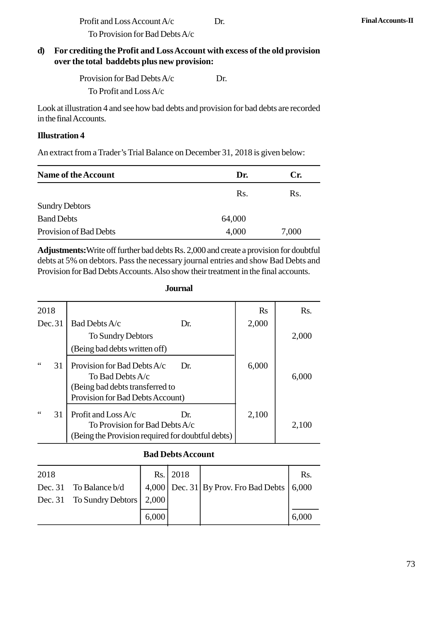Profit and Loss Account A/c Dr. **Final Accounts-II**<br>To Provision for Bad Debts A/c To Provision for Bad DebtsA/c

# Profit and Loss Account A/c<br>
To Provision for Bad Debts A/c<br> **d)** For crediting the Profit and Loss Account with excess of the old provision<br>
over the total baddebts plus new provision: **over the total baddebts plus new provision:**

To Provision for Bad Debts A/c<br>diting the Profit and Loss Account with exces<br>e total baddebts plus new provision:<br>Provision for Bad Debts A/c Dr.<br>To Profit and Loss A/c To Profit and LossA/c

Look at illustration 4 and see how bad debts and provision for bad debts are recorded in the final Accounts.

#### **Illustration 4**

| <b>Illustration 4</b>                                                         |        |       |  |  |  |
|-------------------------------------------------------------------------------|--------|-------|--|--|--|
| An extract from a Trader's Trial Balance on December 31, 2018 is given below: |        |       |  |  |  |
| Name of the Account                                                           | Dr.    | Cr.   |  |  |  |
|                                                                               | Rs.    | Rs.   |  |  |  |
| <b>Sundry Debtors</b>                                                         |        |       |  |  |  |
| <b>Band Debts</b>                                                             | 64,000 |       |  |  |  |
| Provision of Bad Debts                                                        | 4,000  | 7,000 |  |  |  |

**Adjustments:**Write off further bad debts Rs. 2,000 and create a provision for doubtful Provision for Bad Debts Accounts. Also show their treatment in the final accounts.

|          | debts at 5% on debtors. Pass the necessary journal entries and show Bad Debts and<br>Provision for Bad Debts Accounts. Also show their treatment in the final accounts.<br><b>Journal</b> |       |       |
|----------|-------------------------------------------------------------------------------------------------------------------------------------------------------------------------------------------|-------|-------|
| 2018     |                                                                                                                                                                                           | Rs    | Rs.   |
| Dec.31   | Bad Debts A/c<br>Dr.                                                                                                                                                                      | 2,000 |       |
|          | To Sundry Debtors<br>(Being bad debts written off)                                                                                                                                        |       | 2,000 |
| 66<br>31 | Provision for Bad Debts A/c<br>Dr.<br>To Bad Debts A/c<br>(Being bad debts transferred to<br>Provision for Bad Debts Account)                                                             | 6,000 | 6,000 |
| 66<br>31 | Profit and Loss $A/c$<br>Dr.<br>To Provision for Bad Debts A/c<br>(Being the Provision required for doubtful debts)                                                                       | 2,100 | 2,100 |

#### **Journal**

#### **Bad Debts Account**

|         | To Provision for Bad Debts A/c<br>(Being the Provision required for doubtful debts) |       |                          |                                        |       |
|---------|-------------------------------------------------------------------------------------|-------|--------------------------|----------------------------------------|-------|
|         |                                                                                     |       | <b>Bad Debts Account</b> |                                        |       |
| 2018    |                                                                                     | Rs.1  | 2018                     |                                        | Rs.   |
| Dec. 31 | To Balance b/d                                                                      |       |                          | $4,000$ Dec. 31 By Prov. Fro Bad Debts | 6,000 |
| Dec. 31 | To Sundry Debtors                                                                   | 2,000 |                          |                                        |       |
|         |                                                                                     | 6,000 |                          |                                        | 6,000 |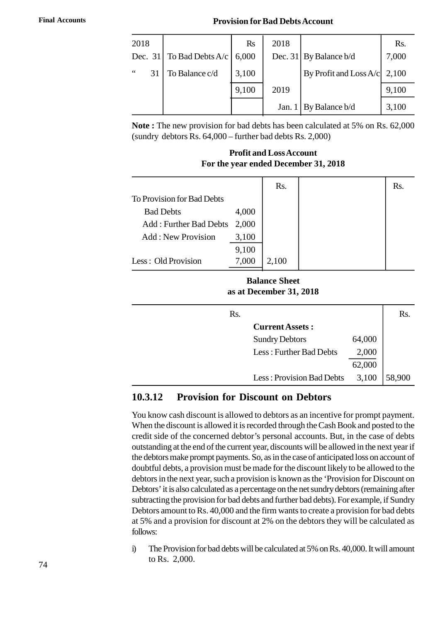#### **Final Accounts Provision for Bad Debts Account**

|                     |                  |                | <b>Provision for Bad Debts Account</b> |                        |       |
|---------------------|------------------|----------------|----------------------------------------|------------------------|-------|
| 2018                |                  | $\mathbf{R}$ s | 2018                                   |                        | Rs.   |
| Dec. 31             | To Bad Debts A/c | 6,000          | Dec. $31$                              | By Balance b/d         | 7,000 |
| $\leq$ $\leq$<br>31 | To Balance c/d   | 3,100          |                                        | By Profit and Loss A/c | 2,100 |
|                     |                  | 9,100          | 2019                                   |                        | 9,100 |
|                     |                  |                | Jan. 1                                 | By Balance b/d         | 3,100 |

**Note :** The new provision for bad debts has been calculated at 5% on Rs. 62,000 (sundry debtors Rs. 64,000 – further bad debts Rs. 2,000)

#### **Profit and Loss Account For the year ended December 31, 2018**

|                               |       | Rs.   | Rs. |
|-------------------------------|-------|-------|-----|
| To Provision for Bad Debts    |       |       |     |
| <b>Bad Debts</b>              | 4,000 |       |     |
| <b>Add: Further Bad Debts</b> | 2,000 |       |     |
| <b>Add: New Provision</b>     | 3,100 |       |     |
|                               | 9,100 |       |     |
| Less: Old Provision           | 7,000 | 2,100 |     |

#### **Balance Sheet as at December 31, 2018**

| Rs. |  |                           |        | Rs.    |
|-----|--|---------------------------|--------|--------|
|     |  | <b>Current Assets:</b>    |        |        |
|     |  | <b>Sundry Debtors</b>     | 64,000 |        |
|     |  | Less: Further Bad Debts   | 2,000  |        |
|     |  |                           | 62,000 |        |
|     |  | Less: Provision Bad Debts | 3,100  | 58,900 |

#### **2.3.12 Provision for Discount on Debtors**

You know cash discount is allowed to debtors as an incentive for prompt payment. When the discount is allowed it is recorded through the Cash Book and posted to the credit side of the concerned debtor's personal accounts. But, in the case of debts outstanding at the end of the current year, discounts will be allowed in the next year if the debtors make prompt payments. So, as in the case of anticipated loss on account of doubtful debts, a provision must be made for the discount likely to be allowed to the debtors in the next year, such a provision is known as the 'Provision for Discount on Debtors' it is also calculated as a percentage on the net sundry debtors (remaining after subtracting the provision for bad debts and further bad debts). For example, if Sundry Debtors amount to Rs. 40,000 and the firm wants to create a provision for bad debts at 5% and a provision for discount at 2% on the debtors they will be calculated as follows: subtracting the provision for bad debts and further bad debts). For example, if Sundry<br>Debtors amount to Rs. 40,000 and the firm wants to create a provision for bad debts<br>at 5% and a provision for discount at 2% on the deb

to Rs. 2,000.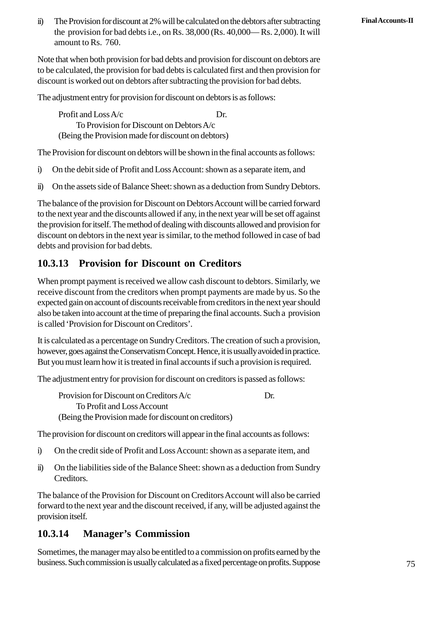ii) The Provision for discount at 2% will be calculated on the debtors after subtracting **Final Accounts-II**<br>the provision for bad debts i.e., on Rs. 38,000 (Rs. 40,000—Rs. 2,000). It will the provision for bad debts i.e., on Rs. 38,000 (Rs. 40,000— Rs. 2,000). It will amount to Rs. 760.

Note that when both provision for bad debts and provision for discount on debtors are to be calculated, the provision for bad debts is calculated first and then provision for discount is worked out on debtors after subtracting the provision for bad debts.

The adjustment entry for provision for discount on debtors is as follows:

Profit and Loss  $A/c$  Dr. To Provision for Discount on DebtorsA/c (Being the Provision made for discount on debtors) IT TOIT and LOSS AVC<br>
To Provision for Discount on Debtors A/c<br>
(Being the Provision made for discount on debtors)<br>
The Provision for discount on debtors will be shown in the final accounts as follows:<br>
i) On the debit sid

The Provision for discount on debtors will be shown in the final accounts as follows:

- 
- (Being the Provision made for discount on debtors)<br>
The Provision for discount on debtors will be shown in the final accounts as follows:<br>
i) On the debit side of Profit and Loss Account: shown as a separate item, and<br>
ii)

The balance of the provision for Discount on Debtors Account will be carried forward to the next year and the discounts allowed if any, in the next year will be set off against the provision for itself. The method of dealing with discounts allowed and provision for discount on debtors in the next year is similar, to the method followed in case of bad debts and provision for bad debts.

#### **2.3.13 Provision for Discount on Creditors**

When prompt payment is received we allow cash discount to debtors. Similarly, we receive discount from the creditors when prompt payments are made by us. So the expected gain on account of discounts receivable from creditors in the next year should also be taken into account at the time of preparing the final accounts. Such a provision is called 'Provision for Discount on Creditors'.

It is calculated as a percentage on Sundry Creditors. The creation of such a provision, however, goes against the Conservatism Concept. Hence, it is usually avoided in practice. But you must learn how it is treated in final accounts if such a provision is required.

The adjustment entry for provision for discount on creditors is passed as follows:

Provision for Discount on Creditors A/c Dr. To Profit and LossAccount (Being the Provision made for discount on creditors) Frovision for Discount on Creditors Aze<br>
To Profit and Loss Account<br>
(Being the Provision made for discount on creditors)<br>
The provision for discount on creditors will appear in the final accounts as follows:<br>
i) On the cr

The provision for discount on creditors will appear in the final accounts as follows:

- 
- (Being the Provision made for discount on creditors)<br>
The provision for discount on creditors will appear in the final accounts as follows:<br>
i) On the credit side of Profit and Loss Account: shown as a separate item, and<br> Creditors.

The balance of the Provision for Discount on Creditors Account will also be carried forward to the next year and the discount received, if any, will be adjusted against the provision itself.

#### **2.3.14 Manager's Commission**

Sometimes, the manager may also be entitled to a commission on profits earned by the business. Such commission is usually calculated as a fixed percentage on profits. Suppose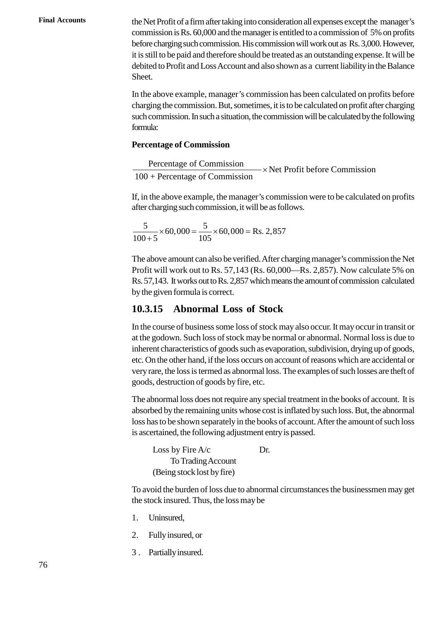**Final Accounts** the Net Profit of a firm after taking into consideration all expenses except the manager's commission is Rs. 60,000 and the manager is entitled to a commission of 5% on profits before charging such commission. His commission will work out as Rs. 3,000. However, it is still to be paid and therefore should be treated as an outstanding expense. It will be debited to Profit and Loss Account and also shown as a current liability in the Balance Sheet.

> In the above example, manager's commission has been calculated on profits before charging the commission. But, sometimes, it is to be calculated on profit after charging such commission. In such a situation, the commission will be calculated by the following formula:

#### **Percentage of Commission**

Percentage of Commission<br> $\overline{R}$   $\overline{R}$   $\overline{R}$   $\overline{R}$   $\overline{R}$   $\overline{R}$   $\overline{R}$   $\overline{R}$   $\overline{R}$   $\overline{R}$   $\overline{R}$   $\overline{R}$   $\overline{R}$   $\overline{R}$   $\overline{R}$   $\overline{R}$   $\overline{R}$   $\overline{R}$   $\overline{R}$   $\overline{R}$   $\overline{R}$   $\overline{R}$ 100 + Percentage of Commission  $\times$  Net

If, in the above example, the manager's commission were to be calculated on profits after charging such commission, it will be as follows.

5 5 ging such commission, it will be as follow<br>60,000 =  $\frac{5}{105}$  × 60,000 = Rs. 2,857  $\frac{5}{100+5}$  × 60,000 =  $\frac{5}{105}$  × 60 charging such commission, it will be as for  $\frac{5}{105}$  × 60,000 = Rs. 2,85<br>+5

The above amount can also be verified. After charging manager's commission the Net Profit will work out to Rs. 57,143 (Rs. 60,000—Rs. 2,857). Now calculate 5% on Rs. 57,143. It works out to Rs. 2,857 which means the amount of commission calculated by the given formula is correct.

#### **2.3.15 Abnormal Loss of Stock**

In the course of business some loss of stock may also occur. It may occur in transit or at the godown. Such loss of stock may be normal or abnormal. Normal loss is due to inherent characteristics of goods such as evaporation, subdivision, drying up of goods, etc. On the other hand, if the loss occurs on account of reasons which are accidental or very rare, the loss is termed as abnormal loss. The examples of such losses are theft of goods, destruction of goods by fire, etc.

The abnormal loss does not require any special treatment in the books of account. It is absorbed by the remaining units whose cost is inflated by such loss. But, the abnormal loss has to be shown separately in the books of account. After the amount of such loss is ascertained, the following adjustment entry is passed.

Loss by Fire  $A/c$  Dr. To Trading Account (Being stock lost by fire)

To avoid the burden of loss due to abnormal circumstances the businessmen may get the stock insured. Thus, the loss may be (Being stock lot<br>
To avoid the burden<br>
the stock insured, Theory<br>
1. Uninsured, Pully insured on To avoid the burden of loss<br>the stock insured, Thus, the<br>1. Uninsured,<br>2. Fully insured, or<br>3. Partially insured

- 
- 1. Uninsured,<br>2. Fully insured, or<br>3. Partially insured.
-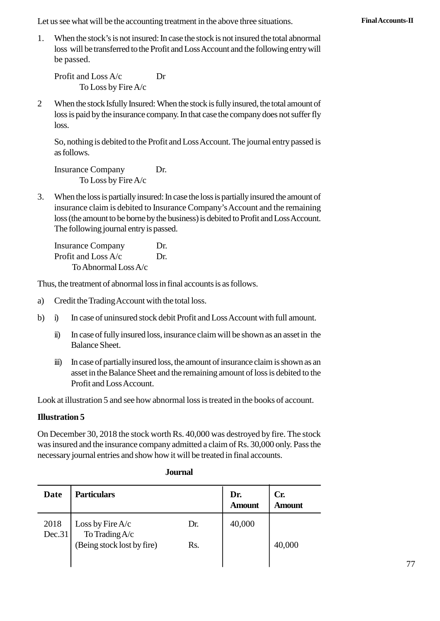Let us see what will be the accounting treatment in the above three situations. **Final Accounts-II** 

1. When the stock's is not insured: In case the stock is not insured the total abnormal loss will be transferred to the Profit and Loss Account and the following entry will be passed. See what will be the accounting treath<br>When the stock's is not insured: In case t<br>loss will be transferred to the Profit and I<br>be passed.<br>Profit and Loss A/c Dr<br>To Loss by Fire A/c

To Loss by Fire A/c

2 When the stock Isfully Insured: When the stock is fully insured, the total amount of<br>
10 Loss by Fire A/c<br>
2 When the stock Isfully Insured: When the stock is fully insured, the total amount of<br>
10 loss is paid by the in loss is paid by the insurance company. In that case the company does not suffer fly loss.

So, nothing is debited to the Profit and Loss Account. The journal entry passed is as follows. France Company.<br>
Ioss.<br>
So, nothing is debited to the Profit and<br>
as follows.<br>
Insurance Company Dr.<br>
To Loss by Fire A/c

To Loss by Fire A/c

3. When the loss is partially insured: In case the loss is partially insured the amount of<br>3. When the loss is partially insured: In case the loss is partially insured the amount of<br>3. When the loss is partially insured: I insurance claim is debited to Insurance Company's Account and the remaining loss (the amount to be borne by the business) is debited to Profit and Loss Account. The following journal entry is passed. When the loss is partially insured: In case<br>insurance claim is debited to Insurance<br>loss (the amount to be borne by the busin<br>The following journal entry is passed.<br>Insurance Company Dr.<br>Profit and Loss A/c Dr. insurance claim is debited to Insurance<br>loss (the amount to be borne by the busin<br>The following journal entry is passed.<br>Insurance Company Dr.<br>Profit and Loss A/c Dr.<br>To Abnormal Loss A/c

ToAbnormal LossA/c Frofit and Loss  $A/c$  Dr.<br>To Abnormal Loss  $A/c$ <br>Thus, the treatment of abnormal loss in final accounts is<br>a) Credit the Trading Account with the total loss.<br>b) i) In case of uninsured stock debit Profit and Los

Thus, the treatment of abnormal loss in final accounts is as follows.

- 
- To Abnormal Loss A/c<br>
Thus, the treatment of abnormal loss in final accounts is as follows.<br>
a) Credit the Trading Account with the total loss.<br>
b) i) In case of uninsured stock debit Profit and Loss Account with full amou
	- In the treatment of abnormal loss in final accounts is as follows.<br>
	Credit the Trading Account with the total loss.<br>
	i) In case of uninsured stock debit Profit and Loss Account with full amount.<br>
	ii) In case of fully insur Balance Sheet.
	- i) In case of uninsured stock debit Profit and Loss Account with full amount.<br>
	ii) In case of fully insured loss, insurance claim will be shown as an asset in the Balance Sheet.<br>
	iii) In case of partially insured loss, the asset in the Balance Sheet and the remaining amount of loss is debited to the Profit and Loss Account.

Look at illustration 5 and see how abnormal loss is treated in the books of account.

#### **Illustration 5**

On December 30, 2018 the stock worth Rs. 40,000 was destroyed by fire. The stock necessary journal entries and show how it will be treated in final accounts.

| was insured and the insurance company admitted a claim of Rs. 30,000 only. Pass the<br>necessary journal entries and show how it will be treated in final accounts. |                                        |                |               |                      |  |
|---------------------------------------------------------------------------------------------------------------------------------------------------------------------|----------------------------------------|----------------|---------------|----------------------|--|
|                                                                                                                                                                     |                                        | <b>Journal</b> |               |                      |  |
| Date                                                                                                                                                                | <b>Particulars</b>                     |                | Dr.<br>Amount | Cr.<br><b>Amount</b> |  |
| 2018<br>Dec.31                                                                                                                                                      | Loss by Fire $A/c$<br>To Trading $A/c$ | Dr.            | 40,000        |                      |  |
|                                                                                                                                                                     | (Being stock lost by fire)             | Rs.            |               | 40,000               |  |

#### **Journal**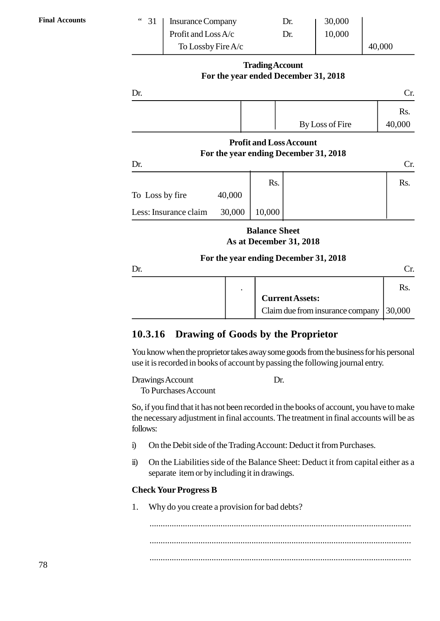| <b>Final Accounts</b> | $\,$ 6 $\,$<br>31 | <b>Insurance Company</b> | Dr. | 30,000 |        |
|-----------------------|-------------------|--------------------------|-----|--------|--------|
|                       |                   | Profit and Loss A/c      | Dr. | 10,000 |        |
|                       |                   | To Lossby Fire A/c       |     |        | 40,000 |

#### **Trading Account For the year ended December 31, 2018**

|                       |        |                      | For the year ended December 31, 2018                                    |               |  |  |
|-----------------------|--------|----------------------|-------------------------------------------------------------------------|---------------|--|--|
| Dr.<br>Cr.            |        |                      |                                                                         |               |  |  |
|                       |        |                      | By Loss of Fire                                                         | Rs.<br>40,000 |  |  |
| Dr.                   |        |                      | <b>Profit and Loss Account</b><br>For the year ending December 31, 2018 | Cr.           |  |  |
|                       |        | Rs.                  |                                                                         | Rs.           |  |  |
| To Loss by fire       | 40,000 |                      |                                                                         |               |  |  |
| Less: Insurance claim | 30,000 | 10,000               |                                                                         |               |  |  |
|                       |        | <b>Balance Sheet</b> | As at December 31, 2018                                                 |               |  |  |

#### **For the year ending December 31, 2018**

| Dr. |  |                                  |        |
|-----|--|----------------------------------|--------|
|     |  |                                  | Rs.    |
|     |  | <b>Current Assets:</b>           |        |
|     |  | Claim due from insurance company | 30,000 |

#### **2.3.16 Drawing of Goods by the Proprietor**

You know when the proprietor takes away some goods from the business for his personal use it is recorded in books of account by passing the following journal entry.

```
Drawings Account Dr.
 To Purchases Account
```
So, if you find that it has not been recorded in the books of account, you have to make the necessary adjustment in final accounts. The treatment in final accounts will be as follows: In the Debit side of the Ralance Sheet: Deduct it from capital eith<br>ii) On the Debit side of the Trading Account: Deduct it from Purchases.<br>ii) On the Debit side of the Trading Account: Deduct it from Purchases. So, if you find that it has not been recorded in the books of account, you have to hake<br>the necessary adjustment in final accounts. The treatment in final accounts will be as<br>follows:<br>i) On the Debit side of the Trading Ac

- 
- separate item or by including it in drawings. 1. The Unit of the Balance Sheet: Deduct it from capital either as a separate item or by including it in drawings.<br> **Check Your Progress B**<br>
1. Why do you create a provision for bad debts?

#### **Check Your Progress B**

...................................................................................................................... ...................................................................................................................... ......................................................................................................................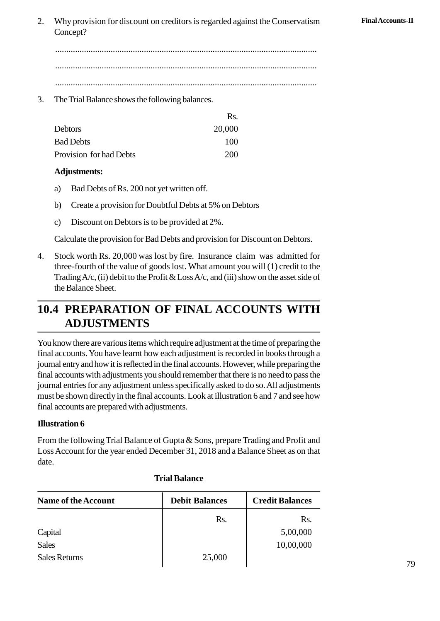2. Why provision for discount on creditors is regarded against the Conservatism **Final Accounts-II** Concept?

...................................................................................................................... ...................................................................................................................... ...................................................................................................................... 3. The Trial Balance shows the following balances.

|    |                                                        | Rs.        |  |
|----|--------------------------------------------------------|------------|--|
|    | Debtors                                                | 20,000     |  |
|    | <b>Bad Debts</b>                                       | 100        |  |
|    | Provision for had Debts                                | <b>200</b> |  |
|    | Adjustments:                                           |            |  |
| a) | Bad Debts of Rs. 200 not yet written off.              |            |  |
| h) | Create a provision for Doubtful Debts at 5% on Debtors |            |  |

#### **Adjustments:**

- 
- Provision for had Debts<br> **Adjustments:**<br>
a) Bad Debts of Rs. 200 not yet written off.<br>
b) Create a provision for Doubtful Debts at 5% on Debtors<br>
c) Discount on Debtors is to be provided at 2%. (a) Bad Debts of Rs. 200 not yet written off.<br>b) Create a provision for Doubtful Debts at 5% on Debtors c) Discount on Debtors is to be provided at 2%.
- 

Calculate the provision for Bad Debts and provision for Discount on Debtors.

4. Stock worth Rs. 20,000 was lost by fire. Insurance claim was admitted for three-fourth of the value of goods lost. What amount you will (1) credit to the value of goods lost. What amount you will (1) credit to the value Trading  $A/c$ , (ii) debit to the Profit & Loss  $A/c$ , and (iii) show on the asset side of the Balance Sheet.

# **2.4 PREPARATION OF FINAL ACCOUNTS WITH ADJUSTMENTS**

You know there are various items which require adjustment at the time of preparing the final accounts. You have learnt how each adjustment is recorded in books through a journal entry and how it is reflected in the final accounts. However, while preparing the final accounts with adjustments you should remember that there is no need to pass the journal entries for any adjustment unless specifically asked to do so. All adjustments must be shown directly in the final accounts. Look at illustration 6 and 7 and see how final accounts are prepared with adjustments.

#### **Illustration 6**

From the following Trial Balance of Gupta & Sons, prepare Trading and Profit and date.

| Loss Account for the year ended December 31, 2018 and a Balance Sheet as on that<br>date. |                       |                        |  |  |  |  |  |
|-------------------------------------------------------------------------------------------|-----------------------|------------------------|--|--|--|--|--|
| <b>Trial Balance</b>                                                                      |                       |                        |  |  |  |  |  |
| <b>Name of the Account</b>                                                                | <b>Debit Balances</b> | <b>Credit Balances</b> |  |  |  |  |  |
|                                                                                           | Rs.                   | Rs.                    |  |  |  |  |  |
| Capital                                                                                   |                       | 5,00,000               |  |  |  |  |  |
| <b>Sales</b>                                                                              |                       | 10,00,000              |  |  |  |  |  |
| <b>Sales Returns</b>                                                                      | 25,000                |                        |  |  |  |  |  |
|                                                                                           |                       |                        |  |  |  |  |  |

#### **Trial Balance**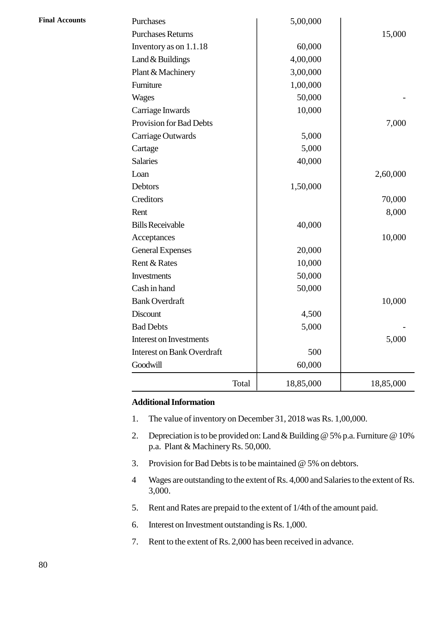| Total                             | 18,85,000 | 18,85,000 |
|-----------------------------------|-----------|-----------|
| Goodwill                          | 60,000    |           |
| <b>Interest on Bank Overdraft</b> | 500       |           |
| <b>Interest on Investments</b>    |           | 5,000     |
| <b>Bad Debts</b>                  | 5,000     |           |
| <b>Discount</b>                   | 4,500     |           |
| <b>Bank Overdraft</b>             |           | 10,000    |
| Cash in hand                      | 50,000    |           |
| Investments                       | 50,000    |           |
| Rent & Rates                      | 10,000    |           |
| <b>General Expenses</b>           | 20,000    |           |
| Acceptances                       |           | 10,000    |
| <b>Bills Receivable</b>           | 40,000    |           |
| Rent                              |           | 8,000     |
| Creditors                         |           | 70,000    |
| Debtors                           | 1,50,000  |           |
| Loan                              |           | 2,60,000  |
| <b>Salaries</b>                   | 40,000    |           |
| Cartage                           | 5,000     |           |
| Carriage Outwards                 | 5,000     |           |
| Provision for Bad Debts           |           | 7,000     |
| Carriage Inwards                  | 10,000    |           |
| <b>Wages</b>                      | 50,000    |           |
| Furniture                         | 1,00,000  |           |
| Plant & Machinery                 | 3,00,000  |           |
| Land & Buildings                  | 4,00,000  |           |
| Inventory as on 1.1.18            | 60,000    |           |
| <b>Purchases Returns</b>          |           | 15,000    |
| Purchases                         | 5,00,000  |           |

#### **Additional Information**

- 1. The value of inventory on December 31, 2018 was Rs. 1,00,000.<br>2. Depreciation is to be provided on: Land & Building @ 5% p.a. Furn
- 2. Depreciation is to be provided on: Land & Building @ 5% p.a. Furniture @ 10%<br>
1. The value of inventory on December 31, 2018 was Rs. 1,00,000.<br>
2. Depreciation is to be provided on: Land & Building @ 5% p.a. Furniture @ p.a. Plant & Machinery Rs. 50,000. 3. Provision for Bad Debts is to be maintained  $\circ$  5% on debtors.<br>
3. Provision for Bad Debts is to be maintained  $\circ$  5% on debtors.<br>
4 Waves are outstanding to the extent of Rs. 4.000 and Salaries to the  $\circ$ 2. Depreciation is to be provided on: Land & Building @ 5% p.a. Furniture @ 10%<br>p.a. Plant & Machinery Rs. 50,000.<br>3. Provision for Bad Debts is to be maintained @ 5% on debtors.<br>Wages are outstanding to the extent of Rs.
- 
- 3,000. 5. Provision for Bad Debts is to be maintained  $\omega$  5% on debtors.<br>
4 Wages are outstanding to the extent of Rs. 4,000 and Salaries to the extent 3,000.<br>
5. Rent and Rates are prepaid to the extent of 1/4th of the amount 4 Wages are outstanding to the extent of Rs. 4,000 and Salaries to 3,000.<br>5. Rent and Rates are prepaid to the extent of 1/4th of the amour<br>6. Interest on Investment outstanding is Rs. 1,000.<br>7. Rent to the extent of Rs. 2
- Rent and Rates are prepaid to the extent of 1/4th of the amount paid.
- 
-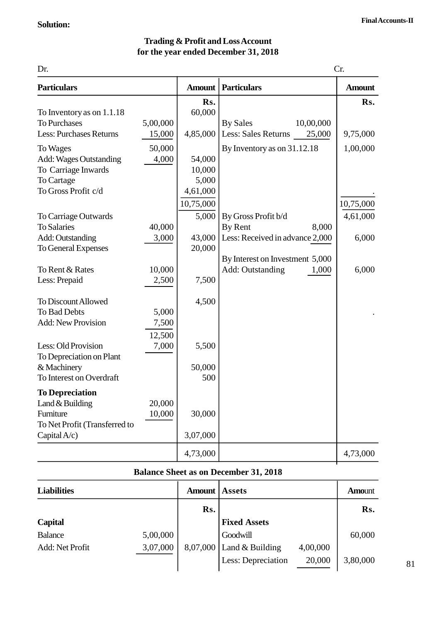#### **Trading & Profit and Loss Account for the year ended December 31, 2018**

|                                                                                                                                                                                             |                                       |                                                                    | <b>Trading &amp; Profit and Loss Account</b><br>for the year ended December 31, 2018                                                       |                                         |
|---------------------------------------------------------------------------------------------------------------------------------------------------------------------------------------------|---------------------------------------|--------------------------------------------------------------------|--------------------------------------------------------------------------------------------------------------------------------------------|-----------------------------------------|
| Dr.                                                                                                                                                                                         |                                       |                                                                    |                                                                                                                                            | Cr.                                     |
| <b>Particulars</b>                                                                                                                                                                          |                                       | <b>Amount</b>                                                      | <b>Particulars</b>                                                                                                                         | <b>Amount</b>                           |
| To Inventory as on 1.1.18<br><b>To Purchases</b><br><b>Less: Purchases Returns</b><br>To Wages<br><b>Add: Wages Outstanding</b><br>To Carriage Inwards<br>To Cartage<br>To Gross Profit c/d | 5,00,000<br>15,000<br>50,000<br>4,000 | Rs.<br>60,000<br>4,85,000<br>54,000<br>10,000<br>5,000<br>4,61,000 | <b>By Sales</b><br>10,00,000<br>Less: Sales Returns<br>25,000<br>By Inventory as on 31.12.18                                               | Rs.<br>9,75,000<br>1,00,000             |
| To Carriage Outwards<br><b>To Salaries</b><br>Add: Outstanding<br>To General Expenses<br>To Rent & Rates<br>Less: Prepaid                                                                   | 40,000<br>3,000<br>10,000<br>2,500    | 10,75,000<br>5,000<br>43,000<br>20,000<br>7,500                    | By Gross Profit b/d<br>By Rent<br>8,000<br>Less: Received in advance 2,000<br>By Interest on Investment 5,000<br>Add: Outstanding<br>1,000 | 10,75,000<br>4,61,000<br>6,000<br>6,000 |
| To Discount Allowed<br>To Bad Debts<br><b>Add: New Provision</b><br>Less: Old Provision<br>To Depreciation on Plant<br>& Machinery<br>To Interest on Overdraft                              | 5,000<br>7,500<br>12,500<br>7,000     | 4,500<br>5,500<br>50,000<br>500                                    |                                                                                                                                            |                                         |
| <b>To Depreciation</b><br>Land & Building<br>Furniture<br>To Net Profit (Transferred to<br>Capital $A/c$ )                                                                                  | 20,000<br>10,000                      | 30,000<br>3,07,000<br>4,73,000                                     |                                                                                                                                            | 4,73,000                                |

#### **Balance Sheet as on December 31, 2018**

| $\mathcal{L}$ apituli v $\mathcal{L}$ |          | J, V, V, V    |                                              |          |               |
|---------------------------------------|----------|---------------|----------------------------------------------|----------|---------------|
|                                       |          | 4,73,000      |                                              |          | 4,73,000      |
|                                       |          |               | <b>Balance Sheet as on December 31, 2018</b> |          |               |
| <b>Liabilities</b>                    |          | <b>Amount</b> | <b>Assets</b>                                |          | <b>Amount</b> |
|                                       |          | Rs.           |                                              |          | Rs.           |
| <b>Capital</b>                        |          |               | <b>Fixed Assets</b>                          |          |               |
| <b>Balance</b>                        | 5,00,000 |               | Goodwill                                     |          | 60,000        |
| Add: Net Profit                       | 3,07,000 |               | $8,07,000$ Land & Building                   | 4,00,000 |               |
|                                       |          |               | Less: Depreciation                           | 20,000   | 3,80,000      |
|                                       |          |               |                                              |          |               |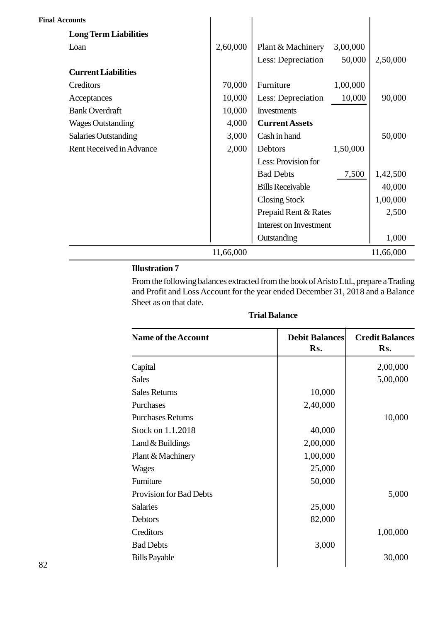| <b>Final Accounts</b>        |           |                               |          |           |
|------------------------------|-----------|-------------------------------|----------|-----------|
| <b>Long Term Liabilities</b> |           |                               |          |           |
| Loan                         | 2,60,000  | Plant & Machinery             | 3,00,000 |           |
|                              |           | Less: Depreciation            | 50,000   | 2,50,000  |
| <b>Current Liabilities</b>   |           |                               |          |           |
| Creditors                    | 70,000    | Furniture                     | 1,00,000 |           |
| Acceptances                  | 10,000    | Less: Depreciation            | 10,000   | 90,000    |
| <b>Bank Overdraft</b>        | 10,000    | <b>Investments</b>            |          |           |
| <b>Wages Outstanding</b>     | 4,000     | <b>Current Assets</b>         |          |           |
| <b>Salaries Outstanding</b>  | 3,000     | Cash in hand                  |          | 50,000    |
| Rent Received in Advance     | 2,000     | Debtors                       | 1,50,000 |           |
|                              |           | Less: Provision for           |          |           |
|                              |           | <b>Bad Debts</b>              | 7,500    | 1,42,500  |
|                              |           | <b>Bills Receivable</b>       |          | 40,000    |
|                              |           | <b>Closing Stock</b>          |          | 1,00,000  |
|                              |           | Prepaid Rent & Rates          |          | 2,500     |
|                              |           | <b>Interest on Investment</b> |          |           |
|                              |           | Outstanding                   |          | 1,000     |
|                              | 11,66,000 |                               |          | 11,66,000 |

#### **Illustration 7**

From the following balances extracted from the book of Aristo Ltd., prepare a Trading Sheet as on that date.

| Sheet as on that date.         |                              |                               |  |  |  |
|--------------------------------|------------------------------|-------------------------------|--|--|--|
| <b>Trial Balance</b>           |                              |                               |  |  |  |
| <b>Name of the Account</b>     | <b>Debit Balances</b><br>Rs. | <b>Credit Balances</b><br>Rs. |  |  |  |
| Capital                        |                              | 2,00,000                      |  |  |  |
| <b>Sales</b>                   |                              | 5,00,000                      |  |  |  |
| <b>Sales Returns</b>           | 10,000                       |                               |  |  |  |
| Purchases                      | 2,40,000                     |                               |  |  |  |
| <b>Purchases Returns</b>       |                              | 10,000                        |  |  |  |
| Stock on 1.1.2018              | 40,000                       |                               |  |  |  |
| Land & Buildings               | 2,00,000                     |                               |  |  |  |
| Plant & Machinery              | 1,00,000                     |                               |  |  |  |
| Wages                          | 25,000                       |                               |  |  |  |
| Furniture                      | 50,000                       |                               |  |  |  |
| <b>Provision for Bad Debts</b> |                              | 5,000                         |  |  |  |
| <b>Salaries</b>                | 25,000                       |                               |  |  |  |
| Debtors                        | 82,000                       |                               |  |  |  |
| Creditors                      |                              | 1,00,000                      |  |  |  |
| <b>Bad Debts</b>               | 3,000                        |                               |  |  |  |
| <b>Bills Payable</b>           |                              | 30,000                        |  |  |  |

#### **Trial Balance**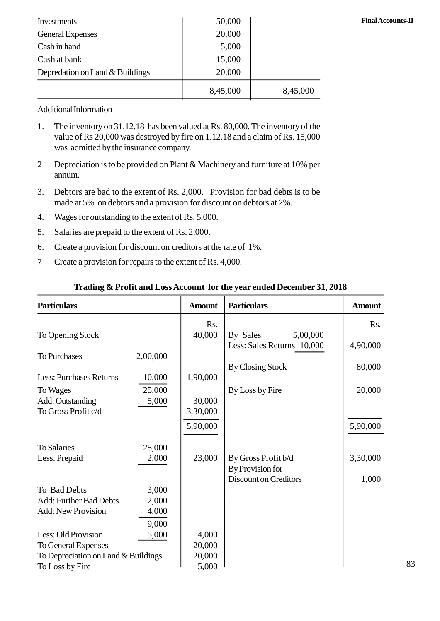| Investments                                                                                                                                                          | 50,000   |          | <b>Final Accounts-II</b> |
|----------------------------------------------------------------------------------------------------------------------------------------------------------------------|----------|----------|--------------------------|
| <b>General Expenses</b>                                                                                                                                              | 20,000   |          |                          |
| Cash in hand                                                                                                                                                         | 5,000    |          |                          |
| Cash at bank                                                                                                                                                         | 15,000   |          |                          |
| Depredation on Land & Buildings                                                                                                                                      | 20,000   |          |                          |
|                                                                                                                                                                      | 8,45,000 | 8,45,000 |                          |
| <b>Additional Information</b>                                                                                                                                        |          |          |                          |
| The inventory on 31.12.18 has been valued at Rs. 80,000. The inventory of the<br>1.<br>value of Rs 20,000 was destroyed by fire on 1.12.18 and a claim of Rs. 15,000 |          |          |                          |

#### Additional Information

- value of Rs 20,000 was destroyed by fire on 1.12.18 and a claim of Rs. 15,000 was admitted by the insurance company. 2 1. The inventory on 31.12.18 has been valued at Rs. 80,000. The inventory of the value of Rs 20,000 was destroyed by fire on 1.12.18 and a claim of Rs. 15,000 was admitted by the insurance company.<br>2 Depreciation is to
- annum. 3. Depreciation is to be provided on Plant & Machinery and furniture at 10% per<br>annum.<br>3. Debtors are bad to the extent of Rs. 2,000. Provision for bad debts is to be
- made at 5% on debtors and a provision for discount on debtors at 2%. 2. Depreciation is to be provided on Plant & Machinery<br>annum.<br>3. Debtors are bad to the extent of Rs. 2,000. Provisi<br>made at 5% on debtors and a provision for discount<br>4. Wages for outstanding to the extent of Rs. 5,000.<br> 5. Debtors are bad to the extent of Rs. 2,000. Prov<br>made at 5% on debtors and a provision for discour<br>4. Wages for outstanding to the extent of Rs. 5,000.<br>5. Salaries are prepaid to the extent of Rs. 2,000.<br>6. Create a pro 6. Create a provision for discount on debtors at<br>4. Wages for outstanding to the extent of Rs. 5,000.<br>5. Salaries are prepaid to the extent of Rs. 2,000.<br>6. Create a provision for discount on creditors at the rate of 1%.<br>7
- 
- 
- 4. Wages for outstanding to the extent of Rs. 5,000.<br>5. Salaries are prepaid to the extent of Rs. 2,000.<br>6. Create a provision for discount on creditors at the rate of 1%.<br>7 Create a provision for repairs to the extent of
- 

| <b>Particulars</b>                  |          | <b>Amount</b> | <b>Particulars</b>           | <b>Amount</b> |
|-------------------------------------|----------|---------------|------------------------------|---------------|
|                                     |          | Rs.           |                              | Rs.           |
| To Opening Stock                    |          | 40,000        | By Sales<br>5,00,000         |               |
|                                     |          |               | Less: Sales Returns 10,000   | 4,90,000      |
| <b>To Purchases</b>                 | 2,00,000 |               |                              |               |
|                                     |          |               | <b>By Closing Stock</b>      | 80,000        |
| <b>Less: Purchases Returns</b>      | 10,000   | 1,90,000      |                              |               |
| To Wages                            | 25,000   |               | By Loss by Fire              | 20,000        |
| Add: Outstanding                    | 5,000    | 30,000        |                              |               |
| To Gross Profit c/d                 |          | 3,30,000      |                              |               |
|                                     |          | 5,90,000      |                              | 5,90,000      |
| <b>To Salaries</b>                  | 25,000   |               |                              |               |
| Less: Prepaid                       | 2,000    | 23,000        | By Gross Profit b/d          | 3,30,000      |
|                                     |          |               | By Provision for             |               |
|                                     |          |               | <b>Discount on Creditors</b> | 1,000         |
| To Bad Debts                        | 3,000    |               |                              |               |
| Add: Further Bad Debts              | 2,000    |               |                              |               |
| <b>Add: New Provision</b>           | 4,000    |               |                              |               |
|                                     | 9,000    |               |                              |               |
| Less: Old Provision                 | 5,000    | 4,000         |                              |               |
| To General Expenses                 |          | 20,000        |                              |               |
| To Depreciation on Land & Buildings |          | 20,000        |                              |               |
| To Loss by Fire                     |          | 5,000         |                              |               |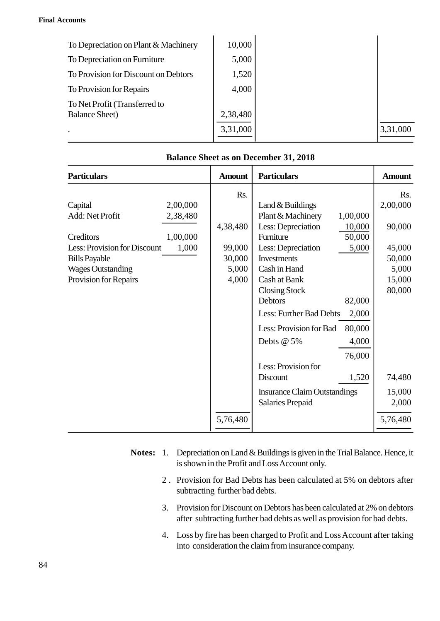#### **Final Accounts**

| :counts                              |          |          |
|--------------------------------------|----------|----------|
|                                      |          |          |
| To Depreciation on Plant & Machinery | 10,000   |          |
| To Depreciation on Furniture         | 5,000    |          |
| To Provision for Discount on Debtors | 1,520    |          |
| To Provision for Repairs             | 4,000    |          |
| To Net Profit (Transferred to        |          |          |
| <b>Balance Sheet</b> )               | 2,38,480 |          |
| $\bullet$                            | 3,31,000 | 3,31,000 |
|                                      |          |          |

| <b>Balance Sheet as on December 31, 2018</b> |          |               |                                        |               |
|----------------------------------------------|----------|---------------|----------------------------------------|---------------|
| <b>Particulars</b>                           |          | <b>Amount</b> | <b>Particulars</b>                     | <b>Amount</b> |
|                                              |          | Rs.           |                                        | Rs.           |
| Capital                                      | 2,00,000 |               | Land & Buildings                       | 2,00,000      |
| Add: Net Profit                              | 2,38,480 |               | Plant & Machinery<br>1,00,000          |               |
|                                              |          | 4,38,480      | Less: Depreciation<br>10,000           | 90,000        |
| Creditors                                    | 1,00,000 |               | Furniture<br>50,000                    |               |
| Less: Provision for Discount                 | 1,000    | 99,000        | Less: Depreciation<br>5,000            | 45,000        |
| <b>Bills Payable</b>                         |          | 30,000        | <b>Investments</b>                     | 50,000        |
| <b>Wages Outstanding</b>                     |          | 5,000         | Cash in Hand                           | 5,000         |
| Provision for Repairs                        |          | 4,000         | Cash at Bank                           | 15,000        |
|                                              |          |               | <b>Closing Stock</b><br><b>Debtors</b> | 80,000        |
|                                              |          |               | 82,000                                 |               |
|                                              |          |               | Less: Further Bad Debts<br>2,000       |               |
|                                              |          |               | Less: Provision for Bad<br>80,000      |               |
|                                              |          |               | Debts @ 5%<br>4,000                    |               |
|                                              |          |               | 76,000                                 |               |
|                                              |          |               | Less: Provision for                    |               |
|                                              |          |               | Discount<br>1,520                      | 74,480        |
|                                              |          |               | <b>Insurance Claim Outstandings</b>    | 15,000        |
|                                              |          |               | <b>Salaries Prepaid</b>                | 2,000         |
|                                              |          | 5,76,480      |                                        | 5,76,480      |

#### **Balance Sheet as on December 31, 2018**

- is shown in the Profit and Loss Account only. 2 . Depreciation on Land & Buildings is given in the Trial Balance. Hence, it<br>is shown in the Profit and Loss Account only.<br>2 . Provision for Bad Debts has been calculated at 5% on debtors after<br>subtracting further bad deb
	- subtracting further bad debts. 3. Provision for Discount on Debtors has been calculated at 5% on debtors after<br>3. Provision for Bad Debts has been calculated at 5% on debtors after<br>3. Provision for Discount on Debtors has been calculated at 2% on debtor
	- after subtracting further bad debts as well as provision for bad debts. 2. Thovision for Bad Bebts has been calculated at  $3\%$  on debtors after<br>subtracting further bad debts.<br>3. Provision for Discount on Debtors has been calculated at  $2\%$  on debtors<br>after subtracting further bad debts as w
	- into consideration the claim from insurance company.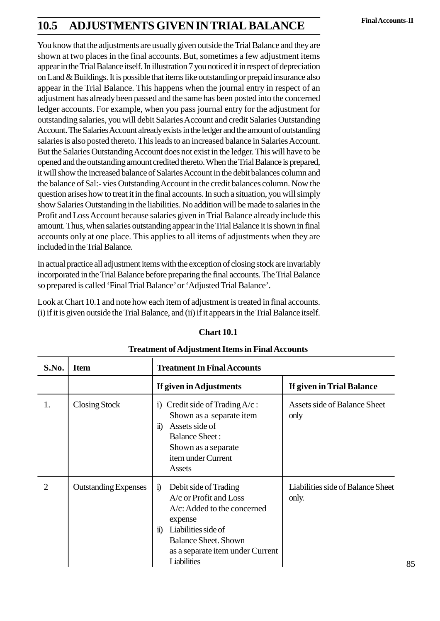# **Final Accounts-II 2.5 ADJUSTMENTS GIVEN IN TRIAL BALANCE**

You know that the adjustments are usually given outside the Trial Balance and they are shown at two places in the final accounts. But, sometimes a few adjustment items appear in the Trial Balance itself. In illustration 7 you noticed it in respect of depreciation on Land & Buildings. It is possible that items like outstanding or prepaid insurance also appear in the Trial Balance. This happens when the journal entry in respect of an adjustment has already been passed and the same has been posted into the concerned ledger accounts. For example, when you pass journal entry for the adjustment for outstanding salaries, you will debit Salaries Account and credit Salaries Outstanding Account. The Salaries Account already exists in the ledger and the amount of outstanding salaries is also posted thereto. This leads to an increased balance in Salaries Account. But the Salaries Outstanding Account does not exist in the ledger. This will have to be opened and the outstanding amount credited thereto. When the Trial Balance is prepared, it will show the increased balance of Salaries Account in the debit balances column and the balance of Sal:- vies Outstanding Account in the credit balances column. Now the question arises how to treat it in the final accounts. In such a situation, you will simply show Salaries Outstanding in the liabilities. No addition will be made to salaries in the Profit and Loss Account because salaries given in Trial Balance already include this amount. Thus, when salaries outstanding appear in the Trial Balance it is shown in final accounts only at one place. This applies to all items of adjustments when they are included in the Trial Balance.

In actual practice all adjustment items with the exception of closing stock are invariably incorporated in the Trial Balance before preparing the final accounts. The Trial Balance so prepared is called 'Final Trial Balance' or 'Adjusted Trial Balance'.

Look at Chart 10.1 and note how each item of adjustment is treated in final accounts. (i) if it is given outside the Trial Balance, and (ii) if it appears in the Trial Balance itself.

|                |                             | Chart 2.1<br><b>Treatment of Adjustment Items in Final Accounts</b>                                                                                                                                                               |                                             |
|----------------|-----------------------------|-----------------------------------------------------------------------------------------------------------------------------------------------------------------------------------------------------------------------------------|---------------------------------------------|
| S.No.          | <b>Item</b>                 | <b>Treatment In Final Accounts</b>                                                                                                                                                                                                |                                             |
|                |                             | If given in Adjustments                                                                                                                                                                                                           | If given in Trial Balance                   |
| 1.             | Closing Stock               | Credit side of Trading $A/c$ :<br>$\rm i)$<br>Shown as a separate item<br>$\ddot{\mathbf{n}}$ )<br>Assets side of<br><b>Balance Sheet:</b><br>Shown as a separate<br>item under Current<br>Assets                                 | <b>Assets side of Balance Sheet</b><br>only |
| $\overline{2}$ | <b>Outstanding Expenses</b> | Debit side of Trading<br>$\ddot{1}$<br>A/c or Profit and Loss<br>$A/c$ : Added to the concerned<br>expense<br>Liabilities side of<br>$\ddot{u}$<br><b>Balance Sheet. Shown</b><br>as a separate item under Current<br>Liabilities | Liabilities side of Balance Sheet<br>only.  |

#### **Chart 2.1**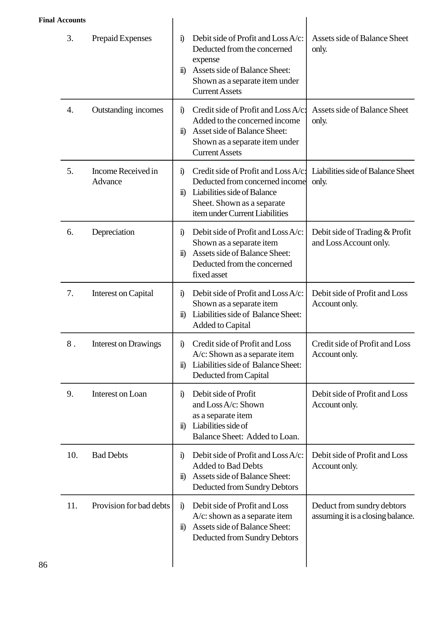#### **Final Accounts**

| <b>Accounts</b> |                               |                                                                                                                                                                                                                                                         |
|-----------------|-------------------------------|---------------------------------------------------------------------------------------------------------------------------------------------------------------------------------------------------------------------------------------------------------|
| 3.              | Prepaid Expenses              | Debit side of Profit and Loss A/c:<br>Assets side of Balance Sheet<br>$\ddot{1}$<br>Deducted from the concerned<br>only.<br>expense<br>Assets side of Balance Sheet:<br>$\ddot{\mathbf{n}}$<br>Shown as a separate item under<br><b>Current Assets</b>  |
| 4.              | Outstanding incomes           | Credit side of Profit and Loss A/c:<br>Assets side of Balance Sheet<br>$\ddot{1}$<br>Added to the concerned income<br>only.<br>Asset side of Balance Sheet:<br>$\ddot{\mathbf{n}}$<br>Shown as a separate item under<br><b>Current Assets</b>           |
| 5.              | Income Received in<br>Advance | Credit side of Profit and Loss A/c:<br>Liabilities side of Balance Sheet<br>$\ddot{1}$<br>Deducted from concerned income<br>only.<br>Liabilities side of Balance<br>$\ddot{\mathbf{n}}$<br>Sheet. Shown as a separate<br>item under Current Liabilities |
| 6.              | Depreciation                  | Debit side of Profit and Loss A/c:<br>Debit side of Trading & Profit<br>$\ddot{1}$<br>and Loss Account only.<br>Shown as a separate item<br>Assets side of Balance Sheet:<br>$\ddot{\mathbf{n}}$<br>Deducted from the concerned<br>fixed asset          |
| 7.              | Interest on Capital           | Debit side of Profit and Loss<br>Debit side of Profit and Loss A/c:<br>$\ddot{1}$<br>Shown as a separate item<br>Account only.<br>ii) Liabilities side of Balance Sheet:<br>Added to Capital                                                            |
| 8.              | <b>Interest on Drawings</b>   | Credit side of Profit and Loss<br>Credit side of Profit and Loss<br>$\ddot{1}$<br>$A/c$ : Shown as a separate item<br>Account only.<br>Liabilities side of Balance Sheet:<br>$\ddot{\mathbf{n}}$<br>Deducted from Capital                               |
| 9.              | Interest on Loan              | Debit side of Profit<br>Debit side of Profit and Loss<br>$\ddot{\mathbf{i}}$<br>and Loss A/c: Shown<br>Account only.<br>as a separate item<br>Liabilities side of<br>$\ddot{\mathbf{n}}$<br>Balance Sheet: Added to Loan.                               |
| 10.             | <b>Bad Debts</b>              | Debit side of Profit and Loss A/c:<br>Debit side of Profit and Loss<br>$\ddot{1}$<br><b>Added to Bad Debts</b><br>Account only.<br>Assets side of Balance Sheet:<br>$\ddot{\mathbf{n}}$<br>Deducted from Sundry Debtors                                 |
| 11.             | Provision for bad debts       | Debit side of Profit and Loss<br>Deduct from sundry debtors<br>$\ddot{\mathbf{i}}$<br>assuming it is a closing balance.<br>$A/c$ : shown as a separate item<br>Assets side of Balance Sheet:<br>$\ddot{\mathbf{n}}$<br>Deducted from Sundry Debtors     |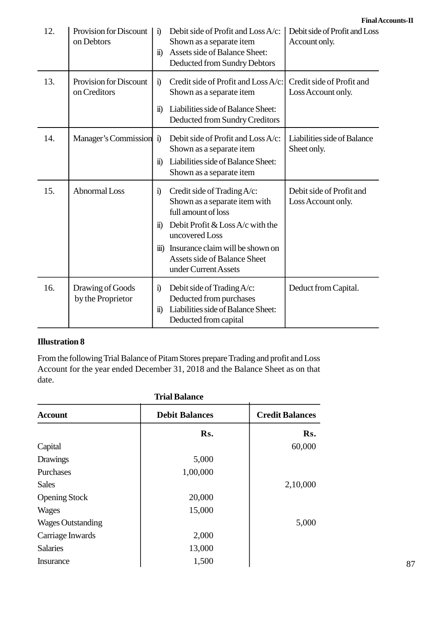| 12. | <b>Provision for Discount</b><br>on Debtors | $\ddot{1}$<br>$\ddot{\mathbf{n}}$ | Debit side of Profit and Loss A/c:<br>Shown as a separate item<br>Assets side of Balance Sheet:<br>Deducted from Sundry Debtors                                                                                                                   | <b>Final Account</b><br>Debit side of Profit and Loss<br>Account only. |
|-----|---------------------------------------------|-----------------------------------|---------------------------------------------------------------------------------------------------------------------------------------------------------------------------------------------------------------------------------------------------|------------------------------------------------------------------------|
| 13. | Provision for Discount<br>on Creditors      | $\ddot{1}$<br>$\ddot{\mathbf{n}}$ | Credit side of Profit and Loss A/c:<br>Shown as a separate item<br>Liabilities side of Balance Sheet:<br>Deducted from Sundry Creditors                                                                                                           | Credit side of Profit and<br>Loss Account only.                        |
| 14. | Manager's Commission                        | $\ddot{1}$<br>$\ddot{u}$          | Debit side of Profit and Loss A/c:<br>Shown as a separate item<br>Liabilities side of Balance Sheet:<br>Shown as a separate item                                                                                                                  | Liabilities side of Balance<br>Sheet only.                             |
| 15. | <b>Abnormal Loss</b>                        | $\ddot{1}$<br>$\overline{11}$     | Credit side of Trading A/c:<br>Shown as a separate item with<br>full amount of loss<br>Debit Profit & Loss A/c with the<br>uncovered Loss<br>iii) Insurance claim will be shown on<br><b>Assets side of Balance Sheet</b><br>under Current Assets | Debit side of Profit and<br>Loss Account only.                         |
| 16. | Drawing of Goods<br>by the Proprietor       | $\ddot{1}$<br>$\ddot{\mathbf{n}}$ | Debit side of Trading A/c:<br>Deducted from purchases<br>Liabilities side of Balance Sheet:<br>Deducted from capital                                                                                                                              | Deduct from Capital.                                                   |

#### **Illustration 8**

From the following Trial Balance of Pitam Stores prepare Trading and profit and Loss date.

| Account for the year ended December 31, 2018 and the Balance Sheet as on that<br>date. |                       |                        |  |
|----------------------------------------------------------------------------------------|-----------------------|------------------------|--|
| <b>Trial Balance</b>                                                                   |                       |                        |  |
| <b>Account</b>                                                                         | <b>Debit Balances</b> | <b>Credit Balances</b> |  |
|                                                                                        | Rs.                   | Rs.                    |  |
| Capital                                                                                |                       | 60,000                 |  |
| <b>Drawings</b>                                                                        | 5,000                 |                        |  |
| Purchases                                                                              | 1,00,000              |                        |  |
| <b>Sales</b>                                                                           |                       | 2,10,000               |  |
| <b>Opening Stock</b>                                                                   | 20,000                |                        |  |
| <b>Wages</b>                                                                           | 15,000                |                        |  |
| <b>Wages Outstanding</b>                                                               |                       | 5,000                  |  |
| Carriage Inwards                                                                       | 2,000                 |                        |  |
| <b>Salaries</b>                                                                        | 13,000                |                        |  |
| <b>Insurance</b>                                                                       | 1,500                 |                        |  |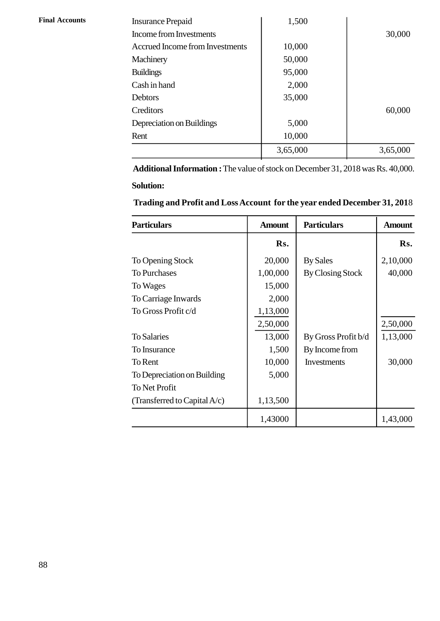| <b>Final Accounts</b> |
|-----------------------|
|                       |

| <b>Final Accounts</b> | <b>Insurance Prepaid</b>        | 1,500    |          |
|-----------------------|---------------------------------|----------|----------|
|                       | Income from Investments         |          | 30,000   |
|                       | Accrued Income from Investments | 10,000   |          |
|                       | Machinery                       | 50,000   |          |
|                       | <b>Buildings</b>                | 95,000   |          |
|                       | Cash in hand                    | 2,000    |          |
|                       | Debtors                         | 35,000   |          |
|                       | Creditors                       |          | 60,000   |
|                       | Depreciation on Buildings       | 5,000    |          |
|                       | Rent                            | 10,000   |          |
|                       |                                 | 3,65,000 | 3,65,000 |
|                       |                                 |          |          |

 **Additional Information :** The value of stock on December 31, 2018 was Rs. 40,000. **Solution:**

| <b>INGLATIVE INGLEDIE:</b> THE VALUE OF SLOCK OFF D'OCCHTIOCE 21, 2010 WAS INS. 10,000.<br><b>Solution:</b> |               |                     |               |
|-------------------------------------------------------------------------------------------------------------|---------------|---------------------|---------------|
| Trading and Profit and Loss Account for the year ended December 31, 2018                                    |               |                     |               |
| <b>Particulars</b>                                                                                          | <b>Amount</b> | <b>Particulars</b>  | <b>Amount</b> |
|                                                                                                             | Rs.           |                     | Rs.           |
| To Opening Stock                                                                                            | 20,000        | <b>By Sales</b>     | 2,10,000      |
| <b>To Purchases</b>                                                                                         | 1,00,000      | By Closing Stock    | 40,000        |
| To Wages                                                                                                    | 15,000        |                     |               |
| To Carriage Inwards                                                                                         | 2,000         |                     |               |
| To Gross Profit c/d                                                                                         | 1,13,000      |                     |               |
|                                                                                                             | 2,50,000      |                     | 2,50,000      |
| <b>To Salaries</b>                                                                                          | 13,000        | By Gross Profit b/d | 1,13,000      |
| To Insurance                                                                                                | 1,500         | By Income from      |               |
| To Rent                                                                                                     | 10,000        | Investments         | 30,000        |
| To Depreciation on Building                                                                                 | 5,000         |                     |               |
| To Net Profit                                                                                               |               |                     |               |
| (Transferred to Capital A/c)                                                                                | 1,13,500      |                     |               |
|                                                                                                             | 1,43000       |                     | 1,43,000      |

#### **Trading and Profit and Loss Account for the year ended December 31, 201**8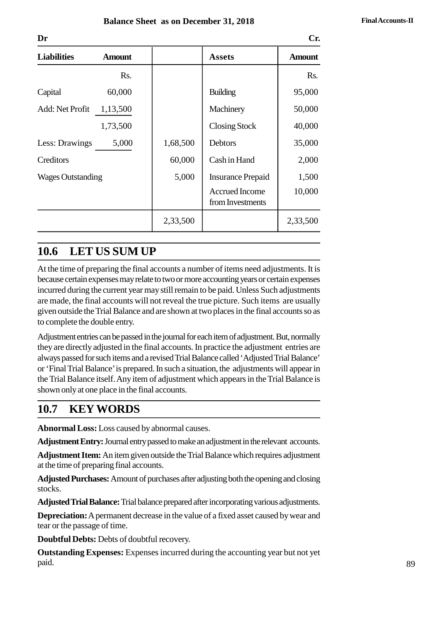| Dr<br>Cr.                |               |          |                                           |               |
|--------------------------|---------------|----------|-------------------------------------------|---------------|
| <b>Liabilities</b>       | <b>Amount</b> |          | <b>Assets</b>                             | <b>Amount</b> |
|                          | Rs.           |          |                                           | Rs.           |
| Capital                  | 60,000        |          | <b>Building</b>                           | 95,000        |
| Add: Net Profit          | 1,13,500      |          | Machinery                                 | 50,000        |
|                          | 1,73,500      |          | <b>Closing Stock</b>                      | 40,000        |
| Less: Drawings           | 5,000         | 1,68,500 | Debtors                                   | 35,000        |
| Creditors                |               | 60,000   | Cash in Hand                              | 2,000         |
| <b>Wages Outstanding</b> |               | 5,000    | <b>Insurance Prepaid</b>                  | 1,500         |
|                          |               |          | <b>Accrued Income</b><br>from Investments | 10,000        |
|                          |               | 2,33,500 |                                           | 2,33,500      |

## **2.6 LET US SUM UP**

At the time of preparing the final accounts a number of items need adjustments. It is because certain expenses may relate to two or more accounting years or certain expenses incurred during the current year may still remain to be paid. Unless Such adjustments are made, the final accounts will not reveal the true picture. Such items are usually given outside the Trial Balance and are shown at two places in the final accounts so as to complete the double entry.

Adjustment entries can be passed in the journal for each item of adjustment. But, normally they are directly adjusted in the final accounts. In practice the adjustment entries are always passed for such items and a revised Trial Balance called 'Adjusted Trial Balance' or 'Final Trial Balance' is prepared. In such a situation, the adjustments will appear in the Trial Balance itself. Any item of adjustment which appears in the Trial Balance is shown only at one place in the final accounts.

# **2.7 KEY WORDS**

**Abnormal Loss:** Loss caused by abnormal causes.

**Adjustment Entry:** Journal entry passed to make an adjustment in the relevant accounts.

**Adjustment Item:**An item given outside the Trial Balance which requires adjustment at the time of preparing final accounts.

**Adjusted Purchases:**Amount of purchases after adjusting both the opening and closing stocks.

**Adjusted Trial Balance:**Trial balance prepared after incorporating various adjustments.

**Depreciation:** A permanent decrease in the value of a fixed asset caused by wear and tear or the passage of time.

**Doubtful Debts:** Debts of doubtful recovery.

**Outstanding Expenses:** Expenses incurred during the accounting year but not yet paid.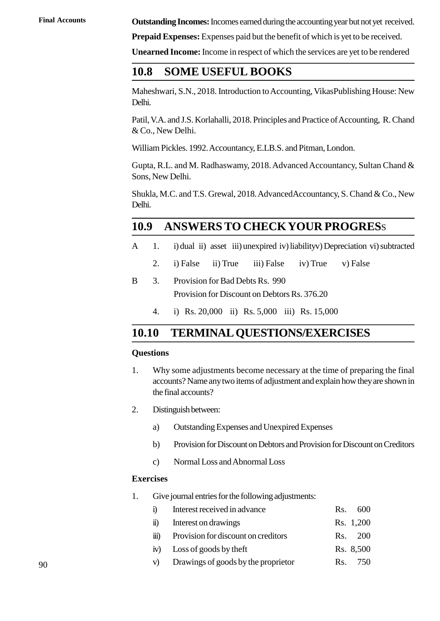**Final Accounts Outstanding Incomes:** Incomes earned during the accounting year but not yet received.

**Prepaid Expenses:** Expenses paid but the benefit of which is yet to be received.

**Unearned Income:** Income in respect of which the services are yet to be rendered

### **2.8 SOME USEFUL BOOKS**

Maheshwari, S.N., 2018. Introduction to Accounting, VikasPublishing House: New Delhi.

Patil, V.A. and J.S. Korlahalli, 2018. Principles and Practice of Accounting, R. Chand & Co., New Delhi.

William Pickles. 1992. Accountancy, E.LB.S. and Pitman, London.

Gupta, R.L. and M. Radhaswamy, 2018. Advanced Accountancy, Sultan Chand & Sons, New Delhi.

Shukla, M.C. and T.S. Grewal, 2018. AdvancedAccountancy, S. Chand & Co., New Delhi. Shukla, M.C. and T.S. Grewal, 2018. Advanced Accountancy, S. Chand & Co., New<br>Delhi.<br>**2.9 ANSWERS TO CHECKYOUR PROGRES**S<br>A 1. i) dual ii) asset iii) unexpired iv) liabilityv) Depreciation vi) subtracted<br>2 i) False ii) True

# **2.9 ANSWERSTO CHECKYOUR PROGRES**S **ANSWERS TO CHECKYOUR PROGRESS**<br>
1. i) dual ii) asset iii) unexpired iv) liabilityv) Depreciation vi) subtra<br>
2. i) False ii) True iii) False iv) True v) False<br>
Provision for Bad Debts Rs 990

- -
- **EXAMS IO CHECK FOOK**<br>
A 1. i) dual ii) asset iii) unexpired iv) liability<br>
2. i) False ii) True iii) False iv) Tr<br>
B 3. Provision for Bad Debts Rs. 990<br>
Provision for Discount on Debtors Rs. 376 Provision for Discount on Debtors Rs. 376.20 2. i) False ii) True iii) False iv) True v) False<br>3. Provision for Bad Debts Rs. 990<br>Provision for Discount on Debtors Rs. 376.20<br>4. i) Rs. 20,000 ii) Rs. 5,000 iii) Rs. 15,000
	-

## **2.10 TERMINAL QUESTIONS/EXERCISES**

#### **Questions**

- **2.10 TERMINAL QUESTIONS/EXERCISES**<br>Questions<br>1. Why some adjustments become necessary at the time of preparing the final<br>accounts? Name any two items of adjustment and explain how they are shown in accounts? Name any two items of adjustment and explain how they are shown in<br>the final accounts?<br>Distinguish between:<br>a) Outstanding Expenses and Unexpired Expenses<br>b) Provision for Discount on Debtors and Provision for Di the final accounts? 2. Why some adjustments l<br>accounts? Name any two if<br>the final accounts?<br>2. Distinguish between:<br>a) Outstanding Expen
- - Distinguish between:<br>
	a) Outstanding Expenses and Unexpired Ex<br>
	b) Provision for Discount on Debtors and Pro<br>
	c) Normal Loss and Abnormal Loss<br>
	vises
- b) the final accounts?<br>
a) Outstanding Expenses and Unexpired Expenses<br>
b) Provision for Discount on Debtors and Provision for Discount on Creditors<br>
c) Normal Loss and Abnormal Loss
	-

#### **Exercises**

- 
- 1. Give journal entries for the following adjustments:<br>
1. Give journal entries for the following adjustments:<br>
1. Give journal entries for the following adjustments:<br>
1. Interest received in advance c) Normal Loss and Abnormal Loss<br>
<br>
ises<br>
Give journal entries for the following adjustments:<br>
i) Interest received in advance<br>
Rs. 600<br>
Rs. 1,200 vectors journal entries for the following adjustments:<br>
i) Interest received in advance<br>
ii) Interest on drawings<br>
Rs. 1,200<br>
iii) Provision for discount on creditors<br>
Rs. 200 Give journal entries for the following adjustments:<br>
i) Interest received in advance<br>
ii) Interest on drawings<br>
Rs. 1,200<br>
iii) Provision for discount on creditors<br>
Rs. 200<br>
iv) Loss of goods by theft<br>
Rs. 8,500 Give journal entries for the following adjustments:<br>
i) Interest received in advance<br>
ii) Interest on drawings<br>
Rs. 1,200<br>
iii) Provision for discount on creditors<br>
Rs. 200<br>
iv) Loss of goods by theft<br>
Rs. 8,500<br>
V) Drawin v) Interest received in advance<br>
ii) Interest on drawings<br>
iii) Provision for discount on creditors<br>
iii) Provision for discount on creditors<br>
Rs. 200<br>
iv) Loss of goods by the proprietor<br>
Rs. 8,500<br>
Rs. 750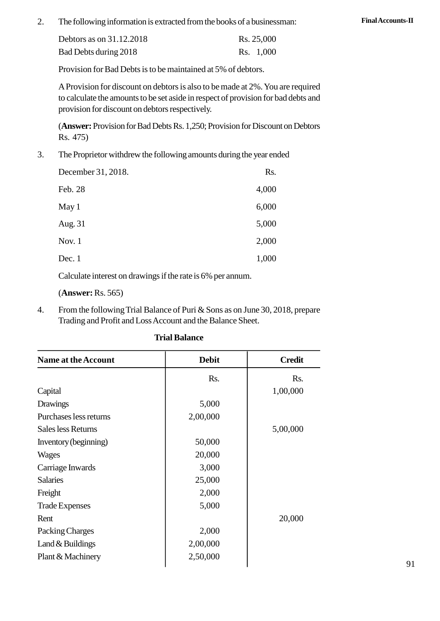2. The following information is extracted from the books of a businessman: **Final Accounts-II**<br>Debtors as on 31 12 2018

| Debtors as on 31.12.2018 | Rs. 25,000 |
|--------------------------|------------|
| Bad Debts during 2018    | Rs. 1,000  |

Provision for Bad Debts is to be maintained at 5% of debtors.

A Provision for discount on debtors is also to be made at 2%. You are required to calculate the amounts to be set aside in respect of provision for bad debts and provision for discount on debtors respectively. A Provision for<br>to calculate the<br>provision for di<br>(**Answer:** Provi<br>Rs. 475)<br>The Proprietor v

(**Answer:** Provision for Bad Debts Rs. 1,250; Provision for Discount on Debtors 3. The Proprietor withdrew the following amounts during the year ended<br>December 31–2018<br>December 31–2018<br>Rs.

| December 31, 2018. | Rs.   |
|--------------------|-------|
| Feb. 28            | 4,000 |
| May 1              | 6,000 |
| Aug. 31            | 5,000 |
| Nov. $1$           | 2,000 |
| Dec. $1$           | 1,000 |

Calculate interest on drawings if the rate is 6% per annum.

(**Answer:** Rs. 565)

4. From the following Trial Balance of Puri & Sons as on June 30, 2018, prepare Trading and Profit and Loss Account and the Balance Sheet.

| <b>Name at the Account</b> | <b>Debit</b> | <b>Credit</b> |
|----------------------------|--------------|---------------|
|                            | Rs.          | Rs.           |
| Capital                    |              | 1,00,000      |
| <b>Drawings</b>            | 5,000        |               |
| Purchases less returns     | 2,00,000     |               |
| Sales less Returns         |              | 5,00,000      |
| Inventory (beginning)      | 50,000       |               |
| Wages                      | 20,000       |               |
| Carriage Inwards           | 3,000        |               |
| <b>Salaries</b>            | 25,000       |               |
| Freight                    | 2,000        |               |
| <b>Trade Expenses</b>      | 5,000        |               |
| Rent                       |              | 20,000        |
| Packing Charges            | 2,000        |               |
| Land $&$ Buildings         | 2,00,000     |               |
| Plant & Machinery          | 2,50,000     |               |

#### **Trial Balance**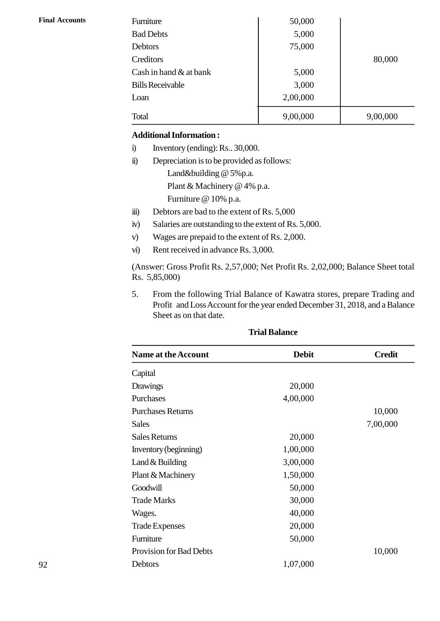| <b>Final Accounts</b> | Furniture                                                          | 50,000   |          |  |  |
|-----------------------|--------------------------------------------------------------------|----------|----------|--|--|
|                       | <b>Bad Debts</b>                                                   | 5,000    |          |  |  |
|                       | <b>Debtors</b>                                                     | 75,000   |          |  |  |
|                       | Creditors                                                          |          | 80,000   |  |  |
|                       | Cash in hand $&$ at bank                                           | 5,000    |          |  |  |
|                       | <b>Bills Receivable</b>                                            | 3,000    |          |  |  |
|                       | Loan                                                               | 2,00,000 |          |  |  |
|                       | Total                                                              | 9,00,000 | 9,00,000 |  |  |
|                       | <b>Additional Information:</b>                                     |          |          |  |  |
|                       | Inventory (ending): Rs., 30,000.<br>$\ddot{a}$                     |          |          |  |  |
|                       | $\ddot{\mathbf{n}})$<br>Depreciation is to be provided as follows: |          |          |  |  |
|                       | Land&building @ 5%p.a.                                             |          |          |  |  |

#### **Additional Information :**

- 
- 
- Land&building @ 5%p.a. Plant & Machinery @ 4% p.a. Furniture @ 10% p.a. ii) Depreciation is to be provided as follows:<br>
Land&building @ 5%p.a.<br>
Plant & Machinery @ 4% p.a.<br>
Furniture @ 10% p.a.<br>
iii) Debtors are bad to the extent of Rs. 5,000<br>
iv) Salaries are outstanding to the extent of Rs. Land&building @ 5%p.a.<br>
Plant & Machinery @ 4% p.a.<br>
Furniture @ 10% p.a.<br>
iii) Debtors are bad to the extent of Rs. 5,000<br>
iv) Salaries are outstanding to the extent of Rs. 5,000.<br>
Wages are prepaid to the extent of Rs. 2 Plant & Machinery @ 4% p.a.<br>Furniture @ 10% p.a.<br>iii) Debtors are bad to the extent of Rs. 5,000<br>iv) Salaries are outstanding to the extent of Rs. 5,000.<br>v) Wages are prepaid to the extent of Rs. 2,000.<br>vi) Rent received i
- 
- ii) Debtors are bad to the extent of Rs. 5,000<br>iv) Salaries are outstanding to the extent of Rs. 5,<br>v) Wages are prepaid to the extent of Rs. 2,000.<br>vi) Rent received in advance Rs. 3,000.
- 
- 

(Answer: Gross Profit Rs. 2,57,000; Net Profit Rs. 2,02,000; Balance Sheet total w) Salaries are ou<br>
v) Wages are pre<br>
vi) Rent received<br>
(Answer: Gross Pro<br>
Rs. 5,85,000)<br>
5. From the follo

5. From the following Trial Balance of Kawatra stores, prepare Trading and<br>5. From the following Trial Balance of Kawatra stores, prepare Trading and<br>5. From the following Trial Balance of Kawatra stores, prepare Trading a Refit received in advance Ks. 3,000.<br>
Wer: Gross Profit Rs. 2,57,000; Net Profit Rs. 2,02,000; Balance Sheet total<br>
85,000)<br>
From the following Trial Balance of Kawatra stores, prepare Trading and<br>
Profit and Loss Account Sheet as on that date.

| <b>Name at the Account</b> | <b>Debit</b> | <b>Credit</b> |
|----------------------------|--------------|---------------|
| Capital                    |              |               |
| <b>Drawings</b>            | 20,000       |               |
| Purchases                  | 4,00,000     |               |
| <b>Purchases Returns</b>   |              | 10,000        |
| <b>Sales</b>               |              | 7,00,000      |
| <b>Sales Returns</b>       | 20,000       |               |
| Inventory (beginning)      | 1,00,000     |               |
| Land $&$ Building          | 3,00,000     |               |
| Plant & Machinery          | 1,50,000     |               |
| Goodwill                   | 50,000       |               |
| <b>Trade Marks</b>         | 30,000       |               |
| Wages.                     | 40,000       |               |
| <b>Trade Expenses</b>      | 20,000       |               |
| Furniture                  | 50,000       |               |
| Provision for Bad Debts    |              | 10,000        |
| Debtors                    | 1,07,000     |               |
|                            |              |               |

#### **Trial Balance**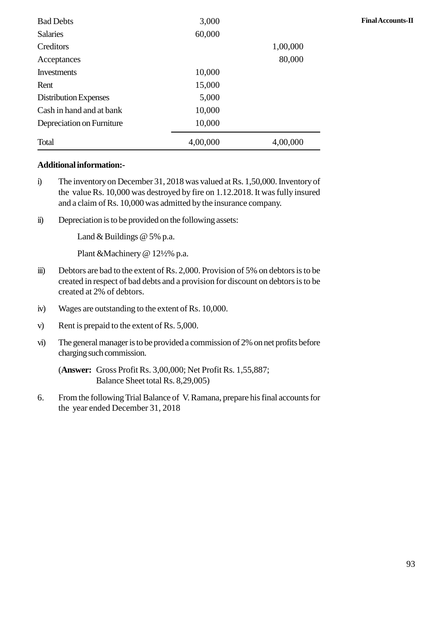| <b>Bad Debts</b>          | 3,000    |          | <b>Final Accounts-II</b> |
|---------------------------|----------|----------|--------------------------|
| <b>Salaries</b>           | 60,000   |          |                          |
| Creditors                 |          | 1,00,000 |                          |
| Acceptances               |          | 80,000   |                          |
| Investments               | 10,000   |          |                          |
| Rent                      | 15,000   |          |                          |
| Distribution Expenses     | 5,000    |          |                          |
| Cash in hand and at bank  | 10,000   |          |                          |
| Depreciation on Furniture | 10,000   |          |                          |
| Total                     | 4,00,000 | 4,00,000 |                          |

#### **Additional information:-**

- Total 4,00,000 4,00,000<br> **Additional information:-**<br>
i) The inventory on December 31, 2018 was valued at Rs. 1,50,000. Inventory of the value Rs. 10,000 was destroyed by fire on 1.12.2018. It was fully insured the value Rs. 10,000 was destroyed by fire on 1.12.2018. It was fully insured and a claim of Rs. 10,000 was admitted by the insurance company. The inventory on December 31, 2018 was valued at Rs. 1,5<br>the value Rs. 10,000 was destroyed by fire on 1.12.2018. I<br>and a claim of Rs. 10,000 was admitted by the insurance co<br>ii) Depreciation is to be provided on the foll
- 

Land & Buildings @ 5% p.a.

Plant &Machinery @ 12½% p.a.

- ii) Depreciation is to be provided on the following assets:<br>
Land & Buildings @ 5% p.a.<br>
Plant &Machinery @ 12½% p.a.<br>
iii) Debtors are bad to the extent of Rs. 2,000. Provision of 5% on debtors is to be created in respect created at 2% of debtors. Frant extractmery  $\approx 127276$  p.a.<br>
iii) Debtors are bad to the extent of Rs. 2,000. Provision of<br>
created in respect of bad debts and a provision for disco<br>
created at 2% of debtors.<br>
iv) Wages are outstanding to the ext Evolors are bad to the extent of Rs. 2,000.110<br>created in respect of bad debts and a provision<br>created at 2% of debtors.<br>iv) Wages are outstanding to the extent of Rs. 10,0<br>Rent is prepaid to the extent of Rs. 5,000.<br>vi) T
- 
- 
- iv) Wages are outstanding to the extent of Rs. 10,000.<br>
v) Rent is prepaid to the extent of Rs. 5,000.<br>
vi) The general manager is to be provided a commission of 2% on net profits before charging such commission.

(**Answer:** Gross Profit Rs. 3,00,000; Net Profit Rs. 1,55,887; Balance Sheet total Rs. 8,29,005)

6. From the following Trial Balance of V. Ramana, prepare his final accounts for the year ended December 31, 2018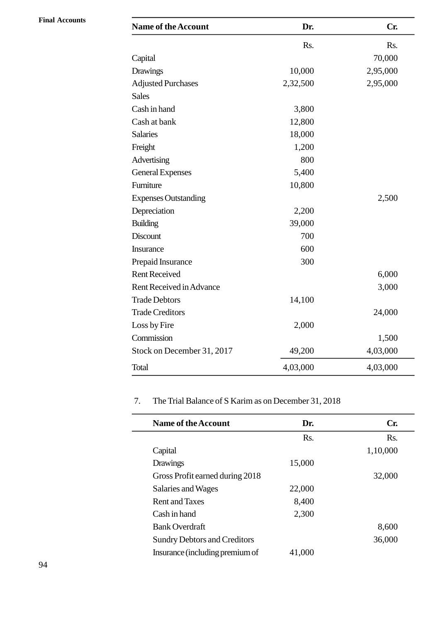| <b>Name of the Account</b>  | Dr.      | Cr.      |
|-----------------------------|----------|----------|
|                             | Rs.      | Rs.      |
| Capital                     |          | 70,000   |
| <b>Drawings</b>             | 10,000   | 2,95,000 |
| <b>Adjusted Purchases</b>   | 2,32,500 | 2,95,000 |
| <b>Sales</b>                |          |          |
| Cash in hand                | 3,800    |          |
| Cash at bank                | 12,800   |          |
| <b>Salaries</b>             | 18,000   |          |
| Freight                     | 1,200    |          |
| Advertising                 | 800      |          |
| <b>General Expenses</b>     | 5,400    |          |
| Furniture                   | 10,800   |          |
| <b>Expenses Outstanding</b> |          | 2,500    |
| Depreciation                | 2,200    |          |
| <b>Building</b>             | 39,000   |          |
| <b>Discount</b>             | 700      |          |
| Insurance                   | 600      |          |
| Prepaid Insurance           | 300      |          |
| <b>Rent Received</b>        |          | 6,000    |
| Rent Received in Advance    |          | 3,000    |
| <b>Trade Debtors</b>        | 14,100   |          |
| <b>Trade Creditors</b>      |          | 24,000   |
| Loss by Fire                | 2,000    |          |
| Commission                  |          | 1,500    |
| Stock on December 31, 2017  | 49,200   | 4,03,000 |
| Total                       | 4,03,000 | 4,03,000 |

# 7. The Trial Balance of S Karim as on December 31, 2018

| <b>Name of the Account</b>          | Dr.    | Cr.      |
|-------------------------------------|--------|----------|
|                                     | Rs.    | Rs.      |
| Capital                             |        | 1,10,000 |
| Drawings                            | 15,000 |          |
| Gross Profit earned during 2018     |        | 32,000   |
| Salaries and Wages                  | 22,000 |          |
| <b>Rent and Taxes</b>               | 8,400  |          |
| Cash in hand                        | 2,300  |          |
| <b>Bank Overdraft</b>               |        | 8,600    |
| <b>Sundry Debtors and Creditors</b> |        | 36,000   |
| Insurance (including premium of     | 41,000 |          |

69